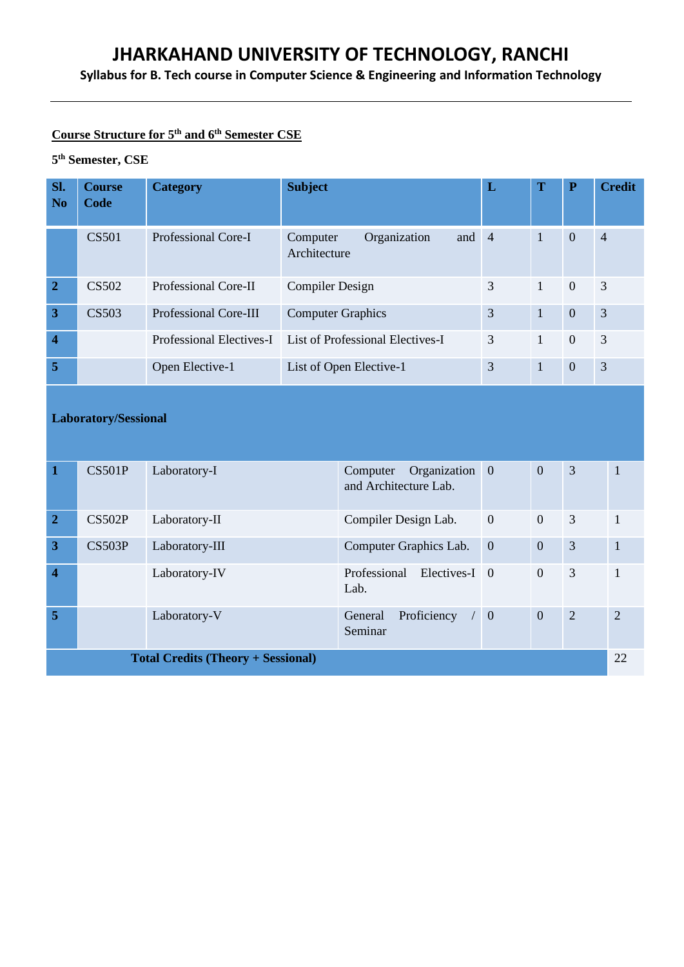**Syllabus for B. Tech course in Computer Science & Engineering and Information Technology**

# **Course Structure for 5th and 6th Semester CSE**

# **5 th Semester, CSE**

| SI.<br>N <sub>0</sub>   | <b>Course</b><br>Code | <b>Category</b>       | <b>Subject</b>                                            | L | T            | $\mathbf P$    | <b>Credit</b>  |
|-------------------------|-----------------------|-----------------------|-----------------------------------------------------------|---|--------------|----------------|----------------|
|                         | <b>CS501</b>          | Professional Core-I   | and $4$<br>Organization<br>Computer<br>Architecture       |   | 1            | $\overline{0}$ | $\overline{4}$ |
| $\overline{2}$          | CS502                 | Professional Core-II  | <b>Compiler Design</b>                                    | 3 | $\mathbf{1}$ | $\overline{0}$ | 3              |
| 3                       | CS503                 | Professional Core-III | <b>Computer Graphics</b>                                  | 3 | $\mathbf{1}$ | $\overline{0}$ | 3              |
| $\overline{\mathbf{4}}$ |                       |                       | Professional Electives-I List of Professional Electives-I | 3 | $\mathbf{1}$ | $\overline{0}$ | 3              |
| 5                       |                       | Open Elective-1       | List of Open Elective-1                                   | 3 | 1            | $\mathbf{0}$   | 3              |

# **Laboratory/Sessional**

| $\mathbf 1$    | CS501P | Laboratory-I                              | Organization 0<br>Computer<br>and Architecture Lab. |                | $\overline{0}$ | 3              |                |
|----------------|--------|-------------------------------------------|-----------------------------------------------------|----------------|----------------|----------------|----------------|
| $\overline{2}$ | CS502P | Laboratory-II                             | Compiler Design Lab.                                | $\overline{0}$ | $\overline{0}$ | 3              |                |
| $\mathbf{3}$   | CS503P | Laboratory-III                            | Computer Graphics Lab.                              | $\overline{0}$ | $\overline{0}$ | $\overline{3}$ | 1              |
| $\overline{4}$ |        | Laboratory-IV                             | Professional<br>Electives-I 0<br>Lab.               |                | $\mathbf{0}$   | 3              |                |
| $\overline{5}$ |        | Laboratory-V                              | Proficiency<br>General<br>Seminar                   | $\overline{0}$ | $\mathbf{0}$   | 2              | $\overline{2}$ |
|                |        | <b>Total Credits (Theory + Sessional)</b> |                                                     |                |                |                | 22             |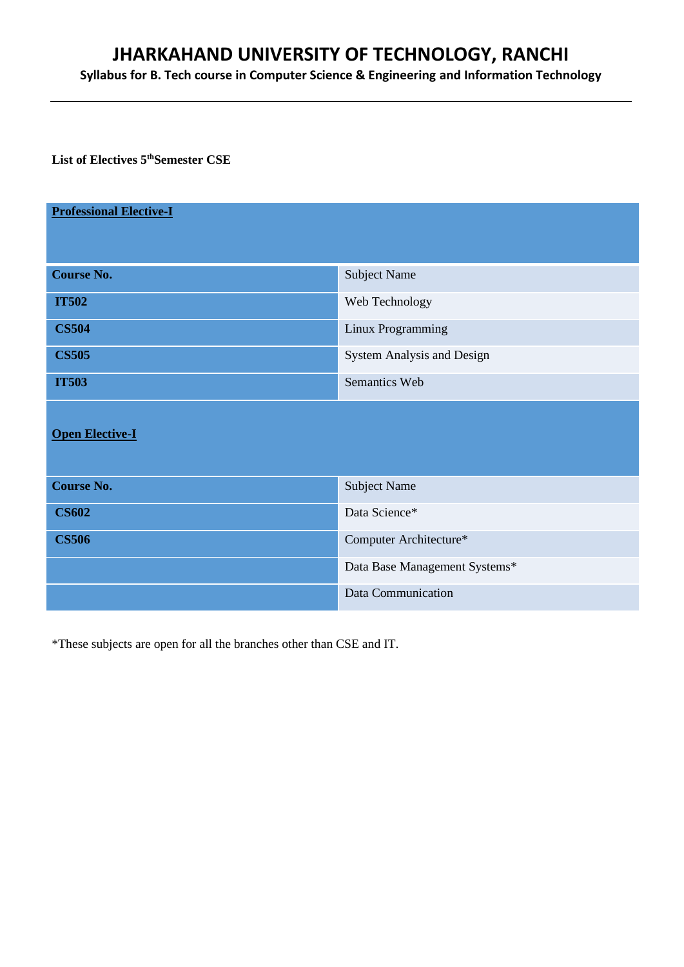**Syllabus for B. Tech course in Computer Science & Engineering and Information Technology**

**List of Electives 5thSemester CSE**

| <b>Professional Elective-I</b> |                               |
|--------------------------------|-------------------------------|
|                                |                               |
| <b>Course No.</b>              | <b>Subject Name</b>           |
| <b>IT502</b>                   | Web Technology                |
| <b>CS504</b>                   | Linux Programming             |
| <b>CS505</b>                   | System Analysis and Design    |
| <b>IT503</b>                   | Semantics Web                 |
| <b>Open Elective-I</b>         |                               |
| <b>Course No.</b>              | <b>Subject Name</b>           |
| <b>CS602</b>                   | Data Science*                 |
| <b>CS506</b>                   | Computer Architecture*        |
|                                | Data Base Management Systems* |
|                                | Data Communication            |

\*These subjects are open for all the branches other than CSE and IT.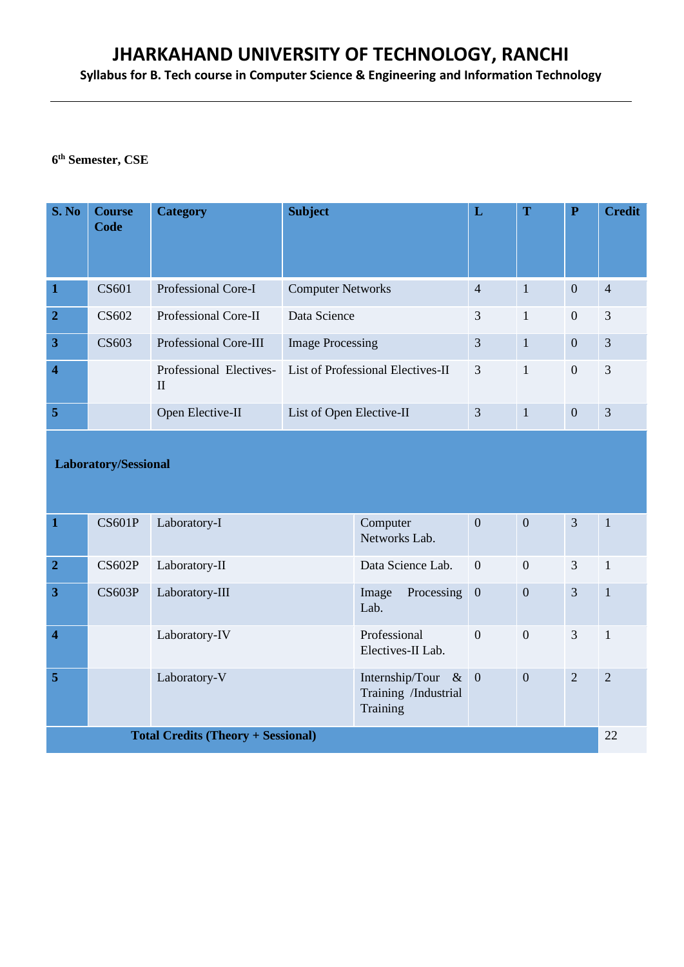**Syllabus for B. Tech course in Computer Science & Engineering and Information Technology**

# **6 th Semester, CSE**

| S. No          | <b>Course</b><br>Code | <b>Category</b>       | <b>Subject</b>                                            | L              | T              | $\mathbf P$      | <b>Credit</b>  |
|----------------|-----------------------|-----------------------|-----------------------------------------------------------|----------------|----------------|------------------|----------------|
| $\mathbf{1}$   | CS <sub>601</sub>     | Professional Core-I   | <b>Computer Networks</b>                                  | $\overline{4}$ | $\overline{1}$ | $\overline{0}$   | $\overline{4}$ |
| $\overline{2}$ | CS602                 | Professional Core-II  | Data Science                                              | 3              | $\mathbf{1}$   | $\boldsymbol{0}$ | 3              |
| $\overline{3}$ | CS603                 | Professional Core-III | <b>Image Processing</b>                                   | 3              | $\mathbf{1}$   | $\theta$         | 3              |
| $\overline{4}$ |                       | $\mathbf I$           | Professional Electives- List of Professional Electives-II | 3              | $\overline{1}$ | $\mathbf{0}$     | 3              |
| $\sqrt{5}$     |                       | Open Elective-II      | List of Open Elective-II                                  | 3              | $\mathbf{1}$   | $\overline{0}$   | 3              |

# **Laboratory/Sessional**

| $\mathbf{1}$                              | <b>CS601P</b> | Laboratory-I   | Computer<br>Networks Lab.                                 | $\overline{0}$ | $\overline{0}$ | $\overline{3}$ | 1              |
|-------------------------------------------|---------------|----------------|-----------------------------------------------------------|----------------|----------------|----------------|----------------|
| $\overline{2}$                            | CS602P        | Laboratory-II  | Data Science Lab.                                         | $\overline{0}$ | $\mathbf{0}$   | 3              | $\mathbf{1}$   |
| $\overline{3}$                            | CS603P        | Laboratory-III | Processing<br>Image<br>Lab.                               | $\overline{0}$ | $\overline{0}$ | $\overline{3}$ | $\mathbf{1}$   |
| $\overline{4}$                            |               | Laboratory-IV  | Professional<br>Electives-II Lab.                         | $\overline{0}$ | $\overline{0}$ | 3              | $\mathbf{1}$   |
| $\overline{5}$                            |               | Laboratory-V   | Internship/Tour & $0$<br>Training /Industrial<br>Training |                | $\overline{0}$ | $\overline{2}$ | $\overline{2}$ |
| <b>Total Credits (Theory + Sessional)</b> |               |                |                                                           |                |                | 22             |                |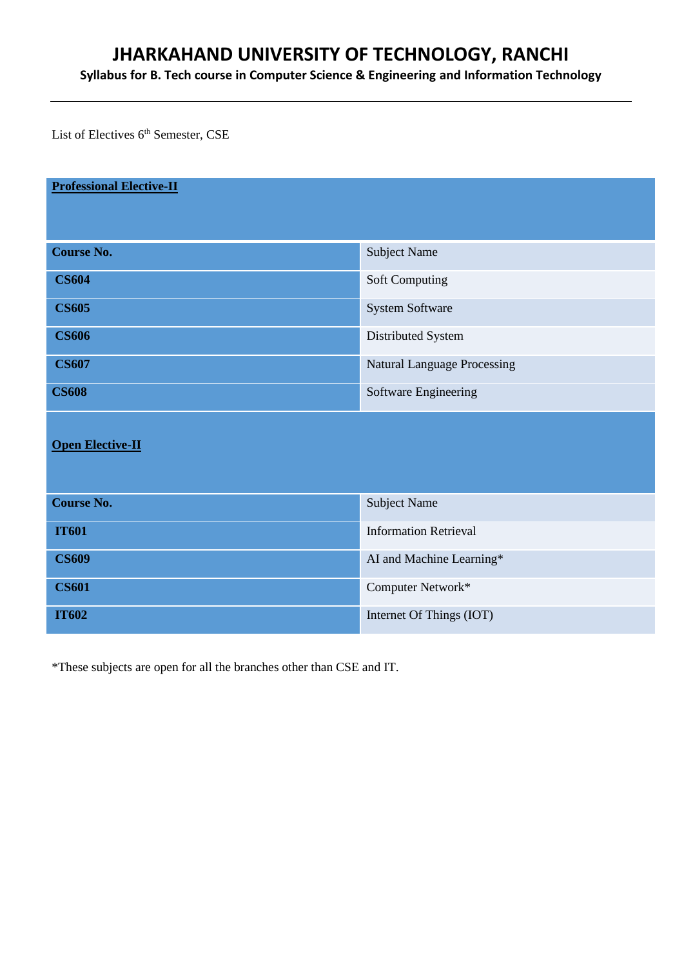**Syllabus for B. Tech course in Computer Science & Engineering and Information Technology**

List of Electives  $6^{\text{th}}$  Semester, CSE

| <b>Professional Elective-II</b> |                                    |
|---------------------------------|------------------------------------|
|                                 |                                    |
| <b>Course No.</b>               | <b>Subject Name</b>                |
| <b>CS604</b>                    | Soft Computing                     |
| <b>CS605</b>                    | System Software                    |
| <b>CS606</b>                    | Distributed System                 |
| <b>CS607</b>                    | <b>Natural Language Processing</b> |
| <b>CS608</b>                    | Software Engineering               |
|                                 |                                    |
| <b>Open Elective-II</b>         |                                    |
|                                 |                                    |
| <b>Course No.</b>               | <b>Subject Name</b>                |
| <b>IT601</b>                    | <b>Information Retrieval</b>       |
| <b>CS609</b>                    | AI and Machine Learning*           |
| <b>CS601</b>                    | Computer Network*                  |
| <b>IT602</b>                    | Internet Of Things (IOT)           |

\*These subjects are open for all the branches other than CSE and IT.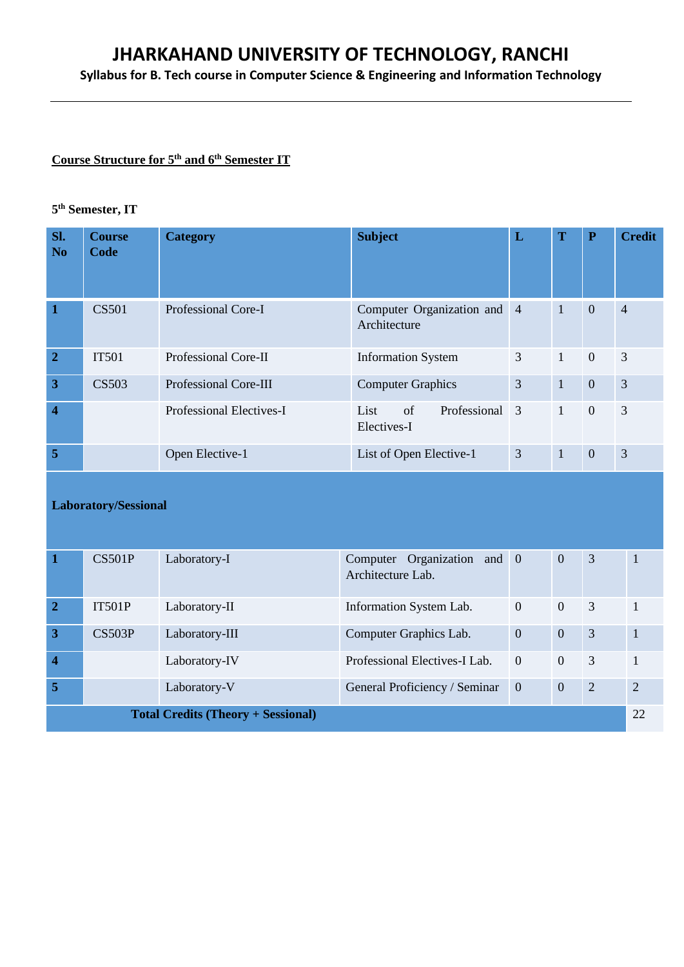**Syllabus for B. Tech course in Computer Science & Engineering and Information Technology**

# **Course Structure for 5th and 6th Semester IT**

# **5 th Semester, IT**

| Sl.<br>N <sub>o</sub>   | <b>Course</b><br>Code | <b>Category</b>              | <b>Subject</b>                              | L | T            | ${\bf P}$      | <b>Credit</b>  |
|-------------------------|-----------------------|------------------------------|---------------------------------------------|---|--------------|----------------|----------------|
| $\overline{\mathbf{1}}$ | CS501                 | Professional Core-I          | Computer Organization and 4<br>Architecture |   | $\mathbf{1}$ | $\overline{0}$ | $\overline{4}$ |
| $\overline{2}$          | <b>IT501</b>          | Professional Core-II         | <b>Information System</b>                   | 3 | $\mathbf{1}$ | $\overline{0}$ | 3              |
| $\overline{3}$          | <b>CS503</b>          | <b>Professional Core-III</b> | <b>Computer Graphics</b>                    | 3 | $\mathbf{1}$ | $\overline{0}$ | $\overline{3}$ |
| $\overline{\mathbf{4}}$ |                       | Professional Electives-I     | List<br>of<br>Professional 3<br>Electives-I |   | $\mathbf{1}$ | $\overline{0}$ | 3              |
| 5                       |                       | Open Elective-1              | List of Open Elective-1                     | 3 | $\mathbf{1}$ | $\mathbf{0}$   | 3              |

# **Laboratory/Sessional**

| 1                                         | CS501P | Laboratory-I   | Computer Organization and 0<br>Architecture Lab. |                | $\overline{0}$ | 3              | $\mathbf{1}$   |
|-------------------------------------------|--------|----------------|--------------------------------------------------|----------------|----------------|----------------|----------------|
| $\overline{2}$                            | IT501P | Laboratory-II  | Information System Lab.                          | $\overline{0}$ | $\overline{0}$ | 3              |                |
| $\overline{3}$                            | CS503P | Laboratory-III | Computer Graphics Lab.                           | $\mathbf{0}$   | $\overline{0}$ | 3              | $\overline{1}$ |
| $\overline{4}$                            |        | Laboratory-IV  | Professional Electives-I Lab.                    | $\overline{0}$ | $\theta$       | 3              | $\overline{1}$ |
| $\overline{5}$                            |        | Laboratory-V   | General Proficiency / Seminar                    | $\overline{0}$ | $\overline{0}$ | $\overline{2}$ | 2              |
| <b>Total Credits (Theory + Sessional)</b> |        |                |                                                  |                |                | 22             |                |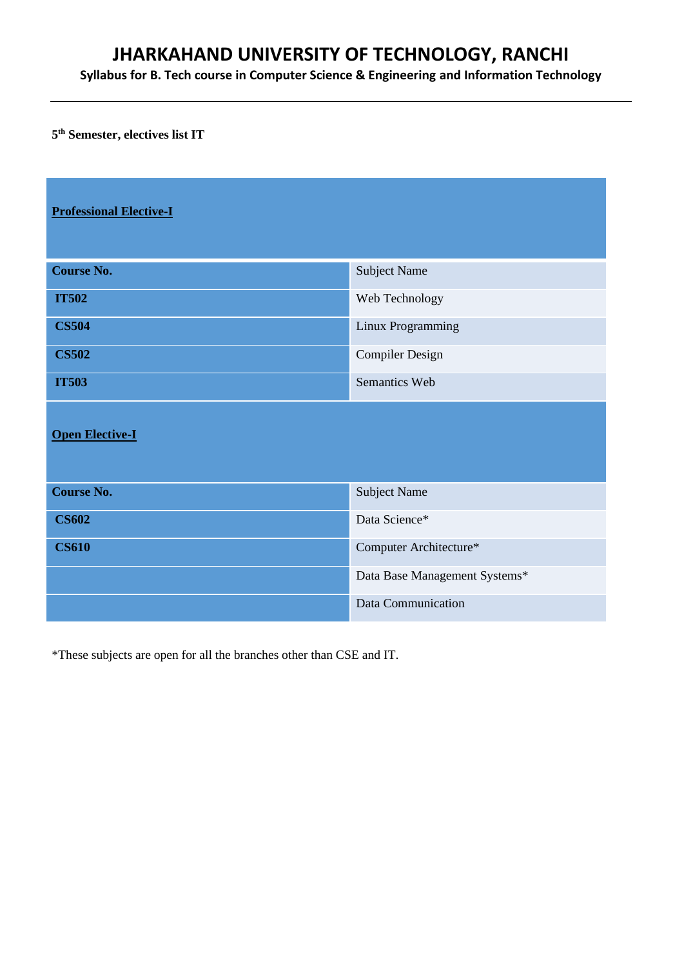**Syllabus for B. Tech course in Computer Science & Engineering and Information Technology**

**5 th Semester, electives list IT**

| <b>Professional Elective-I</b> |                               |
|--------------------------------|-------------------------------|
| <b>Course No.</b>              | <b>Subject Name</b>           |
| <b>IT502</b>                   | Web Technology                |
| <b>CS504</b>                   | Linux Programming             |
| <b>CS502</b>                   | <b>Compiler Design</b>        |
| <b>IT503</b>                   | Semantics Web                 |
| <b>Open Elective-I</b>         |                               |
| <b>Course No.</b>              | <b>Subject Name</b>           |
| <b>CS602</b>                   | Data Science*                 |
| <b>CS610</b>                   | Computer Architecture*        |
|                                | Data Base Management Systems* |
|                                | Data Communication            |

\*These subjects are open for all the branches other than CSE and IT.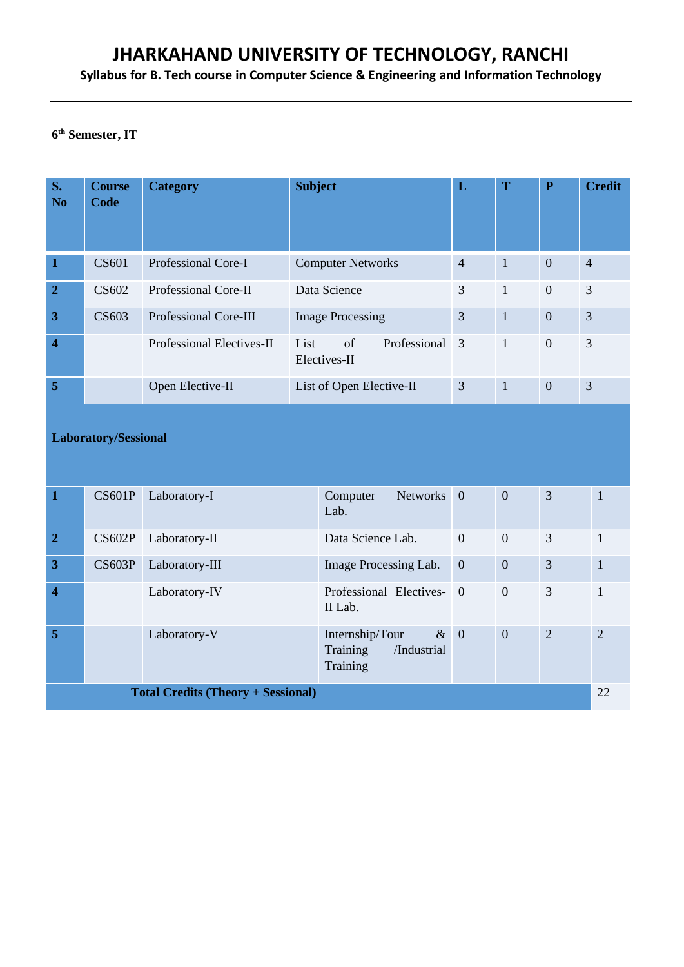**Syllabus for B. Tech course in Computer Science & Engineering and Information Technology**

# **6 th Semester, IT**

| S.<br>N <sub>0</sub>    | <b>Course</b><br>Code | <b>Category</b>           | <b>Subject</b>                               | L              | T              | ${\bf P}$        | <b>Credit</b>  |
|-------------------------|-----------------------|---------------------------|----------------------------------------------|----------------|----------------|------------------|----------------|
| $\mathbf{1}$            | CS601                 | Professional Core-I       | <b>Computer Networks</b>                     | $\overline{4}$ | $\mathbf{1}$   | $\overline{0}$   | $\overline{4}$ |
| $\overline{2}$          | CS602                 | Professional Core-II      | Data Science                                 | 3              | $\mathbf{1}$   | $\boldsymbol{0}$ | 3              |
| $\overline{3}$          | CS <sub>603</sub>     | Professional Core-III     | <b>Image Processing</b>                      | 3              | $\mathbf{1}$   | $\overline{0}$   | 3              |
| $\overline{\mathbf{4}}$ |                       | Professional Electives-II | of<br>Professional 3<br>List<br>Electives-II |                | $\overline{1}$ | $\overline{0}$   | 3              |
| 5                       |                       | Open Elective-II          | List of Open Elective-II                     | 3              | $\mathbf{1}$   | $\overline{0}$   | 3              |

# **Laboratory/Sessional**

| $\mathbf{1}$            | <b>CS601P</b> | Laboratory-I                              | Networks 0<br>Computer<br>Lab.                                   |                | $\overline{0}$ | $\overline{3}$ |              |
|-------------------------|---------------|-------------------------------------------|------------------------------------------------------------------|----------------|----------------|----------------|--------------|
| $\overline{2}$          | CS602P        | Laboratory-II                             | Data Science Lab.                                                | $\overline{0}$ | $\overline{0}$ | 3              | $\mathbf{1}$ |
| 3                       | CS603P        | Laboratory-III                            | Image Processing Lab.                                            | $\mathbf{0}$   | $\overline{0}$ | $\overline{3}$ | $\mathbf{1}$ |
| $\overline{\mathbf{4}}$ |               | Laboratory-IV                             | Professional Electives- 0<br>II Lab.                             |                | $\overline{0}$ | 3              |              |
| 5                       |               | Laboratory-V                              | $\& 0$<br>Internship/Tour<br>Training<br>/Industrial<br>Training |                | $\overline{0}$ | $\overline{2}$ | 2            |
|                         |               | <b>Total Credits (Theory + Sessional)</b> |                                                                  |                |                |                | 22           |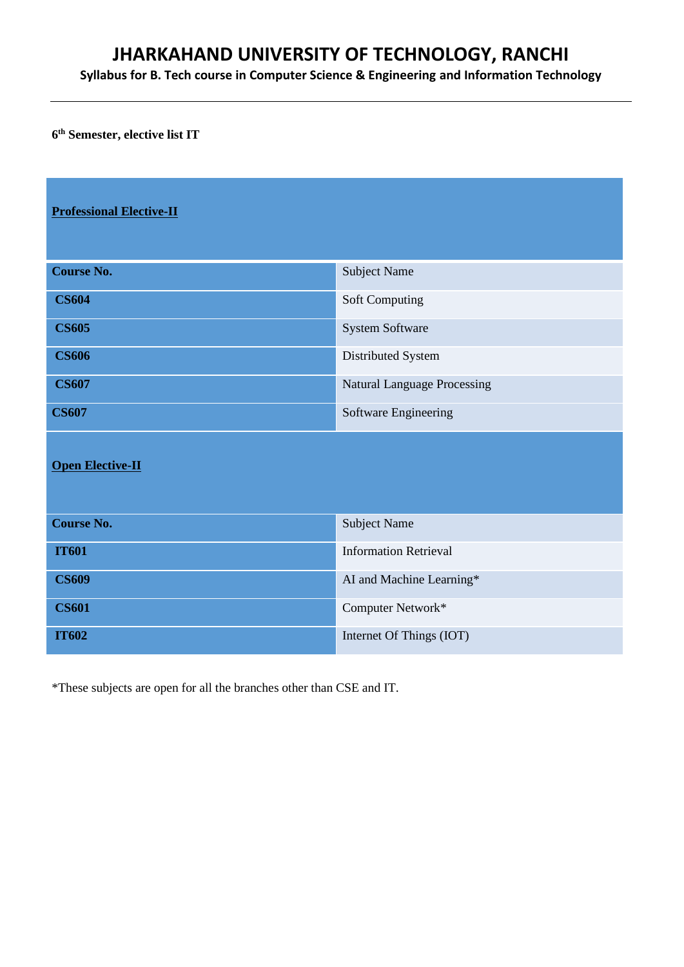**Syllabus for B. Tech course in Computer Science & Engineering and Information Technology**

**6 th Semester, elective list IT**

| <b>Professional Elective-II</b> |                                    |
|---------------------------------|------------------------------------|
| <b>Course No.</b>               | <b>Subject Name</b>                |
| <b>CS604</b>                    | <b>Soft Computing</b>              |
| <b>CS605</b>                    | System Software                    |
| <b>CS606</b>                    | Distributed System                 |
| <b>CS607</b>                    | <b>Natural Language Processing</b> |
| <b>CS607</b>                    | Software Engineering               |
| <b>Open Elective-II</b>         |                                    |
| <b>Course No.</b>               | <b>Subject Name</b>                |
| <b>IT601</b>                    | <b>Information Retrieval</b>       |
| <b>CS609</b>                    | AI and Machine Learning*           |
| <b>CS601</b>                    | Computer Network*                  |
| <b>IT602</b>                    | Internet Of Things (IOT)           |

\*These subjects are open for all the branches other than CSE and IT.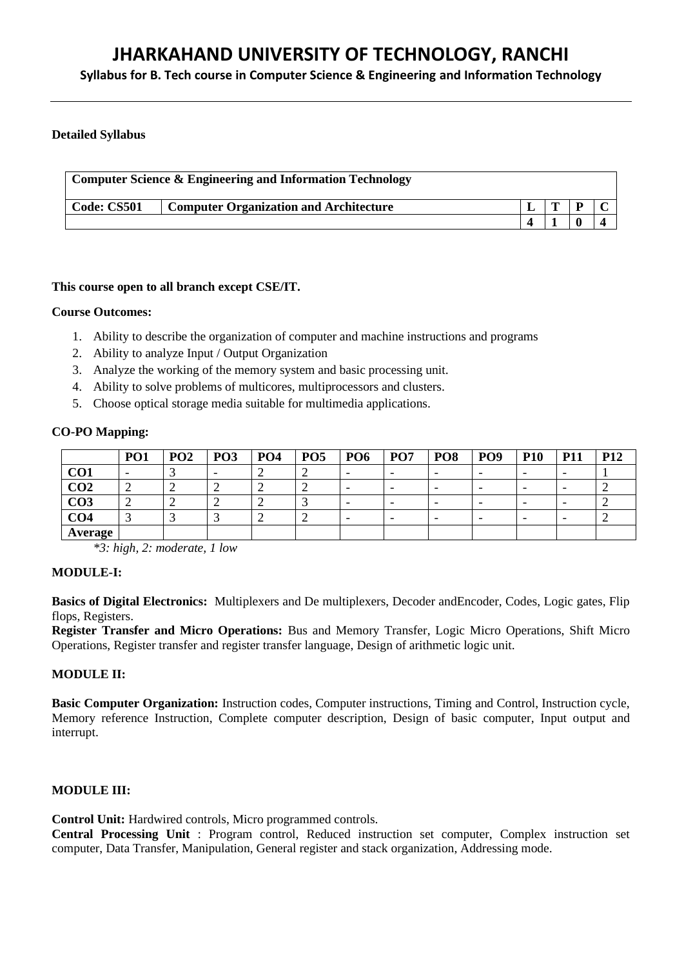**Syllabus for B. Tech course in Computer Science & Engineering and Information Technology**

# **Detailed Syllabus**

| <b>Computer Science &amp; Engineering and Information Technology</b> |                                               |  |  |   |  |  |  |  |  |
|----------------------------------------------------------------------|-----------------------------------------------|--|--|---|--|--|--|--|--|
| <b>Code: CS501</b>                                                   | <b>Computer Organization and Architecture</b> |  |  | D |  |  |  |  |  |
|                                                                      |                                               |  |  |   |  |  |  |  |  |

# **This course open to all branch except CSE/IT.**

# **Course Outcomes:**

- 1. Ability to describe the organization of computer and machine instructions and programs
- 2. Ability to analyze Input / Output Organization
- 3. Analyze the working of the memory system and basic processing unit.
- 4. Ability to solve problems of multicores, multiprocessors and clusters.
- 5. Choose optical storage media suitable for multimedia applications.

# **CO-PO Mapping:**

|                 | <b>PO1</b> | PO <sub>2</sub> | PO <sub>3</sub> | PO <sub>4</sub> | PO <sub>5</sub> | PO <sub>6</sub>          | PO <sub>7</sub> | PO <sub>8</sub> | PO <sub>9</sub> | <b>P10</b> | <b>P11</b>               | P <sub>12</sub> |
|-----------------|------------|-----------------|-----------------|-----------------|-----------------|--------------------------|-----------------|-----------------|-----------------|------------|--------------------------|-----------------|
| CO <sub>1</sub> |            |                 |                 |                 |                 | $\overline{\phantom{0}}$ |                 |                 | -               | -          | $\overline{\phantom{0}}$ |                 |
| CO <sub>2</sub> | ∼          | ∽               | ∽               |                 |                 | $\overline{\phantom{0}}$ |                 |                 | -               | -          | $\overline{\phantom{0}}$ |                 |
| CO <sub>3</sub> | ∸          | ∼               | ∠               |                 |                 | $\overline{\phantom{0}}$ |                 |                 | -               | -          | $\overline{\phantom{0}}$ |                 |
| CO <sub>4</sub> |            |                 |                 |                 |                 | $\overline{\phantom{0}}$ |                 |                 | -               | -          | $\overline{\phantom{0}}$ |                 |
| Average         |            |                 |                 |                 |                 |                          |                 |                 |                 |            |                          |                 |

*\*3: high, 2: moderate, 1 low*

# **MODULE-I:**

**Basics of Digital Electronics:** Multiplexers and De multiplexers, Decoder andEncoder, Codes, Logic gates, Flip flops, Registers.

**Register Transfer and Micro Operations:** Bus and Memory Transfer, Logic Micro Operations, Shift Micro Operations, Register transfer and register transfer language, Design of arithmetic logic unit.

# **MODULE II:**

**Basic Computer Organization:** Instruction codes, Computer instructions, Timing and Control, Instruction cycle, Memory reference Instruction, Complete computer description, Design of basic computer, Input output and interrupt.

# **MODULE III:**

**Control Unit:** Hardwired controls, Micro programmed controls.

**Central Processing Unit** : Program control, Reduced instruction set computer, Complex instruction set computer, Data Transfer, Manipulation, General register and stack organization, Addressing mode.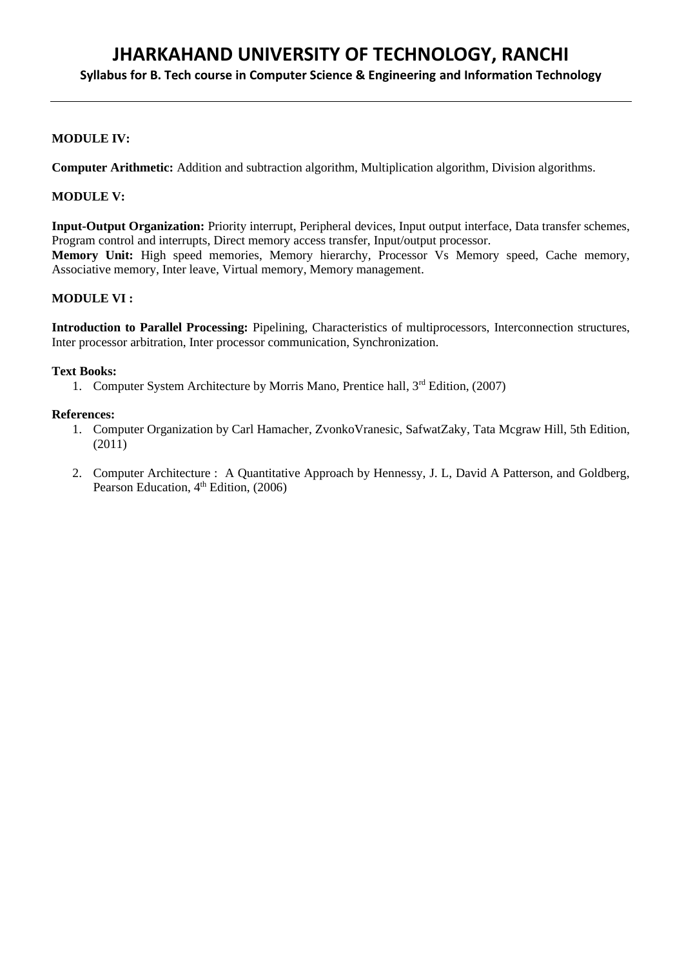# **Syllabus for B. Tech course in Computer Science & Engineering and Information Technology**

# **MODULE IV:**

**Computer Arithmetic:** Addition and subtraction algorithm, Multiplication algorithm, Division algorithms.

# **MODULE V:**

**Input-Output Organization:** Priority interrupt, Peripheral devices, Input output interface, Data transfer schemes, Program control and interrupts, Direct memory access transfer, Input/output processor. **Memory Unit:** High speed memories, Memory hierarchy, Processor Vs Memory speed, Cache memory, Associative memory, Inter leave, Virtual memory, Memory management.

# **MODULE VI :**

**Introduction to Parallel Processing:** Pipelining, Characteristics of multiprocessors, Interconnection structures, Inter processor arbitration, Inter processor communication, Synchronization.

#### **Text Books:**

1. Computer System Architecture by Morris Mano, Prentice hall, 3<sup>rd</sup> Edition, (2007)

#### **References:**

- 1. Computer Organization by Carl Hamacher, ZvonkoVranesic, SafwatZaky, Tata Mcgraw Hill, 5th Edition, (2011)
- 2. Computer Architecture : A Quantitative Approach by Hennessy, J. L, David A Patterson, and Goldberg, Pearson Education,  $4<sup>th</sup>$  Edition, (2006)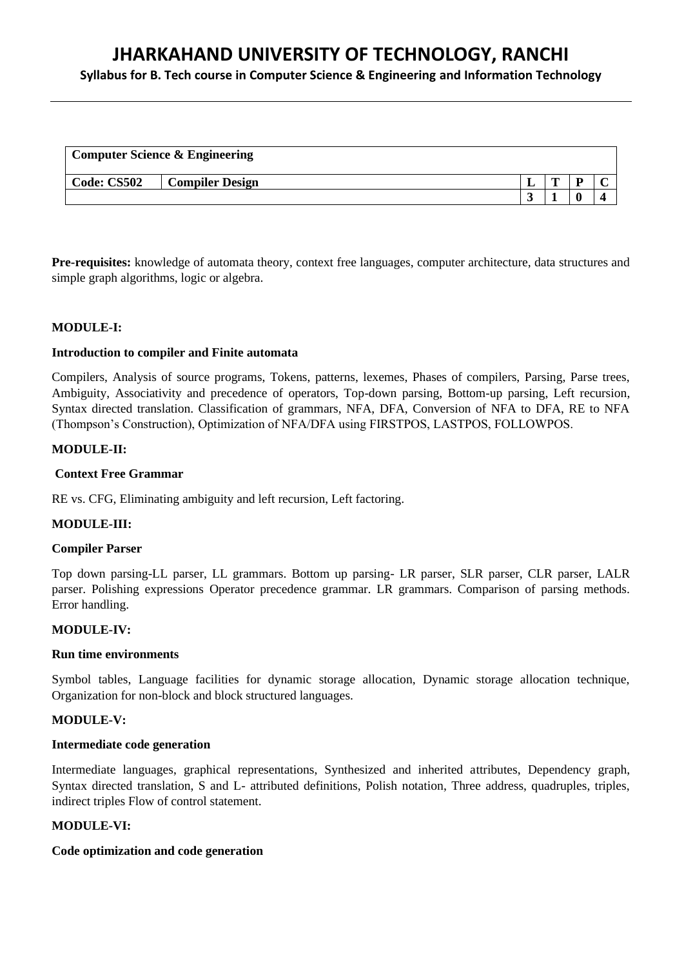**Syllabus for B. Tech course in Computer Science & Engineering and Information Technology**

| <b>Computer Science &amp; Engineering</b> |                        |        |   |  |  |  |  |  |  |
|-------------------------------------------|------------------------|--------|---|--|--|--|--|--|--|
| Code: CS502                               | <b>Compiler Design</b> |        | m |  |  |  |  |  |  |
|                                           |                        | $\sim$ |   |  |  |  |  |  |  |

**Pre-requisites:** knowledge of automata theory, context free languages, computer architecture, data structures and simple graph algorithms, logic or algebra.

# **MODULE-I:**

#### **Introduction to compiler and Finite automata**

Compilers, Analysis of source programs, Tokens, patterns, lexemes, Phases of compilers, Parsing, Parse trees, Ambiguity, Associativity and precedence of operators, Top-down parsing, Bottom-up parsing, Left recursion, Syntax directed translation. Classification of grammars, NFA, DFA, Conversion of NFA to DFA, RE to NFA (Thompson's Construction), Optimization of NFA/DFA using FIRSTPOS, LASTPOS, FOLLOWPOS.

### **MODULE-II:**

### **Context Free Grammar**

RE vs. CFG, Eliminating ambiguity and left recursion, Left factoring.

#### **MODULE-III:**

#### **Compiler Parser**

Top down parsing-LL parser, LL grammars. Bottom up parsing- LR parser, SLR parser, CLR parser, LALR parser. Polishing expressions Operator precedence grammar. LR grammars. Comparison of parsing methods. Error handling.

### **MODULE-IV:**

#### **Run time environments**

Symbol tables, Language facilities for dynamic storage allocation, Dynamic storage allocation technique, Organization for non-block and block structured languages.

#### **MODULE-V:**

#### **Intermediate code generation**

Intermediate languages, graphical representations, Synthesized and inherited attributes, Dependency graph, Syntax directed translation, S and L- attributed definitions, Polish notation, Three address, quadruples, triples, indirect triples Flow of control statement.

#### **MODULE-VI:**

#### **Code optimization and code generation**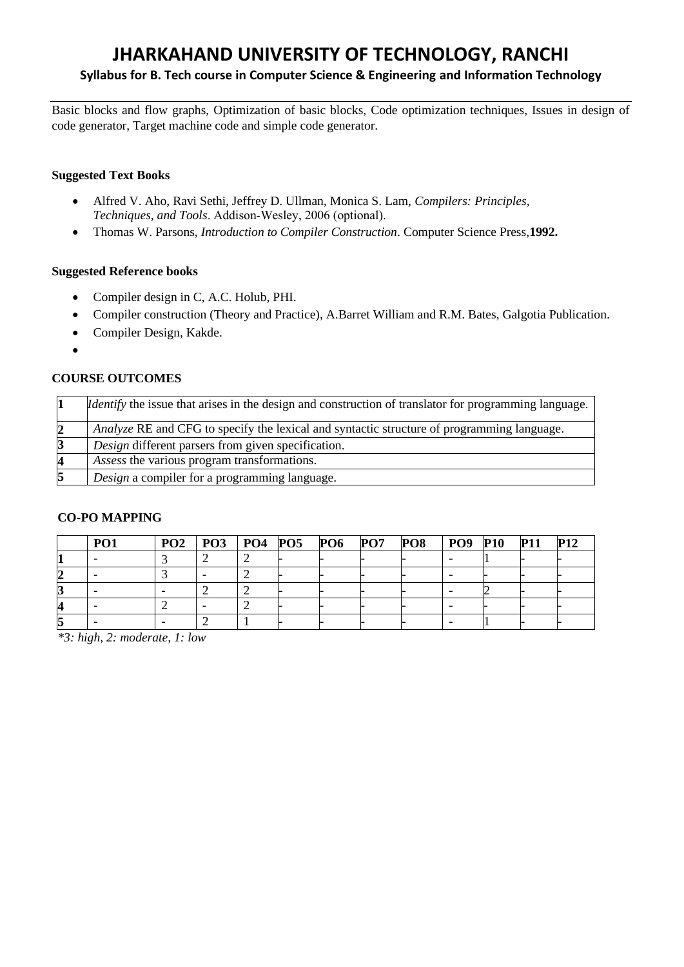# **Syllabus for B. Tech course in Computer Science & Engineering and Information Technology**

Basic blocks and flow graphs, Optimization of basic blocks, Code optimization techniques, Issues in design of code generator, Target machine code and simple code generator.

# **Suggested Text Books**

- Alfred V. Aho, Ravi Sethi, Jeffrey D. Ullman, Monica S. Lam, *Compilers: Principles, Techniques, and Tools*. Addison‐Wesley, 2006 (optional).
- Thomas W. Parsons, *Introduction to Compiler Construction*. Computer Science Press,**1992.**

# **Suggested Reference books**

- Compiler design in C, A.C. Holub, PHI.
- Compiler construction (Theory and Practice), A.Barret William and R.M. Bates, Galgotia Publication.
- Compiler Design, Kakde.
- •

# **COURSE OUTCOMES**

|   | <i>Identify</i> the issue that arises in the design and construction of translator for programming language. |
|---|--------------------------------------------------------------------------------------------------------------|
|   | Analyze RE and CFG to specify the lexical and syntactic structure of programming language.                   |
|   | Design different parsers from given specification.                                                           |
| Δ | Assess the various program transformations.                                                                  |
| 5 | Design a compiler for a programming language.                                                                |

# **CO-PO MAPPING**

| P() | $PO2$   $PO3$   $PO4$   $PO5$ |  | <b>PO6 PO7</b> | PO8 | PO9 | <b>P10</b> | <b>P11</b> |  |
|-----|-------------------------------|--|----------------|-----|-----|------------|------------|--|
|     |                               |  |                |     |     |            |            |  |
|     |                               |  |                |     |     |            |            |  |
|     |                               |  |                |     |     |            |            |  |
|     |                               |  |                |     |     |            |            |  |
|     |                               |  |                |     |     |            |            |  |

*\*3: high, 2: moderate, 1: low*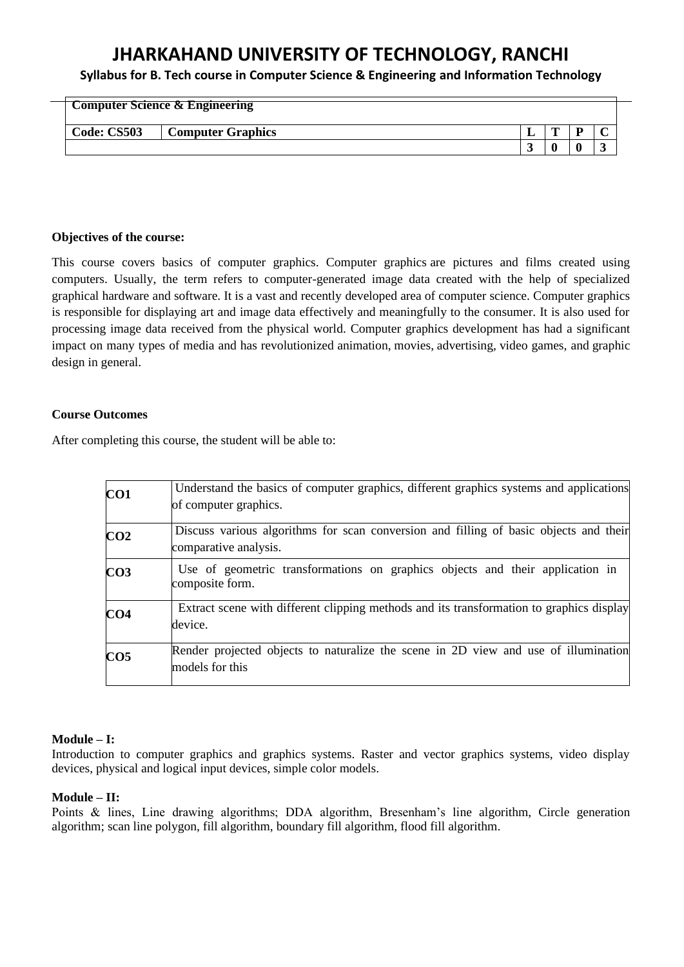**Syllabus for B. Tech course in Computer Science & Engineering and Information Technology**

|             | <b>Computer Science &amp; Engineering</b> |   |   |   |
|-------------|-------------------------------------------|---|---|---|
| Code: CS503 | <b>Computer Graphics</b>                  | m | D |   |
|             |                                           |   |   | ົ |

### **Objectives of the course:**

This course covers basics of computer graphics. Computer graphics are pictures and films created using computers. Usually, the term refers to computer-generated image data created with the help of specialized graphical hardware and software. It is a vast and recently developed area of computer science. Computer graphics is responsible for displaying art and image data effectively and meaningfully to the consumer. It is also used for processing image data received from the physical world. Computer graphics development has had a significant impact on many types of media and has revolutionized animation, movies, advertising, video games, and graphic design in general.

# **Course Outcomes**

After completing this course, the student will be able to:

| CO1             | Understand the basics of computer graphics, different graphics systems and applications<br>of computer graphics. |
|-----------------|------------------------------------------------------------------------------------------------------------------|
| CO <sub>2</sub> | Discuss various algorithms for scan conversion and filling of basic objects and their<br>comparative analysis.   |
| CO <sub>3</sub> | Use of geometric transformations on graphics objects and their application in<br>composite form.                 |
| CO <sub>4</sub> | Extract scene with different clipping methods and its transformation to graphics display<br>device.              |
| CO <sub>5</sub> | Render projected objects to naturalize the scene in 2D view and use of illumination<br>models for this           |

# **Module – I:**

Introduction to computer graphics and graphics systems. Raster and vector graphics systems, video display devices, physical and logical input devices, simple color models.

# **Module – II:**

Points & lines, Line drawing algorithms; DDA algorithm, Bresenham's line algorithm, Circle generation algorithm; scan line polygon, fill algorithm, boundary fill algorithm, flood fill algorithm.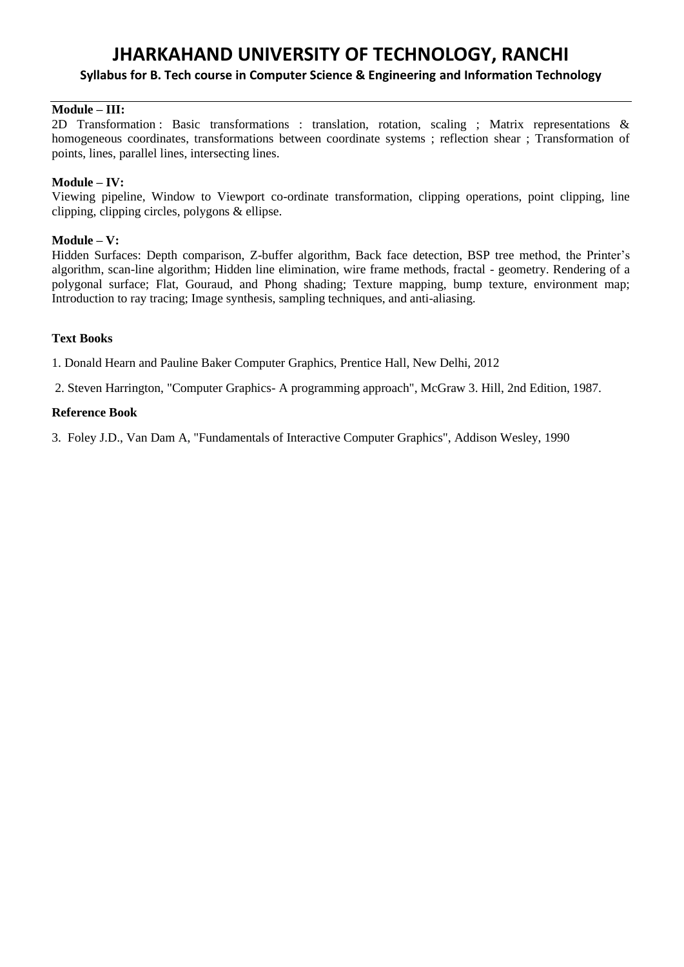# **Syllabus for B. Tech course in Computer Science & Engineering and Information Technology**

# **Module – III:**

2D Transformation : Basic transformations : translation, rotation, scaling ; Matrix representations & homogeneous coordinates, transformations between coordinate systems ; reflection shear ; Transformation of points, lines, parallel lines, intersecting lines.

# **Module – IV:**

Viewing pipeline, Window to Viewport co-ordinate transformation, clipping operations, point clipping, line clipping, clipping circles, polygons & ellipse.

# **Module – V:**

Hidden Surfaces: Depth comparison, Z-buffer algorithm, Back face detection, BSP tree method, the Printer's algorithm, scan-line algorithm; Hidden line elimination, wire frame methods, fractal - geometry. Rendering of a polygonal surface; Flat, Gouraud, and Phong shading; Texture mapping, bump texture, environment map; Introduction to ray tracing; Image synthesis, sampling techniques, and anti-aliasing.

# **Text Books**

1. Donald Hearn and Pauline Baker Computer Graphics, Prentice Hall, New Delhi, 2012

2. Steven Harrington, "Computer Graphics- A programming approach", McGraw 3. Hill, 2nd Edition, 1987.

# **Reference Book**

3. Foley J.D., Van Dam A, "Fundamentals of Interactive Computer Graphics", Addison Wesley, 1990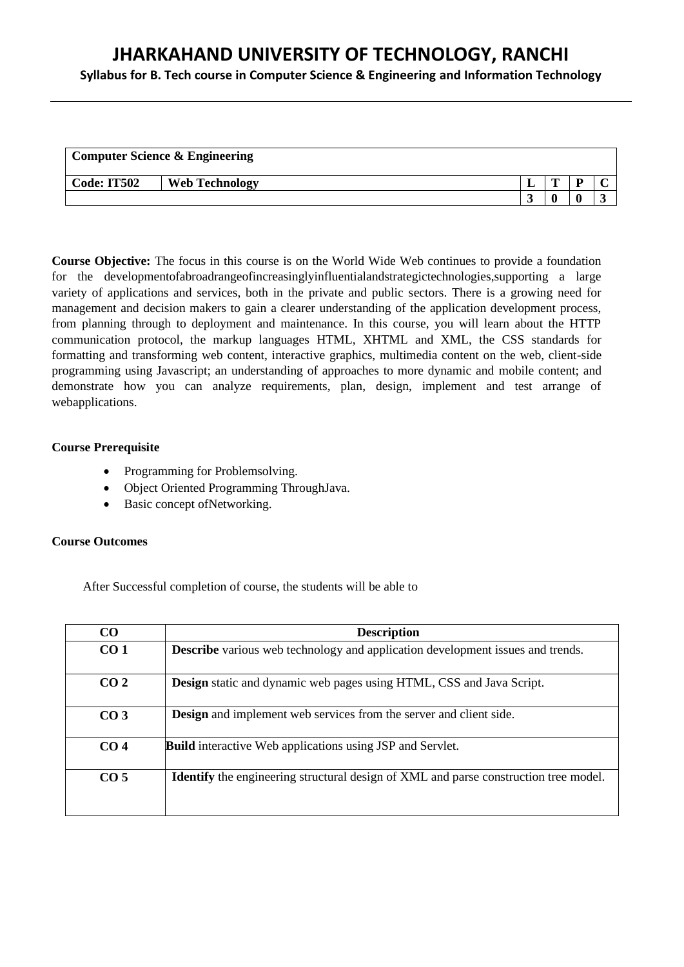**Syllabus for B. Tech course in Computer Science & Engineering and Information Technology**

| <b>Computer Science &amp; Engineering</b> |                       |  |   |   |  |  |  |  |  |
|-------------------------------------------|-----------------------|--|---|---|--|--|--|--|--|
| <b>Code: IT502</b>                        | <b>Web Technology</b> |  | m | D |  |  |  |  |  |
|                                           |                       |  |   |   |  |  |  |  |  |

**Course Objective:** The focus in this course is on the World Wide Web continues to provide a foundation for the developmentofabroadrangeofincreasinglyinfluentialandstrategictechnologies,supporting a large variety of applications and services, both in the private and public sectors. There is a growing need for management and decision makers to gain a clearer understanding of the application development process, from planning through to deployment and maintenance. In this course, you will learn about the HTTP communication protocol, the markup languages HTML, XHTML and XML, the CSS standards for formatting and transforming web content, interactive graphics, multimedia content on the web, client-side programming using Javascript; an understanding of approaches to more dynamic and mobile content; and demonstrate how you can analyze requirements, plan, design, implement and test arrange of webapplications.

# **Course Prerequisite**

- Programming for Problemsolving.
- Object Oriented Programming ThroughJava.
- Basic concept of Networking.

# **Course Outcomes**

After Successful completion of course, the students will be able to

| CO              | <b>Description</b>                                                                          |
|-----------------|---------------------------------------------------------------------------------------------|
| CO <sub>1</sub> | <b>Describe</b> various web technology and application development issues and trends.       |
| CO <sub>2</sub> | <b>Design</b> static and dynamic web pages using HTML, CSS and Java Script.                 |
| CO <sub>3</sub> | <b>Design</b> and implement web services from the server and client side.                   |
| CO <sub>4</sub> | <b>Build</b> interactive Web applications using JSP and Servlet.                            |
| CO <sub>5</sub> | <b>Identify</b> the engineering structural design of XML and parse construction tree model. |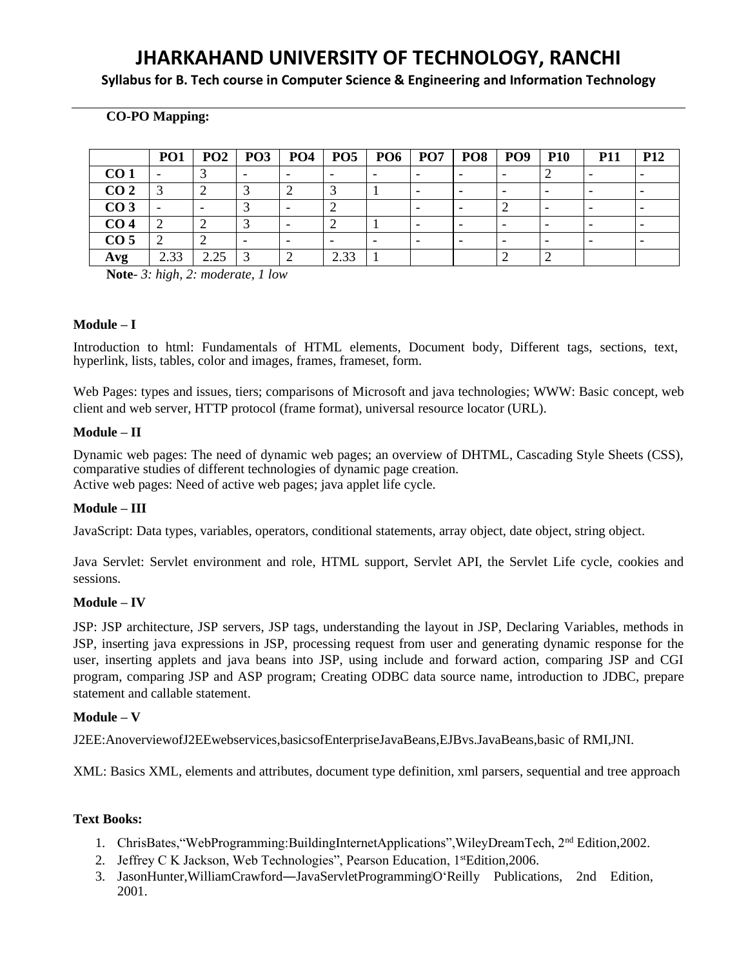**Syllabus for B. Tech course in Computer Science & Engineering and Information Technology**

# **CO-PO Mapping:**

|                 | PO <sub>1</sub> | PO2                      | PO <sub>3</sub> | <b>PO4</b> | PO5  | <b>PO6</b> | PO <sub>7</sub> | PO8 | PO <sub>9</sub>          | <b>P10</b> | <b>P11</b>               | <b>P12</b> |
|-----------------|-----------------|--------------------------|-----------------|------------|------|------------|-----------------|-----|--------------------------|------------|--------------------------|------------|
| CO <sub>1</sub> |                 |                          |                 |            |      |            |                 |     |                          |            |                          |            |
| CO <sub>2</sub> |                 | ∼                        |                 |            |      |            |                 |     | $\overline{\phantom{0}}$ |            |                          |            |
| CO <sub>3</sub> |                 | $\overline{\phantom{a}}$ |                 |            |      |            |                 |     |                          |            | -                        |            |
| CO <sub>4</sub> |                 |                          |                 |            |      |            |                 |     | $\overline{\phantom{0}}$ |            | $\overline{\phantom{0}}$ |            |
| CO <sub>5</sub> |                 |                          |                 |            |      |            |                 |     |                          |            |                          |            |
| Avg             | 2.33            | 2.25                     | $\sim$          |            | 2.33 |            |                 |     |                          |            |                          |            |

**Note***- 3: high, 2: moderate, 1 low*

#### **Module – I**

Introduction to html: Fundamentals of HTML elements, Document body, Different tags, sections, text, hyperlink, lists, tables, color and images, frames, frameset, form.

Web Pages: types and issues, tiers; comparisons of Microsoft and java technologies; WWW: Basic concept, web client and web server, HTTP protocol (frame format), universal resource locator (URL).

#### **Module – II**

Dynamic web pages: The need of dynamic web pages; an overview of DHTML, Cascading Style Sheets (CSS), comparative studies of different technologies of dynamic page creation. Active web pages: Need of active web pages; java applet life cycle.

# **Module – III**

JavaScript: Data types, variables, operators, conditional statements, array object, date object, string object.

Java Servlet: Servlet environment and role, HTML support, Servlet API, the Servlet Life cycle, cookies and sessions.

#### **Module – IV**

JSP: JSP architecture, JSP servers, JSP tags, understanding the layout in JSP, Declaring Variables, methods in JSP, inserting java expressions in JSP, processing request from user and generating dynamic response for the user, inserting applets and java beans into JSP, using include and forward action, comparing JSP and CGI program, comparing JSP and ASP program; Creating ODBC data source name, introduction to JDBC, prepare statement and callable statement.

# **Module – V**

J2EE:AnoverviewofJ2EEwebservices,basicsofEnterpriseJavaBeans,EJBvs.JavaBeans,basic of RMI,JNI.

XML: Basics XML, elements and attributes, document type definition, xml parsers, sequential and tree approach

# **Text Books:**

- 1. ChrisBates,"WebProgramming:BuildingInternetApplications",WileyDreamTech, 2nd Edition,2002.
- 2. Jeffrey C K Jackson, Web Technologies", Pearson Education, 1stEdition, 2006.
- 3. JasonHunter, WilliamCrawford—JavaServletProgramming|O'Reilly Publications, 2nd Edition, 2001.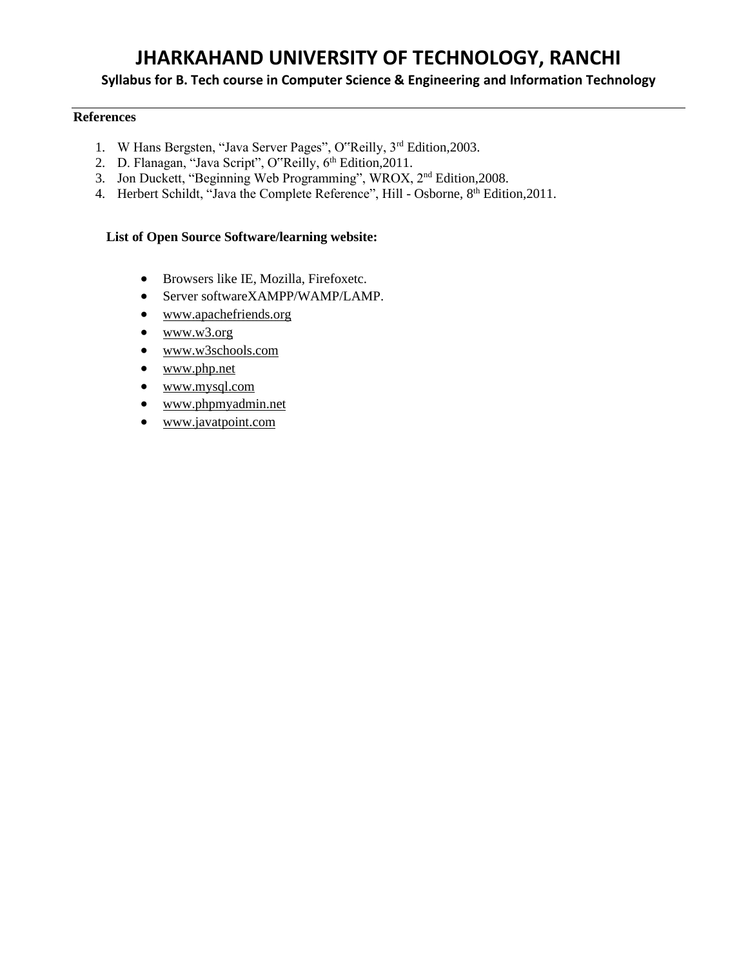# **Syllabus for B. Tech course in Computer Science & Engineering and Information Technology**

# **References**

- 1. W Hans Bergsten, "Java Server Pages", O"Reilly, 3rd Edition, 2003.
- 2. D. Flanagan, "Java Script", O"Reilly, 6<sup>th</sup> Edition, 2011.
- 3. Jon Duckett, "Beginning Web Programming", WROX, 2nd Edition,2008.
- 4. Herbert Schildt, "Java the Complete Reference", Hill Osborne, 8<sup>th</sup> Edition, 2011.

#### **List of Open Source Software/learning website:**

- Browsers like IE, Mozilla, Firefoxetc.
- Server softwareXAMPP/WAMP/LAMP.
- [www.apachefriends.org](http://www.apachefriends.org/)
- $www.w3.org$
- [www.w3schools.com](http://www.w3schools.com/)
- [www.php.net](http://www.php.net/)
- [www.mysql.com](http://www.mysql.com/)
- [www.phpmyadmin.net](http://www.phpmyadmin.net/)
- [www.javatpoint.com](http://www.javatpoint.com/)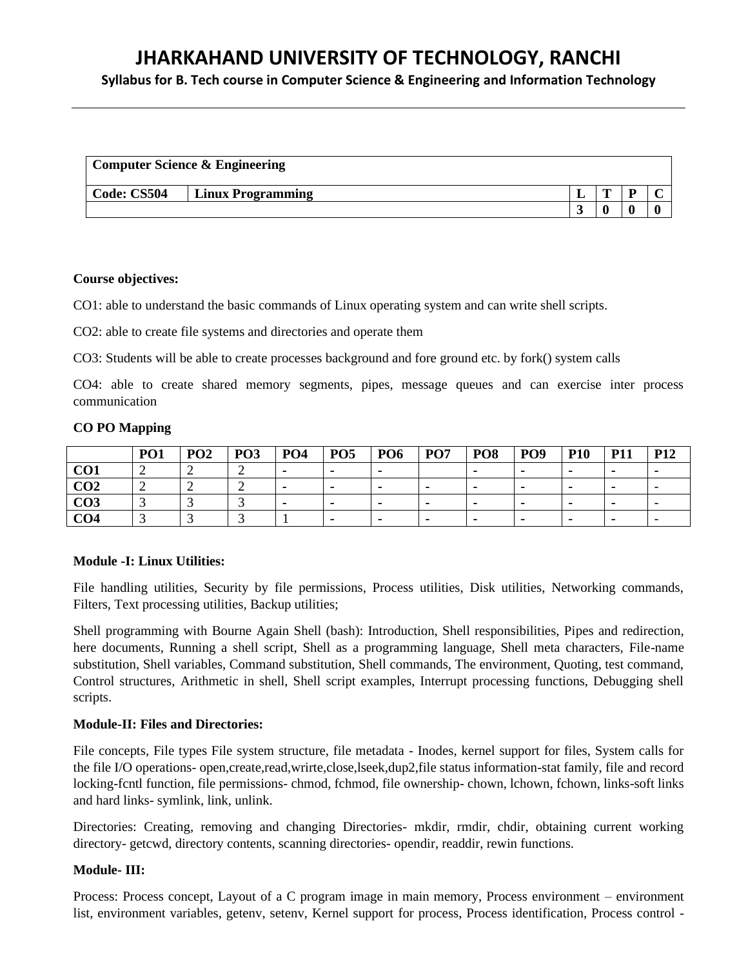**Syllabus for B. Tech course in Computer Science & Engineering and Information Technology**

| <b>Computer Science &amp; Engineering</b> |                          |  |   |  |   |  |  |  |  |
|-------------------------------------------|--------------------------|--|---|--|---|--|--|--|--|
| Code: CS504                               | <b>Linux Programming</b> |  | m |  |   |  |  |  |  |
|                                           |                          |  |   |  | ſ |  |  |  |  |

#### **Course objectives:**

CO1: able to understand the basic commands of Linux operating system and can write shell scripts.

CO2: able to create file systems and directories and operate them

CO3: Students will be able to create processes background and fore ground etc. by fork() system calls

CO4: able to create shared memory segments, pipes, message queues and can exercise inter process communication

### **CO PO Mapping**

|                 | PO <sub>1</sub> | $\mathbf{p}$ $\mathbf{\Omega}$<br>1 V 4 | PO <sub>3</sub> | PO <sub>4</sub> | PO <sub>5</sub> | PO <sub>6</sub> | PO <sub>7</sub> | PO <sub>8</sub> | PO <sub>9</sub> | <b>P10</b> | <b>D11</b><br>. | <b>P12</b>               |
|-----------------|-----------------|-----------------------------------------|-----------------|-----------------|-----------------|-----------------|-----------------|-----------------|-----------------|------------|-----------------|--------------------------|
| CO <sub>1</sub> |                 | ∼                                       |                 |                 |                 |                 |                 |                 |                 |            |                 |                          |
| CO <sub>2</sub> |                 |                                         |                 |                 | $\mathbf{r}$    |                 |                 |                 | $\mathbf{r}$    |            |                 | $\overline{\phantom{0}}$ |
| CO3             |                 |                                         |                 |                 |                 |                 |                 |                 |                 |            |                 | $\overline{\phantom{0}}$ |
| CO4             |                 |                                         |                 |                 |                 |                 |                 |                 |                 |            |                 | $\overline{\phantom{0}}$ |

# **Module -I: Linux Utilities:**

File handling utilities, Security by file permissions, Process utilities, Disk utilities, Networking commands, Filters, Text processing utilities, Backup utilities;

Shell programming with Bourne Again Shell (bash): Introduction, Shell responsibilities, Pipes and redirection, here documents, Running a shell script, Shell as a programming language, Shell meta characters, File-name substitution, Shell variables, Command substitution, Shell commands, The environment, Quoting, test command, Control structures, Arithmetic in shell, Shell script examples, Interrupt processing functions, Debugging shell scripts.

# **Module-II: Files and Directories:**

File concepts, File types File system structure, file metadata - Inodes, kernel support for files, System calls for the file I/O operations- open,create,read,wrirte,close,lseek,dup2,file status information-stat family, file and record locking-fcntl function, file permissions- chmod, fchmod, file ownership- chown, lchown, fchown, links-soft links and hard links- symlink, link, unlink.

Directories: Creating, removing and changing Directories- mkdir, rmdir, chdir, obtaining current working directory- getcwd, directory contents, scanning directories- opendir, readdir, rewin functions.

# **Module- III:**

Process: Process concept, Layout of a C program image in main memory, Process environment – environment list, environment variables, getenv, setenv, Kernel support for process, Process identification, Process control -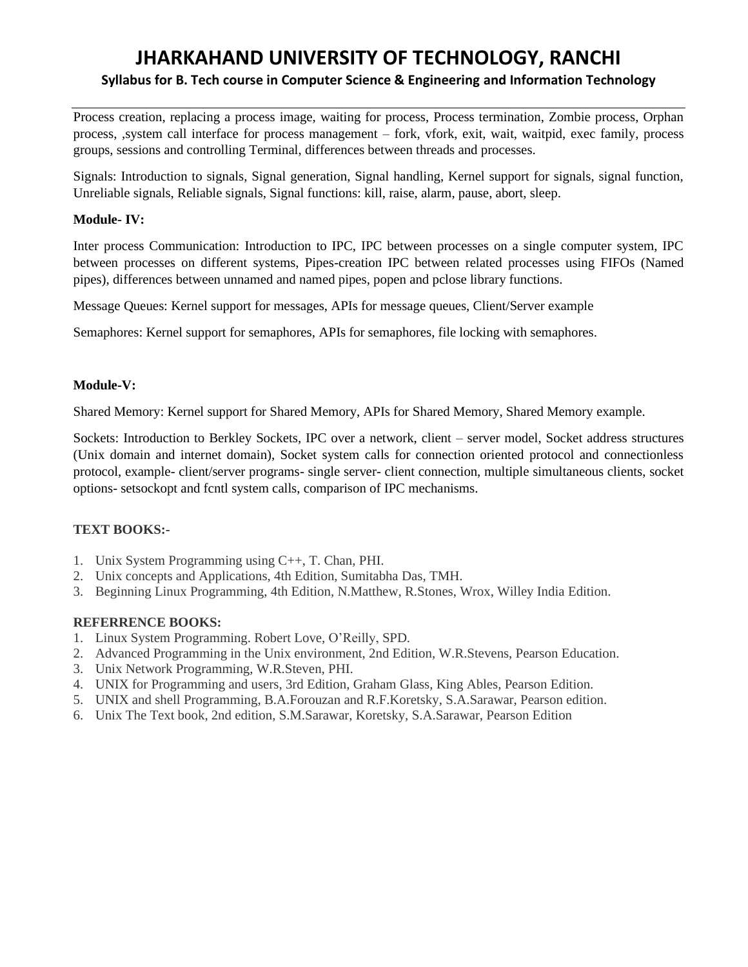# **JHARKAHAND UNIVERSITY OF TECHNOLOGY, RANCHI Syllabus for B. Tech course in Computer Science & Engineering and Information Technology**

Process creation, replacing a process image, waiting for process, Process termination, Zombie process, Orphan process, ,system call interface for process management – fork, vfork, exit, wait, waitpid, exec family, process groups, sessions and controlling Terminal, differences between threads and processes.

Signals: Introduction to signals, Signal generation, Signal handling, Kernel support for signals, signal function, Unreliable signals, Reliable signals, Signal functions: kill, raise, alarm, pause, abort, sleep.

### **Module- IV:**

Inter process Communication: Introduction to IPC, IPC between processes on a single computer system, IPC between processes on different systems, Pipes-creation IPC between related processes using FIFOs (Named pipes), differences between unnamed and named pipes, popen and pclose library functions.

Message Queues: Kernel support for messages, APIs for message queues, Client/Server example

Semaphores: Kernel support for semaphores, APIs for semaphores, file locking with semaphores.

# **Module-V:**

Shared Memory: Kernel support for Shared Memory, APIs for Shared Memory, Shared Memory example.

Sockets: Introduction to Berkley Sockets, IPC over a network, client – server model, Socket address structures (Unix domain and internet domain), Socket system calls for connection oriented protocol and connectionless protocol, example- client/server programs- single server- client connection, multiple simultaneous clients, socket options- setsockopt and fcntl system calls, comparison of IPC mechanisms.

# **TEXT BOOKS:-**

- 1. Unix System Programming using C++, T. Chan, PHI.
- 2. Unix concepts and Applications, 4th Edition, Sumitabha Das, TMH.
- 3. Beginning Linux Programming, 4th Edition, N.Matthew, R.Stones, Wrox, Willey India Edition.

#### **REFERRENCE BOOKS:**

- 1. Linux System Programming. Robert Love, O'Reilly, SPD.
- 2. Advanced Programming in the Unix environment, 2nd Edition, W.R.Stevens, Pearson Education.
- 3. Unix Network Programming, W.R.Steven, PHI.
- 4. UNIX for Programming and users, 3rd Edition, Graham Glass, King Ables, Pearson Edition.
- 5. UNIX and shell Programming, B.A.Forouzan and R.F.Koretsky, S.A.Sarawar, Pearson edition.
- 6. Unix The Text book, 2nd edition, S.M.Sarawar, Koretsky, S.A.Sarawar, Pearson Edition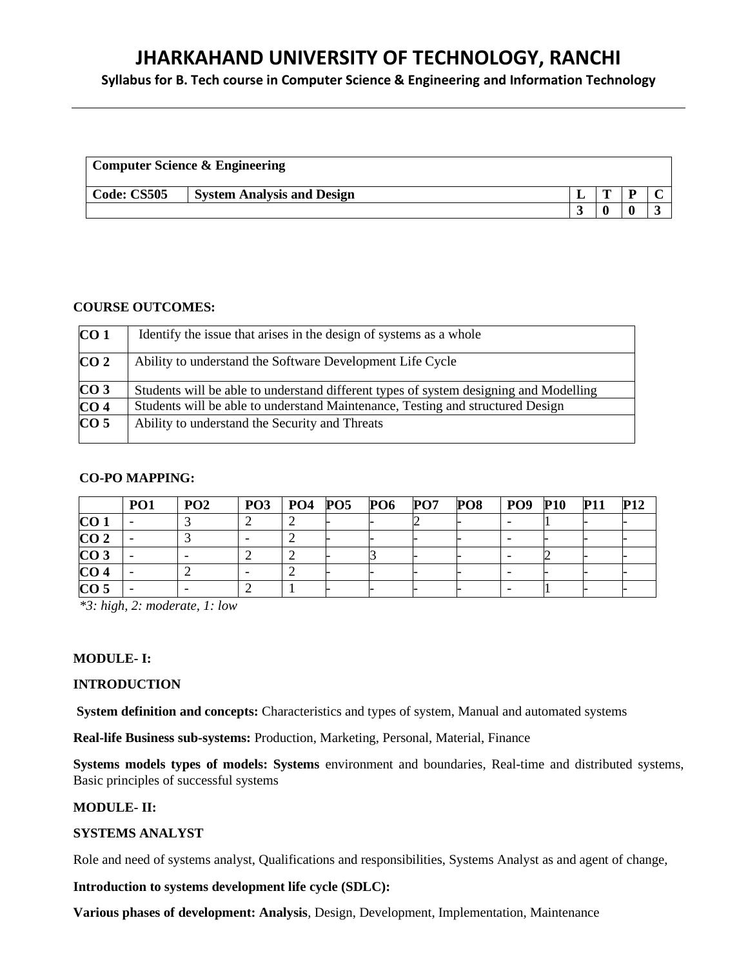**Syllabus for B. Tech course in Computer Science & Engineering and Information Technology**

|             | <b>Computer Science &amp; Engineering</b> |  |  |
|-------------|-------------------------------------------|--|--|
| Code: CS505 | <b>System Analysis and Design</b>         |  |  |
|             |                                           |  |  |

#### **COURSE OUTCOMES:**

| CO <sub>1</sub>   | Identify the issue that arises in the design of systems as a whole                    |
|-------------------|---------------------------------------------------------------------------------------|
| CO <sub>2</sub>   | Ability to understand the Software Development Life Cycle                             |
| CO <sub>3</sub>   | Students will be able to understand different types of system designing and Modelling |
| $\overline{CO}$ 4 | Students will be able to understand Maintenance, Testing and structured Design        |
| CO <sub>5</sub>   | Ability to understand the Security and Threats                                        |

### **CO-PO MAPPING:**

|                 | PO <sub>1</sub> | PO <sub>2</sub> | <b>PO3</b> | $PO4$ $PO5$ | PO6 | $\bf{P}O7$ | PO8 | <b>PO9</b> | <b>P10</b> | <b>P11</b> | <b>P12</b> |
|-----------------|-----------------|-----------------|------------|-------------|-----|------------|-----|------------|------------|------------|------------|
| CO <sub>1</sub> |                 |                 |            |             |     |            |     |            |            |            |            |
| CO <sub>2</sub> |                 |                 |            |             |     |            |     |            |            |            |            |
| CO <sub>3</sub> |                 |                 |            |             |     |            |     |            |            |            |            |
| CO <sub>4</sub> |                 |                 |            |             |     |            |     |            |            |            |            |
| CO <sub>5</sub> |                 |                 |            |             |     |            |     |            |            |            |            |

*\*3: high, 2: moderate, 1: low*

# **MODULE- I:**

# **INTRODUCTION**

**System definition and concepts:** Characteristics and types of system, Manual and automated systems

**Real-life Business sub-systems:** Production, Marketing, Personal, Material, Finance

**Systems models types of models: Systems** environment and boundaries, Real-time and distributed systems, Basic principles of successful systems

# **MODULE- II:**

# **SYSTEMS ANALYST**

Role and need of systems analyst, Qualifications and responsibilities, Systems Analyst as and agent of change,

**Introduction to systems development life cycle (SDLC):**

**Various phases of development: Analysis**, Design, Development, Implementation, Maintenance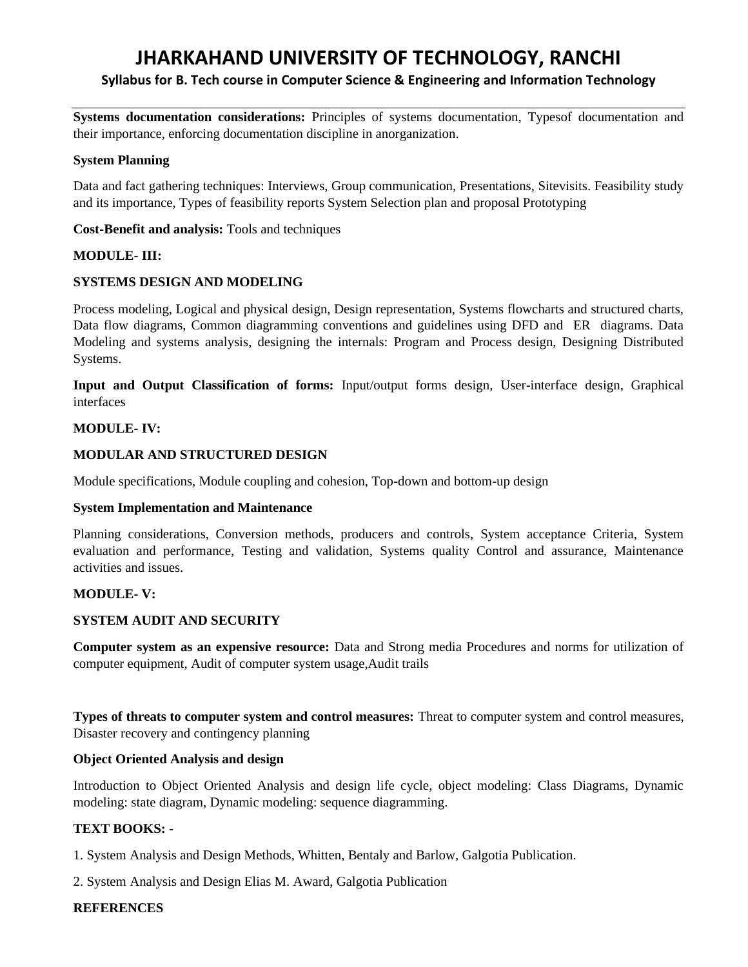# **Syllabus for B. Tech course in Computer Science & Engineering and Information Technology**

**Systems documentation considerations:** Principles of systems documentation, Typesof documentation and their importance, enforcing documentation discipline in anorganization.

#### **System Planning**

Data and fact gathering techniques: Interviews, Group communication, Presentations, Sitevisits. Feasibility study and its importance, Types of feasibility reports System Selection plan and proposal Prototyping

### **Cost-Benefit and analysis:** Tools and techniques

# **MODULE- III:**

# **SYSTEMS DESIGN AND MODELING**

Process modeling, Logical and physical design, Design representation, Systems flowcharts and structured charts, Data flow diagrams, Common diagramming conventions and guidelines using DFD and ER diagrams. Data Modeling and systems analysis, designing the internals: Program and Process design, Designing Distributed Systems.

**Input and Output Classification of forms:** Input/output forms design, User-interface design, Graphical interfaces

#### **MODULE- IV:**

#### **MODULAR AND STRUCTURED DESIGN**

Module specifications, Module coupling and cohesion, Top-down and bottom-up design

#### **System Implementation and Maintenance**

Planning considerations, Conversion methods, producers and controls, System acceptance Criteria, System evaluation and performance, Testing and validation, Systems quality Control and assurance, Maintenance activities and issues.

# **MODULE- V:**

# **SYSTEM AUDIT AND SECURITY**

**Computer system as an expensive resource:** Data and Strong media Procedures and norms for utilization of computer equipment, Audit of computer system usage,Audit trails

**Types of threats to computer system and control measures:** Threat to computer system and control measures, Disaster recovery and contingency planning

#### **Object Oriented Analysis and design**

Introduction to Object Oriented Analysis and design life cycle, object modeling: Class Diagrams, Dynamic modeling: state diagram, Dynamic modeling: sequence diagramming.

# **TEXT BOOKS: -**

1. System Analysis and Design Methods, Whitten, Bentaly and Barlow, Galgotia Publication.

2. System Analysis and Design Elias M. Award, Galgotia Publication

#### **REFERENCES**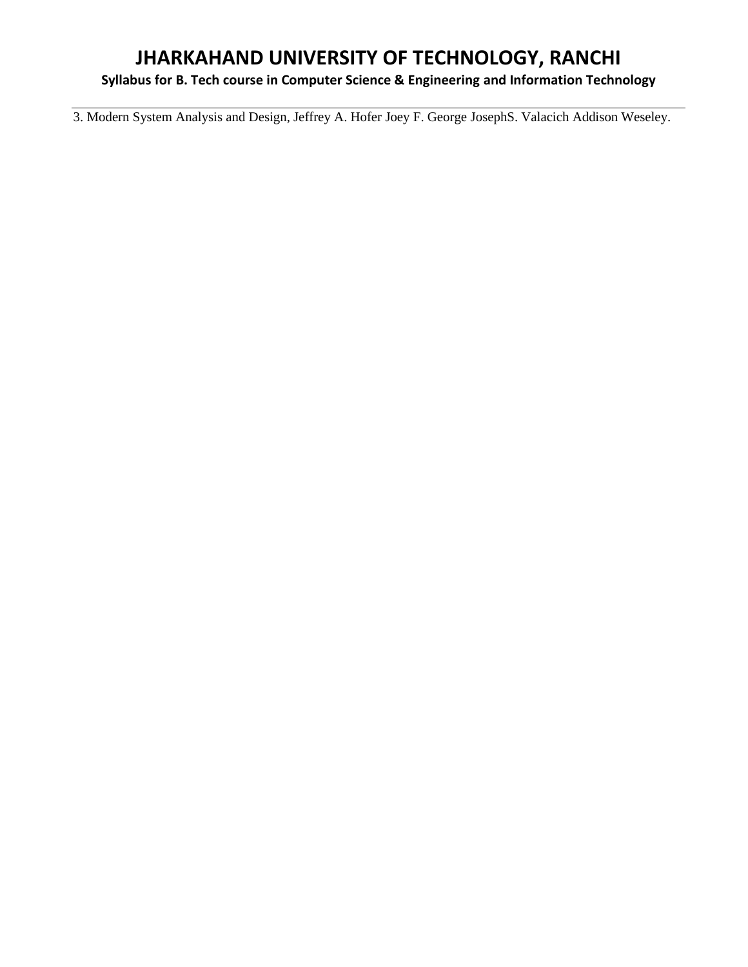# **Syllabus for B. Tech course in Computer Science & Engineering and Information Technology**

3. Modern System Analysis and Design, Jeffrey A. Hofer Joey F. George JosephS. Valacich Addison Weseley.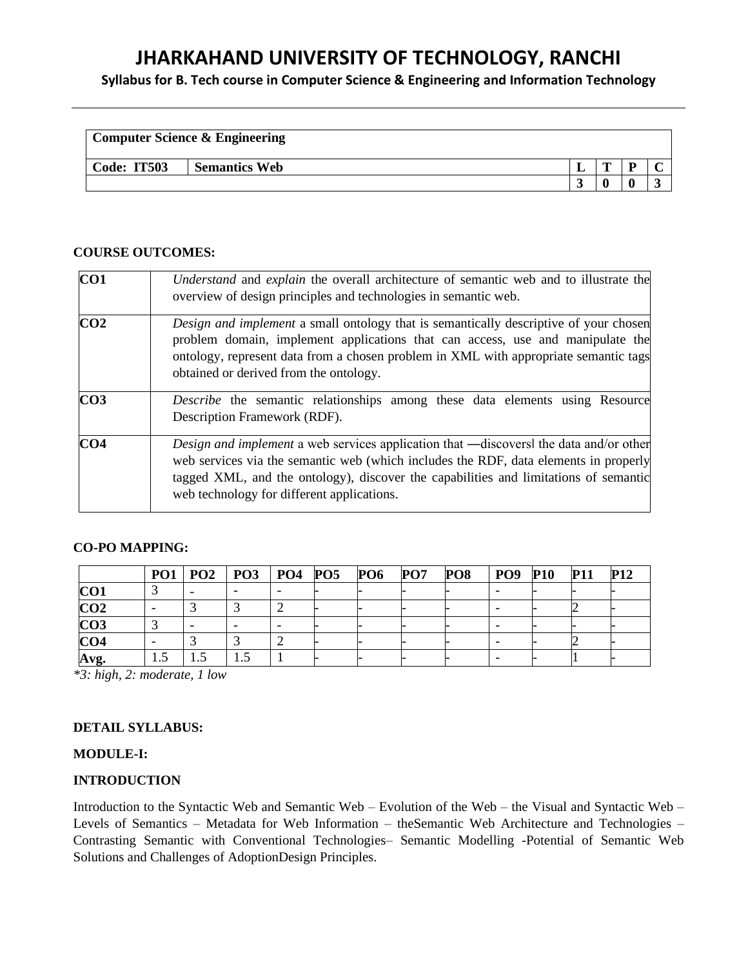**Syllabus for B. Tech course in Computer Science & Engineering and Information Technology**

|             | <b>Computer Science &amp; Engineering</b> |   |    |  |
|-------------|-------------------------------------------|---|----|--|
| Code: IT503 | <b>Semantics Web</b>                      | m | 'n |  |
|             |                                           |   |    |  |

#### **COURSE OUTCOMES:**

| CO <sub>1</sub> | Understand and explain the overall architecture of semantic web and to illustrate the<br>overview of design principles and technologies in semantic web.                                                                                                                                                                   |
|-----------------|----------------------------------------------------------------------------------------------------------------------------------------------------------------------------------------------------------------------------------------------------------------------------------------------------------------------------|
| CO <sub>2</sub> | <i>Design and implement</i> a small ontology that is semantically descriptive of your chosen<br>problem domain, implement applications that can access, use and manipulate the<br>ontology, represent data from a chosen problem in XML with appropriate semantic tags<br>obtained or derived from the ontology.           |
| CO <sub>3</sub> | <i>Describe</i> the semantic relationships among these data elements using Resource<br>Description Framework (RDF).                                                                                                                                                                                                        |
| CO <sub>4</sub> | <i>Design and implement</i> a web services application that —discovers the data and/or other<br>web services via the semantic web (which includes the RDF, data elements in properly<br>tagged XML, and the ontology), discover the capabilities and limitations of semantic<br>web technology for different applications. |

#### **CO-PO MAPPING:**

|                 |      |     | PO1   PO2   PO3   PO4   PO5 |  | <b>PO6</b> | PO7 | PO <sub>8</sub> | PO <sub>9</sub> | <b>P10</b> | <b>P11</b> | <b>P12</b> |
|-----------------|------|-----|-----------------------------|--|------------|-----|-----------------|-----------------|------------|------------|------------|
| CO <sub>1</sub> |      |     |                             |  |            |     |                 |                 |            |            |            |
| CO <sub>2</sub> |      |     |                             |  |            |     |                 |                 |            |            |            |
| CO <sub>3</sub> |      |     |                             |  |            |     |                 |                 |            |            |            |
| CO <sub>4</sub> |      |     |                             |  |            |     |                 |                 |            |            |            |
| Avg.            | ر. د | 1.5 |                             |  |            |     |                 |                 |            |            |            |

*\*3: high, 2: moderate, 1 low*

#### **DETAIL SYLLABUS:**

### **MODULE-I:**

#### **INTRODUCTION**

Introduction to the Syntactic Web and Semantic Web – Evolution of the Web – the Visual and Syntactic Web – Levels of Semantics – Metadata for Web Information – theSemantic Web Architecture and Technologies – Contrasting Semantic with Conventional Technologies– Semantic Modelling -Potential of Semantic Web Solutions and Challenges of AdoptionDesign Principles.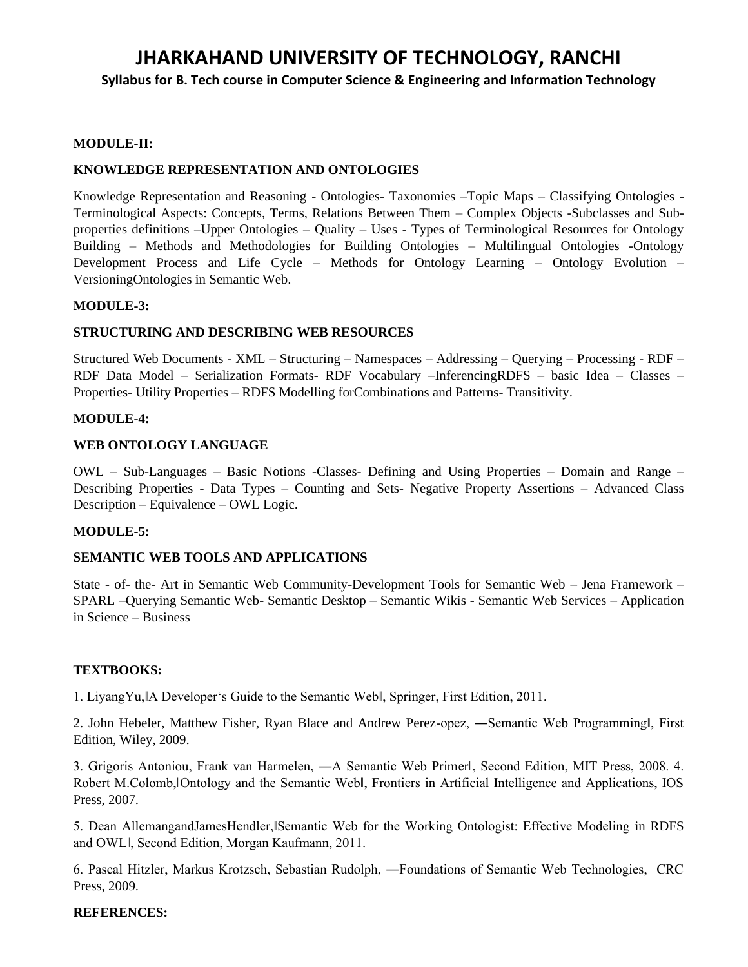**Syllabus for B. Tech course in Computer Science & Engineering and Information Technology**

#### **MODULE-II:**

#### **KNOWLEDGE REPRESENTATION AND ONTOLOGIES**

Knowledge Representation and Reasoning - Ontologies- Taxonomies –Topic Maps – Classifying Ontologies - Terminological Aspects: Concepts, Terms, Relations Between Them – Complex Objects -Subclasses and Subproperties definitions –Upper Ontologies – Quality – Uses - Types of Terminological Resources for Ontology Building – Methods and Methodologies for Building Ontologies – Multilingual Ontologies -Ontology Development Process and Life Cycle – Methods for Ontology Learning – Ontology Evolution – VersioningOntologies in Semantic Web.

#### **MODULE-3:**

#### **STRUCTURING AND DESCRIBING WEB RESOURCES**

Structured Web Documents - XML – Structuring – Namespaces – Addressing – Querying – Processing - RDF – RDF Data Model – Serialization Formats- RDF Vocabulary –InferencingRDFS – basic Idea – Classes – Properties- Utility Properties – RDFS Modelling forCombinations and Patterns- Transitivity.

#### **MODULE-4:**

#### **WEB ONTOLOGY LANGUAGE**

OWL – Sub-Languages – Basic Notions -Classes- Defining and Using Properties – Domain and Range – Describing Properties - Data Types – Counting and Sets- Negative Property Assertions – Advanced Class Description – Equivalence – OWL Logic.

#### **MODULE-5:**

#### **SEMANTIC WEB TOOLS AND APPLICATIONS**

State - of- the- Art in Semantic Web Community-Development Tools for Semantic Web – Jena Framework – SPARL –Querying Semantic Web- Semantic Desktop – Semantic Wikis - Semantic Web Services – Application in Science – Business

#### **TEXTBOOKS:**

1. LiyangYu,‖A Developer's Guide to the Semantic Web‖, Springer, First Edition, 2011.

2. John Hebeler, Matthew Fisher, Ryan Blace and Andrew Perez-opez, ―Semantic Web Programming‖, First Edition, Wiley, 2009.

3. Grigoris Antoniou, Frank van Harmelen, ―A Semantic Web Primer‖, Second Edition, MIT Press, 2008. 4. Robert M.Colomb, Ontology and the Semantic Web , Frontiers in Artificial Intelligence and Applications, IOS Press, 2007.

5. Dean AllemangandJamesHendler, Semantic Web for the Working Ontologist: Effective Modeling in RDFS and OWL‖, Second Edition, Morgan Kaufmann, 2011.

6. Pascal Hitzler, Markus Krotzsch, Sebastian Rudolph, ―Foundations of Semantic Web Technologies, CRC Press, 2009.

#### **REFERENCES:**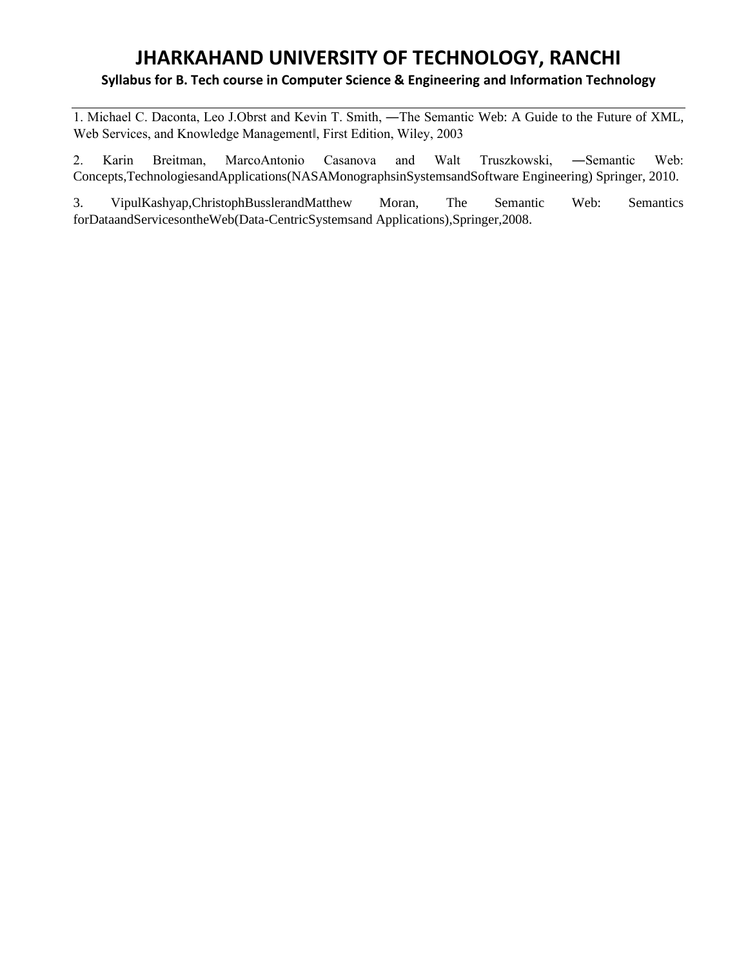# **JHARKAHAND UNIVERSITY OF TECHNOLOGY, RANCHI Syllabus for B. Tech course in Computer Science & Engineering and Information Technology**

1. Michael C. Daconta, Leo J.Obrst and Kevin T. Smith, ―The Semantic Web: A Guide to the Future of XML, Web Services, and Knowledge Management‖, First Edition, Wiley, 2003

2. Karin Breitman, MarcoAntonio Casanova and Walt Truszkowski, ―Semantic Web: Concepts,TechnologiesandApplications(NASAMonographsinSystemsandSoftware Engineering) Springer, 2010.

3. VipulKashyap,ChristophBusslerandMatthew Moran, The Semantic Web: Semantics forDataandServicesontheWeb(Data-CentricSystemsand Applications),Springer,2008.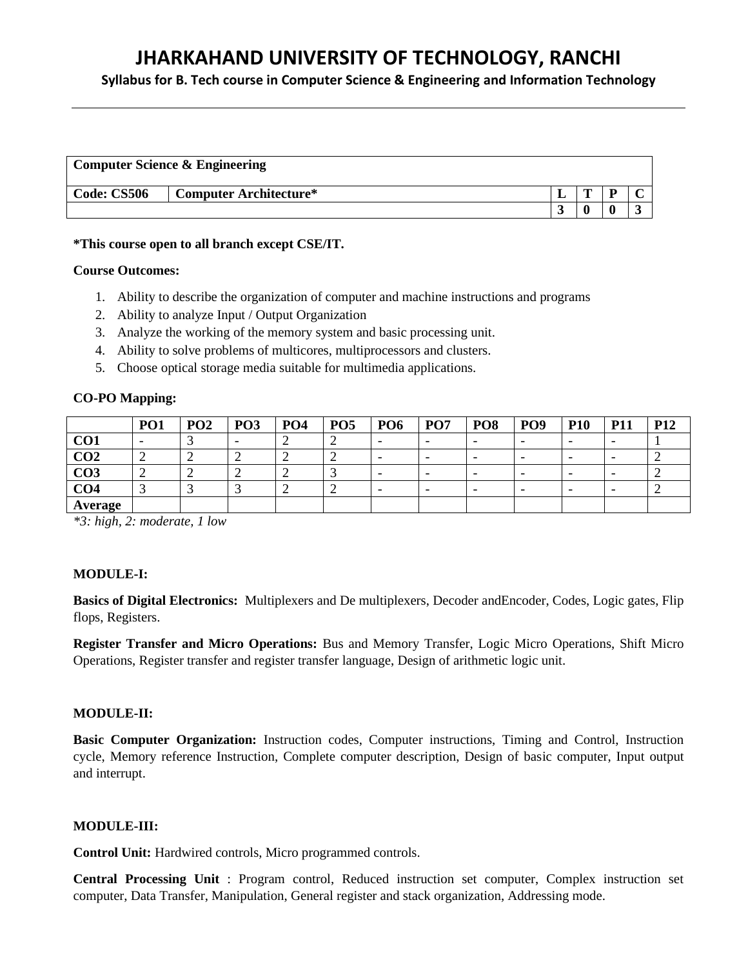**Syllabus for B. Tech course in Computer Science & Engineering and Information Technology**

|                    | <b>Computer Science &amp; Engineering</b> |   |           |
|--------------------|-------------------------------------------|---|-----------|
| <b>Code: CS506</b> | Computer Architecture*                    | m |           |
|                    |                                           |   | $\bullet$ |

#### **\*This course open to all branch except CSE/IT.**

### **Course Outcomes:**

- 1. Ability to describe the organization of computer and machine instructions and programs
- 2. Ability to analyze Input / Output Organization
- 3. Analyze the working of the memory system and basic processing unit.
- 4. Ability to solve problems of multicores, multiprocessors and clusters.
- 5. Choose optical storage media suitable for multimedia applications.

# **CO-PO Mapping:**

|                 | PO <sub>1</sub> | PO <sub>2</sub> | PO <sub>3</sub> | PO <sub>4</sub> | PO <sub>5</sub> | PO <sub>6</sub>          | <b>PO7</b> | PO <sub>8</sub> | PO <sub>9</sub>          | <b>P10</b> | <b>P11</b>               | <b>P12</b> |
|-----------------|-----------------|-----------------|-----------------|-----------------|-----------------|--------------------------|------------|-----------------|--------------------------|------------|--------------------------|------------|
| CO <sub>1</sub> |                 |                 | -               |                 |                 | $\overline{\phantom{0}}$ |            |                 | $\overline{\phantom{0}}$ | -          | -                        |            |
| CO <sub>2</sub> | ∼               | ∽               | ∸               | ∼               |                 | $\overline{\phantom{0}}$ |            |                 | $\overline{\phantom{0}}$ | -          | $\overline{\phantom{0}}$ |            |
| CO <sub>3</sub> | ∼               | ↩               | ∸               |                 |                 | $\overline{\phantom{0}}$ |            |                 | $\overline{\phantom{0}}$ |            | -                        |            |
| CO <sub>4</sub> |                 |                 |                 |                 |                 | $\overline{\phantom{0}}$ |            | -               | $\overline{\phantom{0}}$ | -          | $\overline{\phantom{0}}$ |            |
| <b>Average</b>  |                 |                 |                 |                 |                 |                          |            |                 |                          |            |                          |            |

*\*3: high, 2: moderate, 1 low*

# **MODULE-I:**

**Basics of Digital Electronics:** Multiplexers and De multiplexers, Decoder andEncoder, Codes, Logic gates, Flip flops, Registers.

**Register Transfer and Micro Operations:** Bus and Memory Transfer, Logic Micro Operations, Shift Micro Operations, Register transfer and register transfer language, Design of arithmetic logic unit.

#### **MODULE-II:**

**Basic Computer Organization:** Instruction codes, Computer instructions, Timing and Control, Instruction cycle, Memory reference Instruction, Complete computer description, Design of basic computer, Input output and interrupt.

#### **MODULE-III:**

**Control Unit:** Hardwired controls, Micro programmed controls.

**Central Processing Unit** : Program control, Reduced instruction set computer, Complex instruction set computer, Data Transfer, Manipulation, General register and stack organization, Addressing mode.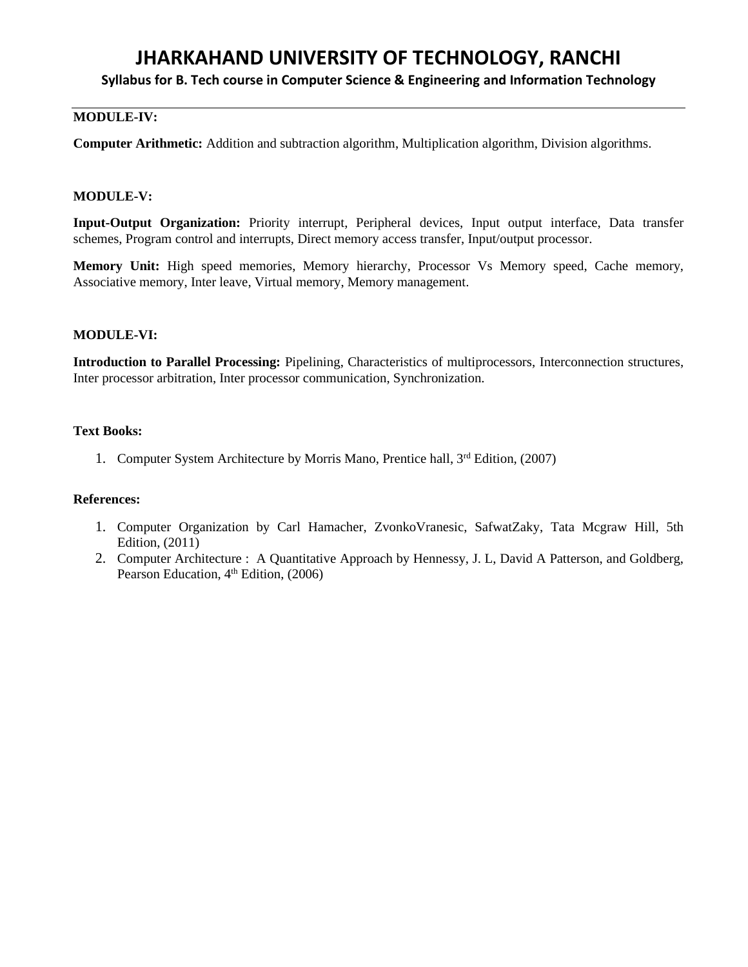**Syllabus for B. Tech course in Computer Science & Engineering and Information Technology**

# **MODULE-IV:**

**Computer Arithmetic:** Addition and subtraction algorithm, Multiplication algorithm, Division algorithms.

#### **MODULE-V:**

**Input-Output Organization:** Priority interrupt, Peripheral devices, Input output interface, Data transfer schemes, Program control and interrupts, Direct memory access transfer, Input/output processor.

**Memory Unit:** High speed memories, Memory hierarchy, Processor Vs Memory speed, Cache memory, Associative memory, Inter leave, Virtual memory, Memory management.

#### **MODULE-VI:**

**Introduction to Parallel Processing:** Pipelining, Characteristics of multiprocessors, Interconnection structures, Inter processor arbitration, Inter processor communication, Synchronization.

#### **Text Books:**

1. Computer System Architecture by Morris Mano, Prentice hall,  $3<sup>rd</sup>$  Edition, (2007)

#### **References:**

- 1. Computer Organization by Carl Hamacher, ZvonkoVranesic, SafwatZaky, Tata Mcgraw Hill, 5th Edition, (2011)
- 2. Computer Architecture : A Quantitative Approach by Hennessy, J. L, David A Patterson, and Goldberg, Pearson Education, 4<sup>th</sup> Edition, (2006)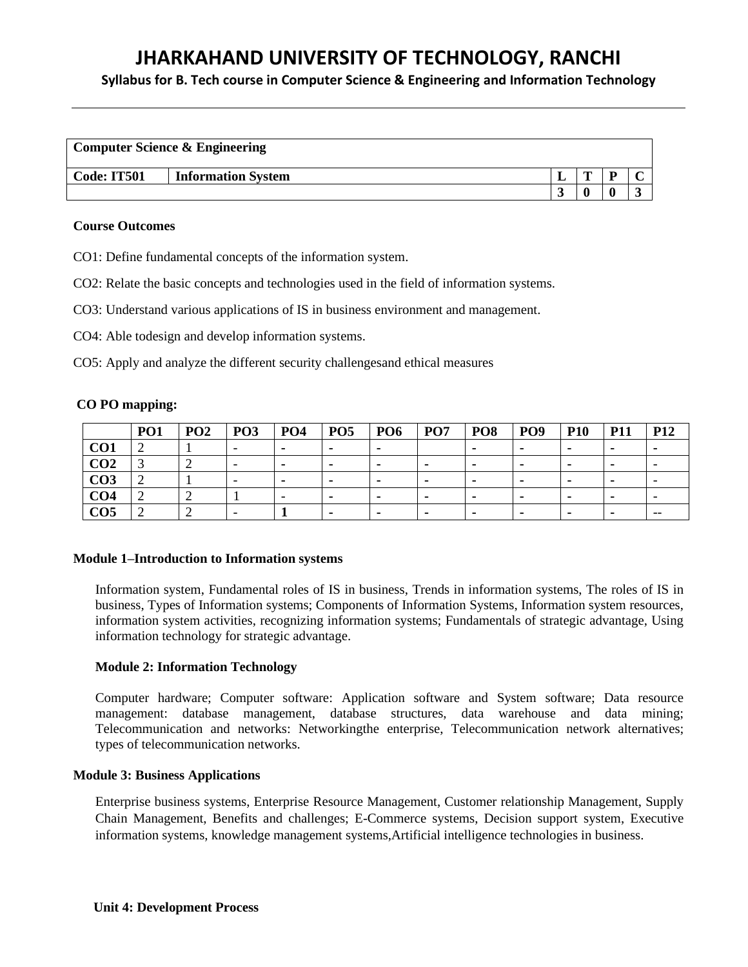**Syllabus for B. Tech course in Computer Science & Engineering and Information Technology**

|                    | <b>Computer Science &amp; Engineering</b> |   |  |
|--------------------|-------------------------------------------|---|--|
| <b>Code: IT501</b> | <b>Information System</b>                 | m |  |
|                    |                                           |   |  |

#### **Course Outcomes**

CO1: Define fundamental concepts of the information system.

CO2: Relate the basic concepts and technologies used in the field of information systems.

CO3: Understand various applications of IS in business environment and management.

CO4: Able todesign and develop information systems.

CO5: Apply and analyze the different security challengesand ethical measures

#### **CO PO mapping:**

|                 | PO <sub>1</sub> | PO <sub>2</sub> | PO <sub>3</sub> | PO <sub>4</sub> | PO <sub>5</sub> | PO <sub>6</sub> | PO <sub>7</sub> | PO <sub>8</sub>          | PO <sub>9</sub> | <b>P10</b> | <b>P11</b> | <b>P12</b>               |
|-----------------|-----------------|-----------------|-----------------|-----------------|-----------------|-----------------|-----------------|--------------------------|-----------------|------------|------------|--------------------------|
| CO <sub>1</sub> |                 |                 |                 |                 | $\blacksquare$  |                 |                 |                          |                 |            |            | ۰                        |
| CO <sub>2</sub> |                 |                 |                 |                 |                 | -               |                 |                          |                 |            |            |                          |
| CO <sub>3</sub> |                 |                 |                 |                 |                 | -               | $\blacksquare$  | $\overline{\phantom{a}}$ |                 |            |            | $\overline{\phantom{0}}$ |
| CO <sub>4</sub> |                 |                 |                 |                 |                 |                 |                 |                          |                 |            |            | $\overline{\phantom{0}}$ |
| CO5             |                 |                 |                 |                 |                 |                 |                 |                          |                 |            |            | $- -$                    |

#### **Module 1–Introduction to Information systems**

Information system, Fundamental roles of IS in business, Trends in information systems, The roles of IS in business, Types of Information systems; Components of Information Systems, Information system resources, information system activities, recognizing information systems; Fundamentals of strategic advantage, Using information technology for strategic advantage.

#### **Module 2: Information Technology**

Computer hardware; Computer software: Application software and System software; Data resource management: database management, database structures, data warehouse and data mining; Telecommunication and networks: Networkingthe enterprise, Telecommunication network alternatives; types of telecommunication networks.

#### **Module 3: Business Applications**

Enterprise business systems, Enterprise Resource Management, Customer relationship Management, Supply Chain Management, Benefits and challenges; E-Commerce systems, Decision support system, Executive information systems, knowledge management systems,Artificial intelligence technologies in business.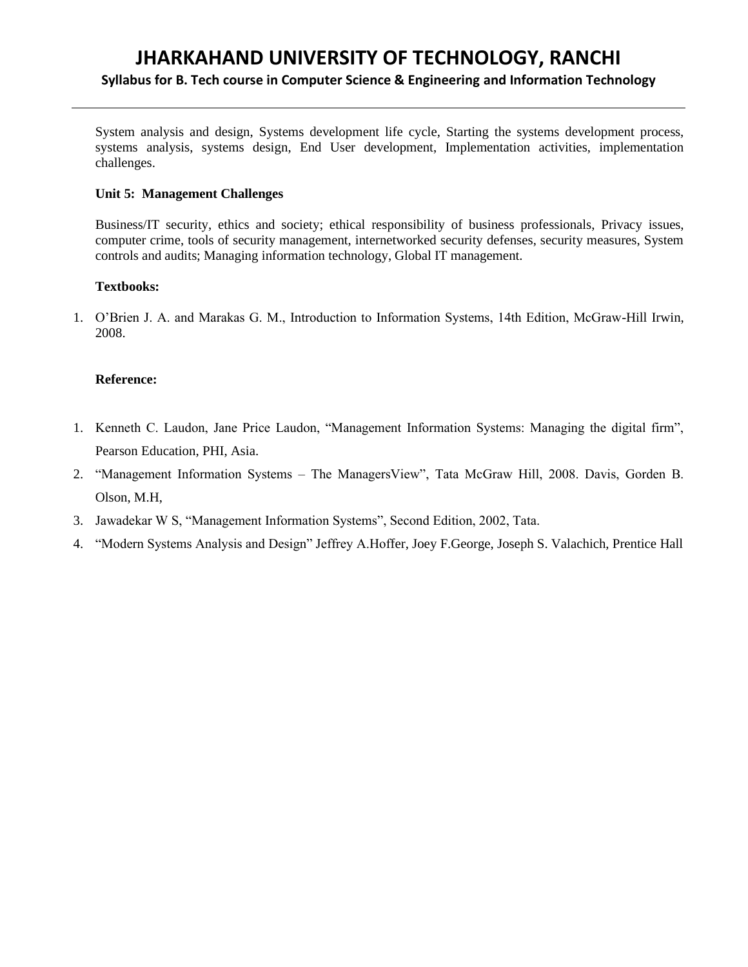# **JHARKAHAND UNIVERSITY OF TECHNOLOGY, RANCHI Syllabus for B. Tech course in Computer Science & Engineering and Information Technology**

System analysis and design, Systems development life cycle, Starting the systems development process, systems analysis, systems design, End User development, Implementation activities, implementation challenges.

# **Unit 5: Management Challenges**

Business/IT security, ethics and society; ethical responsibility of business professionals, Privacy issues, computer crime, tools of security management, internetworked security defenses, security measures, System controls and audits; Managing information technology, Global IT management.

#### **Textbooks:**

1. O'Brien J. A. and Marakas G. M., Introduction to Information Systems, 14th Edition, McGraw-Hill Irwin, 2008.

#### **Reference:**

- 1. Kenneth C. Laudon, Jane Price Laudon, "Management Information Systems: Managing the digital firm", Pearson Education, PHI, Asia.
- 2. "Management Information Systems The ManagersView", Tata McGraw Hill, 2008. Davis, Gorden B. Olson, M.H,
- 3. Jawadekar W S, "Management Information Systems", Second Edition, 2002, Tata.
- 4. "Modern Systems Analysis and Design" Jeffrey A.Hoffer, Joey F.George, Joseph S. Valachich, Prentice Hall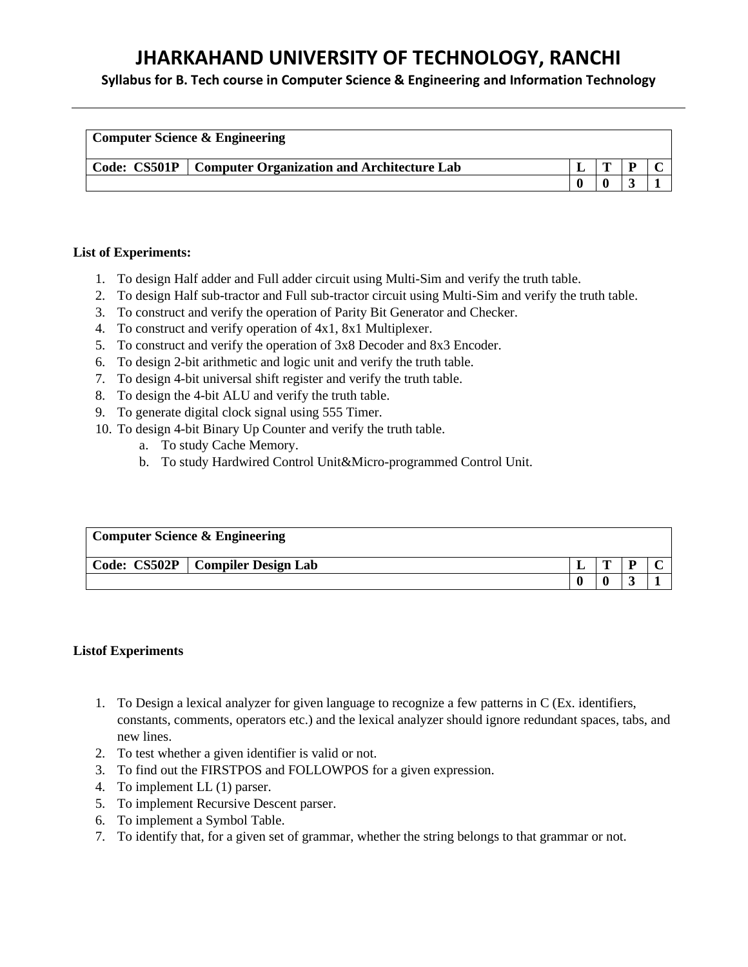**Syllabus for B. Tech course in Computer Science & Engineering and Information Technology**

| <b>Computer Science &amp; Engineering</b>                 |  |  |
|-----------------------------------------------------------|--|--|
| Code: CS501P   Computer Organization and Architecture Lab |  |  |
|                                                           |  |  |

# **List of Experiments:**

- 1. To design Half adder and Full adder circuit using Multi-Sim and verify the truth table.
- 2. To design Half sub-tractor and Full sub-tractor circuit using Multi-Sim and verify the truth table.
- 3. To construct and verify the operation of Parity Bit Generator and Checker.
- 4. To construct and verify operation of 4x1, 8x1 Multiplexer.
- 5. To construct and verify the operation of 3x8 Decoder and 8x3 Encoder.
- 6. To design 2-bit arithmetic and logic unit and verify the truth table.
- 7. To design 4-bit universal shift register and verify the truth table.
- 8. To design the 4-bit ALU and verify the truth table.
- 9. To generate digital clock signal using 555 Timer.
- 10. To design 4-bit Binary Up Counter and verify the truth table.
	- a. To study Cache Memory.
	- b. To study Hardwired Control Unit&Micro-programmed Control Unit.

| <b>Computer Science &amp; Engineering</b> |                                    |   |   |  |
|-------------------------------------------|------------------------------------|---|---|--|
|                                           | Code: CS502P   Compiler Design Lab | m | ח |  |
|                                           |                                    |   |   |  |

# **Listof Experiments**

- 1. To Design a lexical analyzer for given language to recognize a few patterns in C (Ex. identifiers, constants, comments, operators etc.) and the lexical analyzer should ignore redundant spaces, tabs, and new lines.
- 2. To test whether a given identifier is valid or not.
- 3. To find out the FIRSTPOS and FOLLOWPOS for a given expression.
- 4. To implement LL (1) parser.
- 5. To implement Recursive Descent parser.
- 6. To implement a Symbol Table.
- 7. To identify that, for a given set of grammar, whether the string belongs to that grammar or not.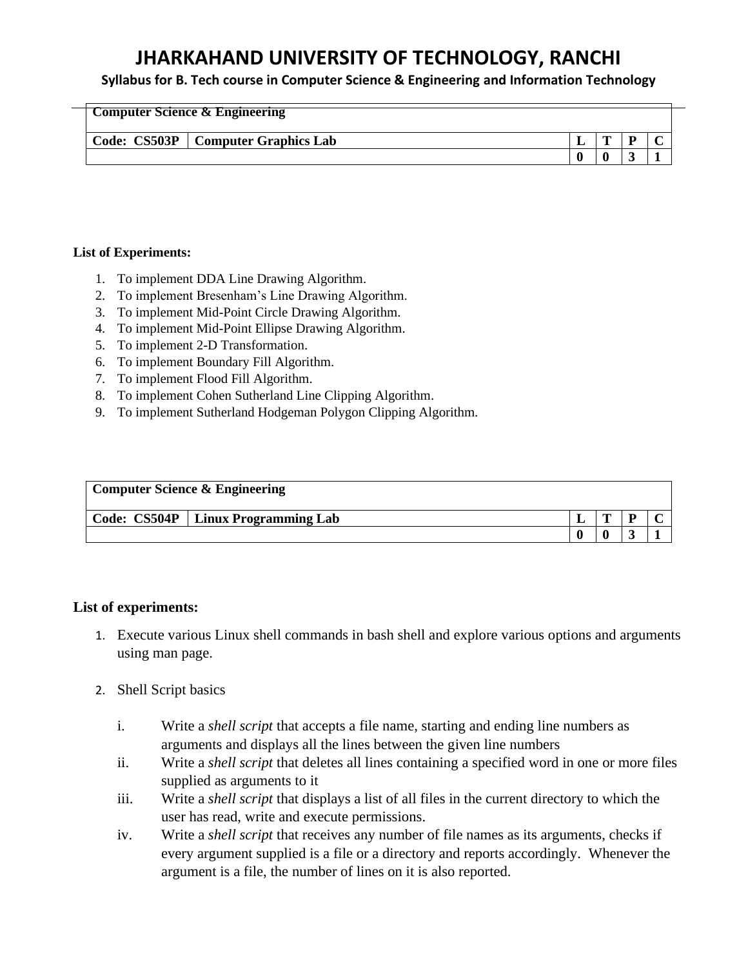# **Syllabus for B. Tech course in Computer Science & Engineering and Information Technology**

| <b>Computer Science &amp; Engineering</b> |   |  |
|-------------------------------------------|---|--|
| Code: CS503P   Computer Graphics Lab      | m |  |
|                                           |   |  |

# **List of Experiments:**

- 1. To implement DDA Line Drawing Algorithm.
- 2. To implement Bresenham's Line Drawing Algorithm.
- 3. To implement Mid-Point Circle Drawing Algorithm.
- 4. To implement Mid-Point Ellipse Drawing Algorithm.
- 5. To implement 2-D Transformation.
- 6. To implement Boundary Fill Algorithm.
- 7. To implement Flood Fill Algorithm.
- 8. To implement Cohen Sutherland Line Clipping Algorithm.
- 9. To implement Sutherland Hodgeman Polygon Clipping Algorithm.

| <b>Computer Science &amp; Engineering</b> |   |  |
|-------------------------------------------|---|--|
| Code: CS504P   Linux Programming Lab      | m |  |
|                                           |   |  |

# **List of experiments:**

- 1. Execute various Linux shell commands in bash shell and explore various options and arguments using man page.
- 2. Shell Script basics
	- i. Write a *shell script* that accepts a file name, starting and ending line numbers as arguments and displays all the lines between the given line numbers
	- ii. Write a *shell script* that deletes all lines containing a specified word in one or more files supplied as arguments to it
	- iii. Write a *shell script* that displays a list of all files in the current directory to which the user has read, write and execute permissions.
	- iv. Write a *shell script* that receives any number of file names as its arguments, checks if every argument supplied is a file or a directory and reports accordingly. Whenever the argument is a file, the number of lines on it is also reported.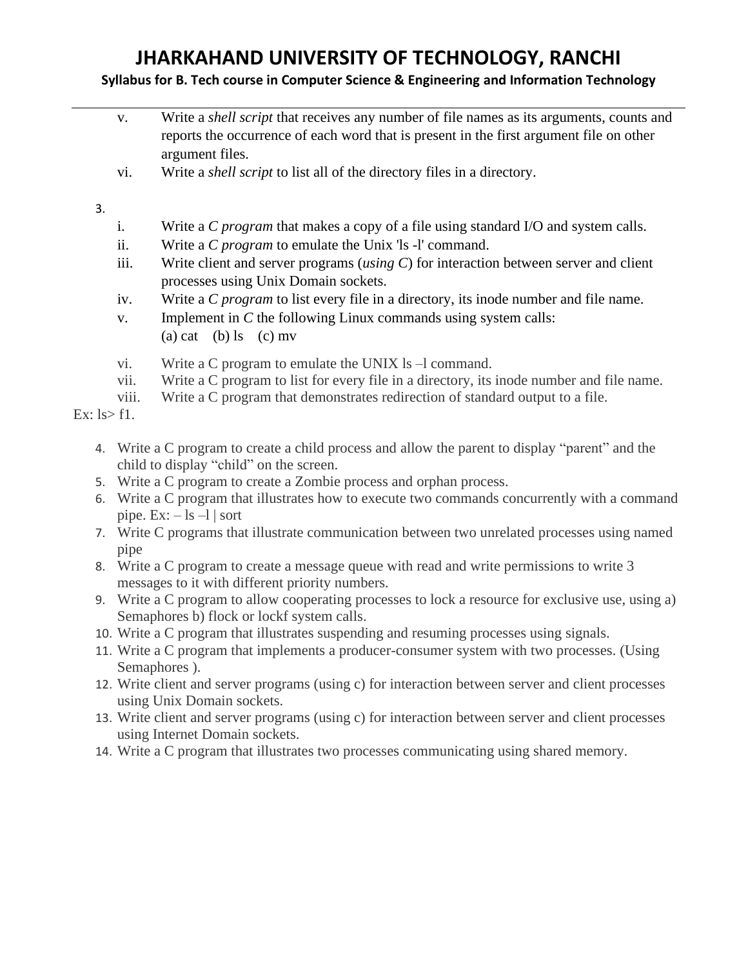# **Syllabus for B. Tech course in Computer Science & Engineering and Information Technology**

|              | V.    | Write a <i>shell script</i> that receives any number of file names as its arguments, counts and<br>reports the occurrence of each word that is present in the first argument file on other<br>argument files. |
|--------------|-------|---------------------------------------------------------------------------------------------------------------------------------------------------------------------------------------------------------------|
|              | vi.   | Write a <i>shell script</i> to list all of the directory files in a directory.                                                                                                                                |
| 3.           |       |                                                                                                                                                                                                               |
|              | i.    | Write a <i>C</i> program that makes a copy of a file using standard I/O and system calls.                                                                                                                     |
|              | ii.   | Write a <i>C</i> program to emulate the Unix 'ls -l' command.                                                                                                                                                 |
|              | iii.  | Write client and server programs (using $C$ ) for interaction between server and client<br>processes using Unix Domain sockets.                                                                               |
|              | iv.   | Write a C program to list every file in a directory, its inode number and file name.                                                                                                                          |
|              | V.    | Implement in $C$ the following Linux commands using system calls:<br>(a) cat (b) $\lg$ (c) mv                                                                                                                 |
|              | vi.   | Write a C program to emulate the UNIX $ls$ –1 command.                                                                                                                                                        |
|              | vii.  | Write a C program to list for every file in a directory, its inode number and file name.                                                                                                                      |
|              | viii. | Write a C program that demonstrates redirection of standard output to a file.                                                                                                                                 |
| Ex: ls > f1. |       |                                                                                                                                                                                                               |
| 4.           |       | Write a C program to create a child process and allow the parent to display "parent" and the<br>child to display "child" on the screen.                                                                       |
| 5.           |       | Write a C program to create a Zombie process and orphan process.                                                                                                                                              |

- 6. Write a C program that illustrates how to execute two commands concurrently with a command pipe. Ex:  $-$  ls  $-$ l | sort
- 7. Write C programs that illustrate communication between two unrelated processes using named pipe
- 8. Write a C program to create a message queue with read and write permissions to write 3 messages to it with different priority numbers.
- 9. Write a C program to allow cooperating processes to lock a resource for exclusive use, using a) Semaphores b) flock or lockf system calls.
- 10. Write a C program that illustrates suspending and resuming processes using signals.
- 11. Write a C program that implements a producer-consumer system with two processes. (Using Semaphores ).
- 12. Write client and server programs (using c) for interaction between server and client processes using Unix Domain sockets.
- 13. Write client and server programs (using c) for interaction between server and client processes using Internet Domain sockets.
- 14. Write a C program that illustrates two processes communicating using shared memory.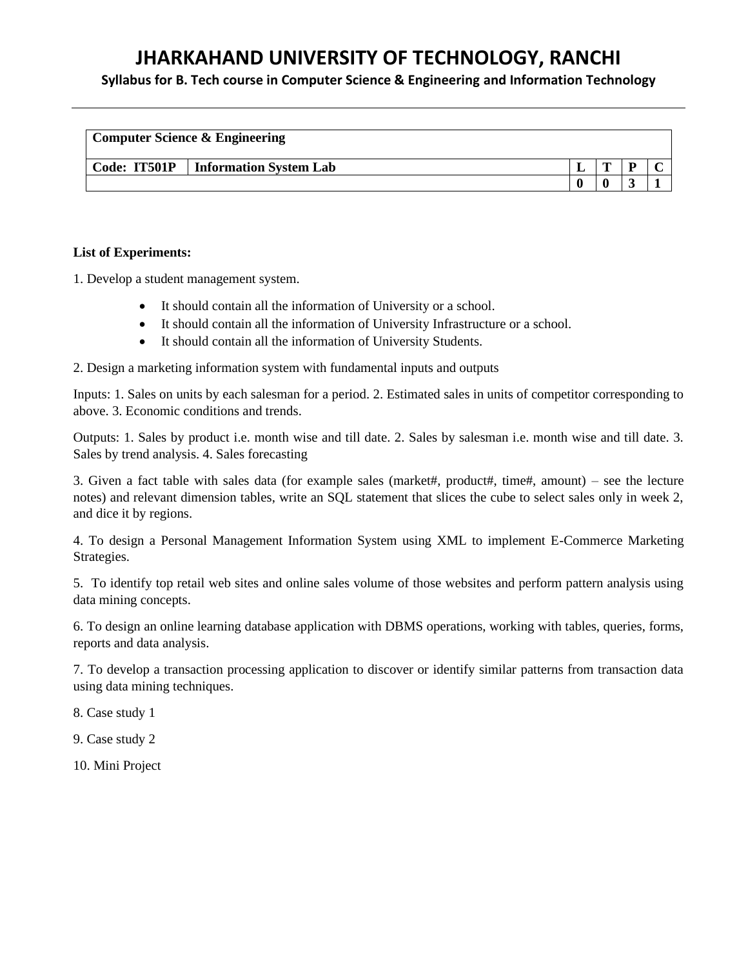**Syllabus for B. Tech course in Computer Science & Engineering and Information Technology**

| <b>Computer Science &amp; Engineering</b> |                        |  |  |  |  |
|-------------------------------------------|------------------------|--|--|--|--|
| Code: IT501P                              | Information System Lab |  |  |  |  |
|                                           |                        |  |  |  |  |

# **List of Experiments:**

1. Develop a student management system.

- It should contain all the information of University or a school.
- It should contain all the information of University Infrastructure or a school.
- It should contain all the information of University Students.

2. Design a marketing information system with fundamental inputs and outputs

Inputs: 1. Sales on units by each salesman for a period. 2. Estimated sales in units of competitor corresponding to above. 3. Economic conditions and trends.

Outputs: 1. Sales by product i.e. month wise and till date. 2. Sales by salesman i.e. month wise and till date. 3. Sales by trend analysis. 4. Sales forecasting

3. Given a fact table with sales data (for example sales (market#, product#, time#, amount) – see the lecture notes) and relevant dimension tables, write an SQL statement that slices the cube to select sales only in week 2, and dice it by regions.

4. To design a Personal Management Information System using XML to implement E-Commerce Marketing Strategies.

5. To identify top retail web sites and online sales volume of those websites and perform pattern analysis using data mining concepts.

6. To design an online learning database application with DBMS operations, working with tables, queries, forms, reports and data analysis.

7. To develop a transaction processing application to discover or identify similar patterns from transaction data using data mining techniques.

8. Case study 1

9. Case study 2

10. Mini Project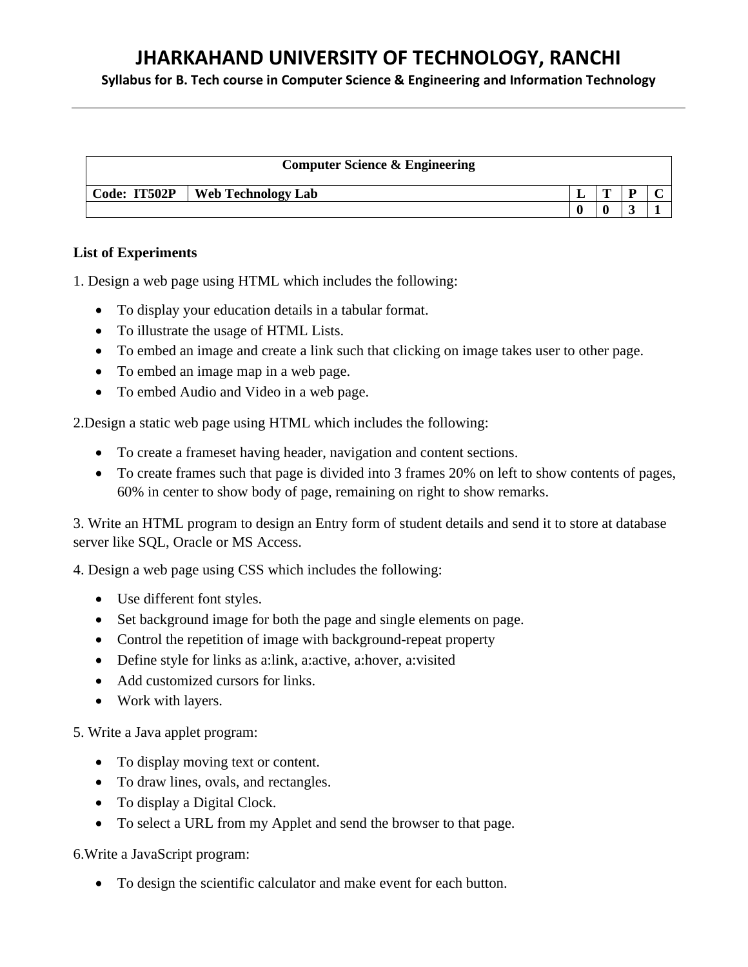**Syllabus for B. Tech course in Computer Science & Engineering and Information Technology**

| <b>Computer Science &amp; Engineering</b> |   |   |  |
|-------------------------------------------|---|---|--|
| Code: IT502P   Web Technology Lab         | m | D |  |
|                                           |   |   |  |

# **List of Experiments**

1. Design a web page using HTML which includes the following:

- To display your education details in a tabular format.
- To illustrate the usage of HTML Lists.
- To embed an image and create a link such that clicking on image takes user to other page.
- To embed an image map in a web page.
- To embed Audio and Video in a web page.

2.Design a static web page using HTML which includes the following:

- To create a frameset having header, navigation and content sections.
- To create frames such that page is divided into 3 frames 20% on left to show contents of pages, 60% in center to show body of page, remaining on right to show remarks.

3. Write an HTML program to design an Entry form of student details and send it to store at database server like SQL, Oracle or MS Access.

4. Design a web page using CSS which includes the following:

- Use different font styles.
- Set background image for both the page and single elements on page.
- Control the repetition of image with background-repeat property
- Define style for links as a:link, a:active, a:hover, a:visited
- Add customized cursors for links.
- Work with layers.

5. Write a Java applet program:

- To display moving text or content.
- To draw lines, ovals, and rectangles.
- To display a Digital Clock.
- To select a URL from my Applet and send the browser to that page.

6.Write a JavaScript program:

• To design the scientific calculator and make event for each button.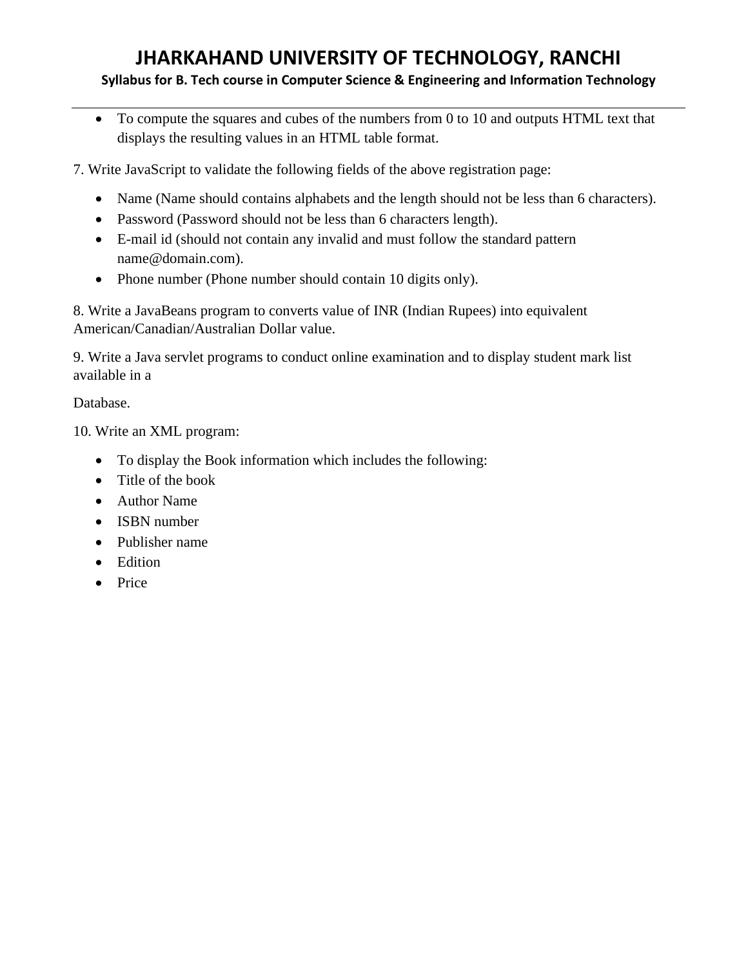# **Syllabus for B. Tech course in Computer Science & Engineering and Information Technology**

• To compute the squares and cubes of the numbers from 0 to 10 and outputs HTML text that displays the resulting values in an HTML table format.

7. Write JavaScript to validate the following fields of the above registration page:

- Name (Name should contains alphabets and the length should not be less than 6 characters).
- Password (Password should not be less than 6 characters length).
- E-mail id (should not contain any invalid and must follow the standard pattern name@domain.com).
- Phone number (Phone number should contain 10 digits only).

8. Write a JavaBeans program to converts value of INR (Indian Rupees) into equivalent American/Canadian/Australian Dollar value.

9. Write a Java servlet programs to conduct online examination and to display student mark list available in a

Database.

10. Write an XML program:

- To display the Book information which includes the following:
- Title of the book
- Author Name
- ISBN number
- Publisher name
- Edition
- Price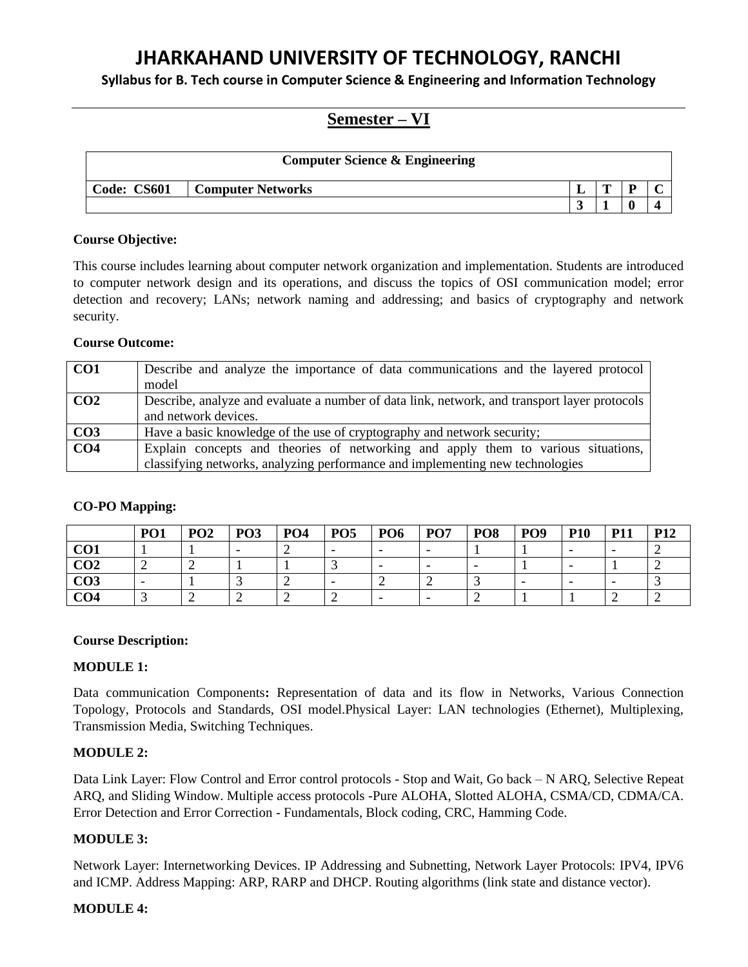**Syllabus for B. Tech course in Computer Science & Engineering and Information Technology**

# **Semester – VI**

|             | <b>Computer Science &amp; Engineering</b> |   |  |
|-------------|-------------------------------------------|---|--|
| Code: CS601 | <b>Computer Networks</b>                  | m |  |
|             |                                           |   |  |

# **Course Objective:**

This course includes learning about computer network organization and implementation. Students are introduced to computer network design and its operations, and discuss the topics of OSI communication model; error detection and recovery; LANs; network naming and addressing; and basics of cryptography and network security.

# **Course Outcome:**

| CO1             | Describe and analyze the importance of data communications and the layered protocol<br>model                         |
|-----------------|----------------------------------------------------------------------------------------------------------------------|
| CO <sub>2</sub> | Describe, analyze and evaluate a number of data link, network, and transport layer protocols<br>and network devices. |
| CO <sub>3</sub> | Have a basic knowledge of the use of cryptography and network security;                                              |
| CO <sub>4</sub> | Explain concepts and theories of networking and apply them to various situations,                                    |
|                 | classifying networks, analyzing performance and implementing new technologies                                        |

# **CO-PO Mapping:**

|                 | PO <sub>1</sub> | PO <sub>2</sub> | PO <sub>3</sub> | <b>PO4</b> | PO <sub>5</sub> | PO <sub>6</sub> | PO <sub>7</sub> | PO <sub>8</sub> | PO <sub>9</sub> | <b>P10</b>               | <b>P11</b> | P12 |
|-----------------|-----------------|-----------------|-----------------|------------|-----------------|-----------------|-----------------|-----------------|-----------------|--------------------------|------------|-----|
| CO <sub>1</sub> |                 |                 |                 |            |                 |                 | -               |                 |                 | -                        |            |     |
| CO <sub>2</sub> |                 |                 |                 |            |                 |                 | -               |                 |                 |                          |            |     |
| CO <sub>3</sub> |                 |                 |                 |            |                 |                 |                 |                 |                 | $\overline{\phantom{0}}$ |            |     |
| CO <sub>4</sub> |                 |                 |                 |            |                 |                 | -               |                 |                 |                          |            |     |

# **Course Description:**

# **MODULE 1:**

Data communication Components**:** Representation of data and its flow in Networks, Various Connection Topology, Protocols and Standards, OSI model.Physical Layer: LAN technologies (Ethernet), Multiplexing, Transmission Media, Switching Techniques.

# **MODULE 2:**

Data Link Layer: Flow Control and Error control protocols - Stop and Wait, Go back – N ARQ, Selective Repeat ARQ, and Sliding Window. Multiple access protocols -Pure ALOHA, Slotted ALOHA, CSMA/CD, CDMA/CA. Error Detection and Error Correction - Fundamentals, Block coding, CRC, Hamming Code.

# **MODULE 3:**

Network Layer: Internetworking Devices. IP Addressing and Subnetting, Network Layer Protocols: IPV4, IPV6 and ICMP. Address Mapping: ARP, RARP and DHCP. Routing algorithms (link state and distance vector).

# **MODULE 4:**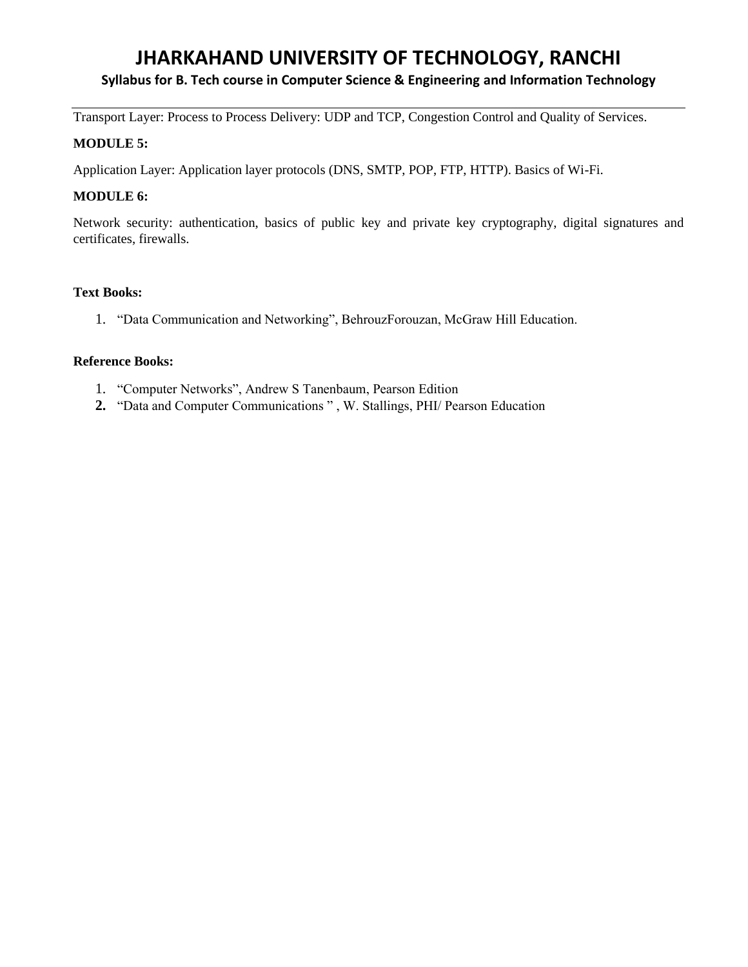# **Syllabus for B. Tech course in Computer Science & Engineering and Information Technology**

Transport Layer: Process to Process Delivery: UDP and TCP, Congestion Control and Quality of Services.

#### **MODULE 5:**

Application Layer: Application layer protocols (DNS, SMTP, POP, FTP, HTTP). Basics of Wi-Fi.

# **MODULE 6:**

Network security: authentication, basics of public key and private key cryptography, digital signatures and certificates, firewalls.

#### **Text Books:**

1. "Data Communication and Networking", BehrouzForouzan, McGraw Hill Education.

#### **Reference Books:**

- 1. "Computer Networks", Andrew S Tanenbaum, Pearson Edition
- **2.** "Data and Computer Communications " , W. Stallings, PHI/ Pearson Education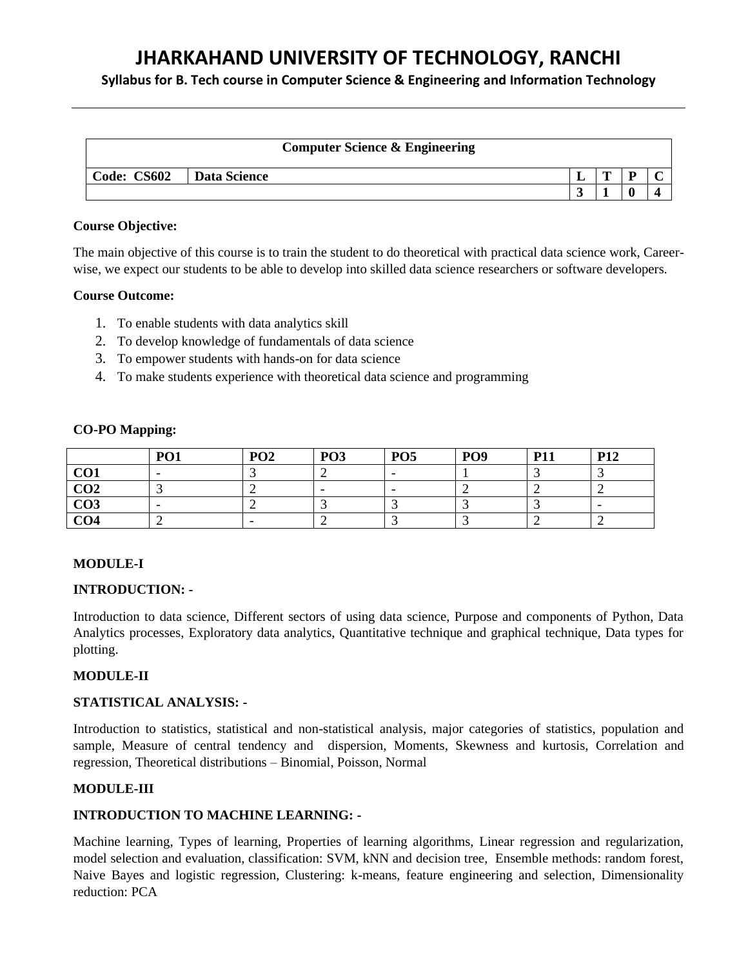**Syllabus for B. Tech course in Computer Science & Engineering and Information Technology**

|             | <b>Computer Science &amp; Engineering</b> |   |   |  |
|-------------|-------------------------------------------|---|---|--|
| Code: CS602 | Data Science                              | m | n |  |
|             |                                           |   |   |  |

#### **Course Objective:**

The main objective of this course is to train the student to do theoretical with practical data science work, Careerwise, we expect our students to be able to develop into skilled data science researchers or software developers.

#### **Course Outcome:**

- 1. To enable students with data analytics skill
- 2. To develop knowledge of fundamentals of data science
- 3. To empower students with hands-on for data science
- 4. To make students experience with theoretical data science and programming

#### **CO-PO Mapping:**

|                 | <b>PO1</b>               | PO <sub>2</sub>          | <b>PO3</b>               | PO <sub>5</sub>          | <b>PO9</b> | <b>P11</b> | <b>P12</b> |
|-----------------|--------------------------|--------------------------|--------------------------|--------------------------|------------|------------|------------|
| CO <sub>1</sub> | $\overline{\phantom{0}}$ |                          |                          | $\overline{\phantom{0}}$ |            |            |            |
| CO <sub>2</sub> |                          |                          | $\overline{\phantom{0}}$ | -                        |            |            |            |
| CO <sub>3</sub> |                          |                          |                          |                          |            |            |            |
| CO <sub>4</sub> |                          | $\overline{\phantom{0}}$ |                          |                          |            |            |            |

# **MODULE-I**

#### **INTRODUCTION: -**

Introduction to data science, Different sectors of using data science, Purpose and components of Python, Data Analytics processes, Exploratory data analytics, Quantitative technique and graphical technique, Data types for plotting.

# **MODULE-II**

# **STATISTICAL ANALYSIS: -**

Introduction to statistics, statistical and non-statistical analysis, major categories of statistics, population and sample, Measure of central tendency and dispersion, Moments, Skewness and kurtosis, Correlation and regression, Theoretical distributions – Binomial, Poisson, Normal

# **MODULE-III**

# **INTRODUCTION TO MACHINE LEARNING: -**

Machine learning, Types of learning, Properties of learning algorithms, Linear regression and regularization, model selection and evaluation, classification: SVM, kNN and decision tree, Ensemble methods: random forest, Naive Bayes and logistic regression, Clustering: k-means, feature engineering and selection, Dimensionality reduction: PCA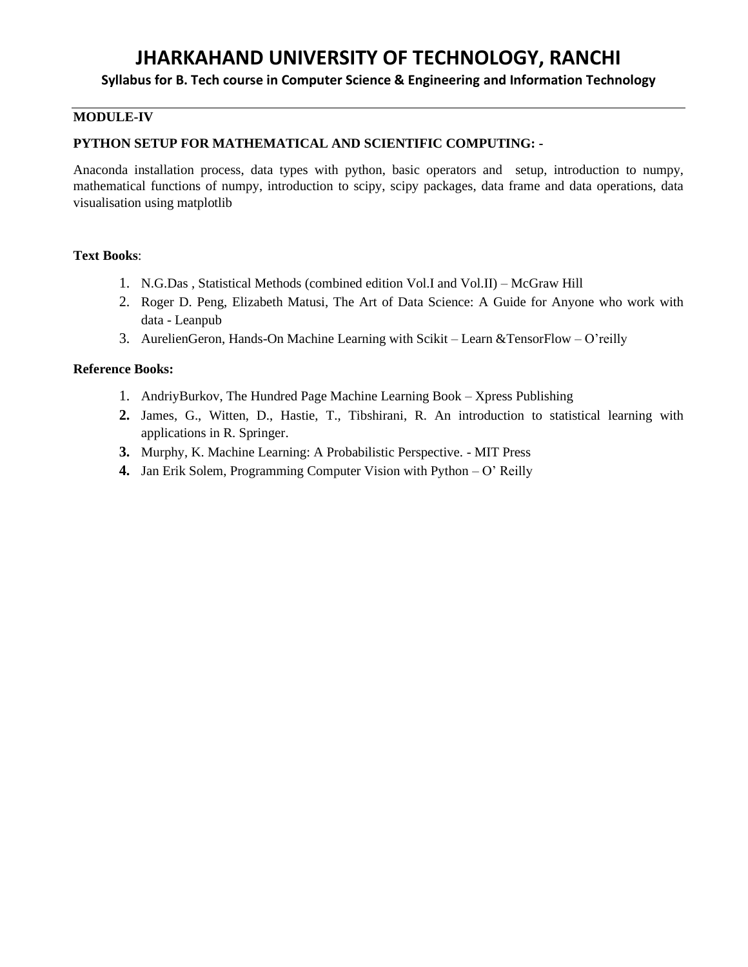# **Syllabus for B. Tech course in Computer Science & Engineering and Information Technology**

# **MODULE-IV**

#### **PYTHON SETUP FOR MATHEMATICAL AND SCIENTIFIC COMPUTING: -**

Anaconda installation process, data types with python, basic operators and setup, introduction to numpy, mathematical functions of numpy, introduction to scipy, scipy packages, data frame and data operations, data visualisation using matplotlib

### **Text Books**:

- 1. N.G.Das , Statistical Methods (combined edition Vol.I and Vol.II) McGraw Hill
- 2. Roger D. Peng, Elizabeth Matusi, The Art of Data Science: A Guide for Anyone who work with data - Leanpub
- 3. AurelienGeron, Hands-On Machine Learning with Scikit Learn &TensorFlow O'reilly

#### **Reference Books:**

- 1. AndriyBurkov, The Hundred Page Machine Learning Book Xpress Publishing
- **2.** James, G., Witten, D., Hastie, T., Tibshirani, R. An introduction to statistical learning with applications in R. Springer.
- **3.** Murphy, K. Machine Learning: A Probabilistic Perspective. MIT Press
- **4.** Jan Erik Solem, Programming Computer Vision with Python O' Reilly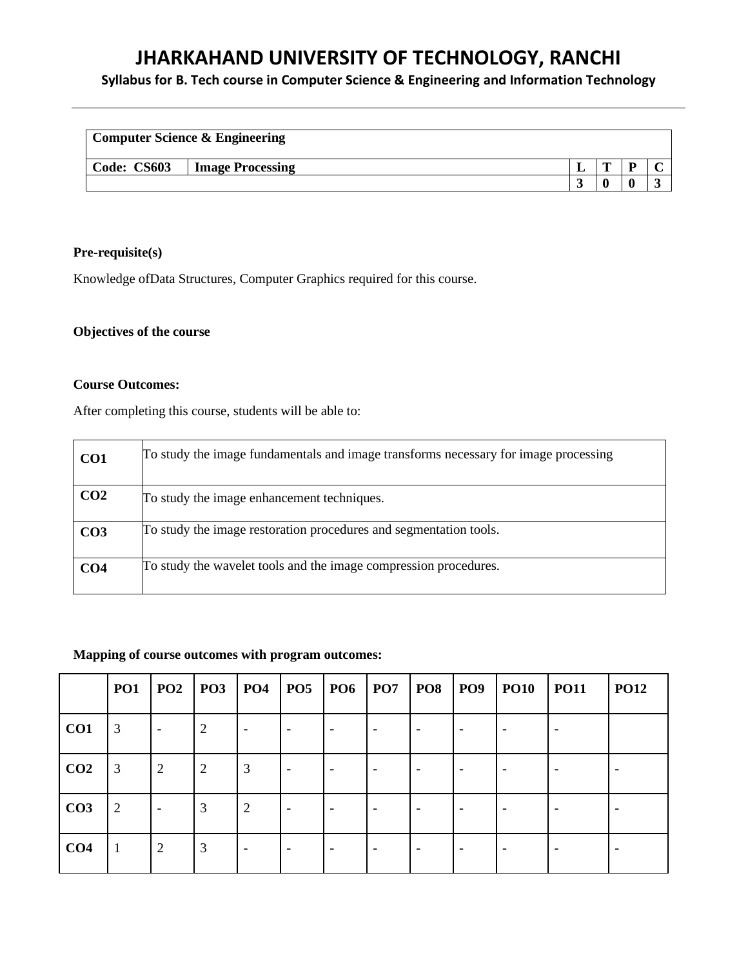# **Syllabus for B. Tech course in Computer Science & Engineering and Information Technology**

| <b>Computer Science &amp; Engineering</b> |                         |  |   |   |  |
|-------------------------------------------|-------------------------|--|---|---|--|
| Code: CS603                               | <b>Image Processing</b> |  | m | D |  |
|                                           |                         |  |   |   |  |

# **Pre-requisite(s)**

Knowledge ofData Structures, Computer Graphics required for this course.

# **Objectives of the course**

#### **Course Outcomes:**

After completing this course, students will be able to:

| CO <sub>1</sub> | To study the image fundamentals and image transforms necessary for image processing |
|-----------------|-------------------------------------------------------------------------------------|
| CO <sub>2</sub> | To study the image enhancement techniques.                                          |
| CO <sub>3</sub> | To study the image restoration procedures and segmentation tools.                   |
| CO <sub>4</sub> | To study the wavelet tools and the image compression procedures.                    |

#### **Mapping of course outcomes with program outcomes:**

|                 | PO1            | PO2                      | P <sub>03</sub> | <b>PO4</b>               | <b>PO5</b> | $ $ PO6                  | P <sub>07</sub> | <b>PO8</b> | <b>PO9</b>               | <b>PO10</b> | <b>PO11</b> | <b>PO12</b>              |
|-----------------|----------------|--------------------------|-----------------|--------------------------|------------|--------------------------|-----------------|------------|--------------------------|-------------|-------------|--------------------------|
| CO1             | 3              | $\overline{\phantom{a}}$ | 2               | $\overline{\phantom{a}}$ |            | $\overline{\phantom{a}}$ |                 |            | $\overline{\phantom{a}}$ |             |             |                          |
| CO <sub>2</sub> | 3              | $\overline{2}$           | $\overline{2}$  | 3                        |            |                          |                 |            | $\overline{\phantom{a}}$ |             |             |                          |
| CO <sub>3</sub> | $\overline{2}$ | $\overline{\phantom{a}}$ | 3               | 2                        |            | ٠                        |                 |            | $\overline{\phantom{a}}$ |             |             | $\overline{\phantom{0}}$ |
| CO <sub>4</sub> | 1              | $\overline{2}$           | 3               | $\overline{\phantom{0}}$ |            |                          |                 |            | $\overline{\phantom{a}}$ |             |             |                          |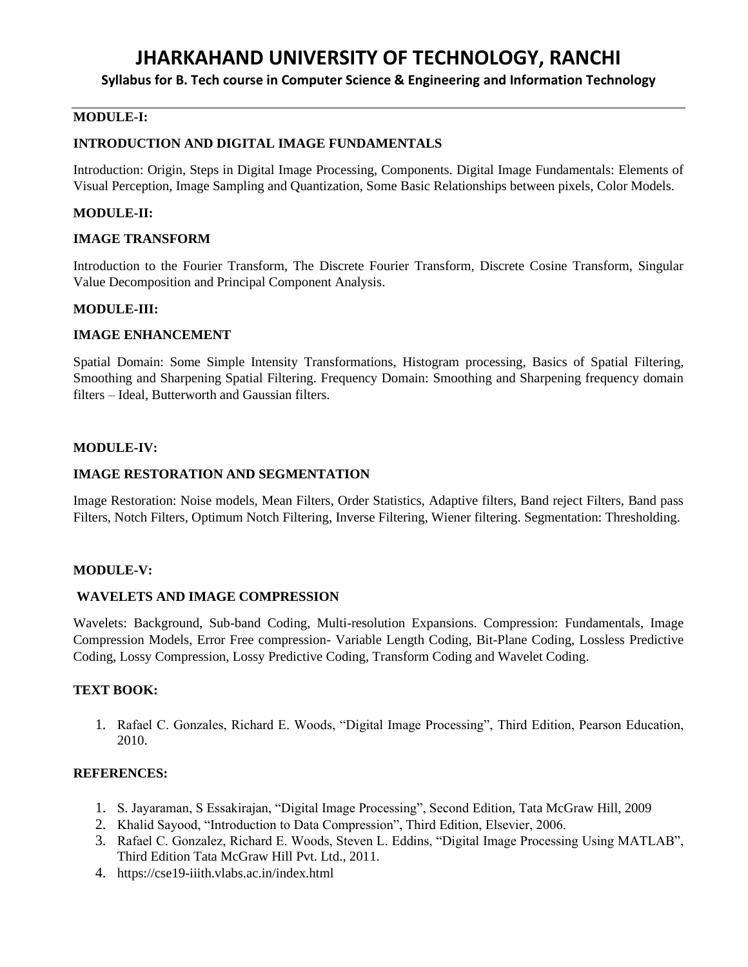**Syllabus for B. Tech course in Computer Science & Engineering and Information Technology**

# **MODULE-I:**

#### **INTRODUCTION AND DIGITAL IMAGE FUNDAMENTALS**

Introduction: Origin, Steps in Digital Image Processing, Components. Digital Image Fundamentals: Elements of Visual Perception, Image Sampling and Quantization, Some Basic Relationships between pixels, Color Models.

#### **MODULE-II:**

#### **IMAGE TRANSFORM**

Introduction to the Fourier Transform, The Discrete Fourier Transform, Discrete Cosine Transform, Singular Value Decomposition and Principal Component Analysis.

### **MODULE-III:**

#### **IMAGE ENHANCEMENT**

Spatial Domain: Some Simple Intensity Transformations, Histogram processing, Basics of Spatial Filtering, Smoothing and Sharpening Spatial Filtering. Frequency Domain: Smoothing and Sharpening frequency domain filters – Ideal, Butterworth and Gaussian filters.

#### **MODULE-IV:**

#### **IMAGE RESTORATION AND SEGMENTATION**

Image Restoration: Noise models, Mean Filters, Order Statistics, Adaptive filters, Band reject Filters, Band pass Filters, Notch Filters, Optimum Notch Filtering, Inverse Filtering, Wiener filtering. Segmentation: Thresholding.

#### **MODULE-V:**

#### **WAVELETS AND IMAGE COMPRESSION**

Wavelets: Background, Sub-band Coding, Multi-resolution Expansions. Compression: Fundamentals, Image Compression Models, Error Free compression- Variable Length Coding, Bit-Plane Coding, Lossless Predictive Coding, Lossy Compression, Lossy Predictive Coding, Transform Coding and Wavelet Coding.

#### **TEXT BOOK:**

1. Rafael C. Gonzales, Richard E. Woods, "Digital Image Processing", Third Edition, Pearson Education, 2010.

# **REFERENCES:**

- 1. S. Jayaraman, S Essakirajan, "Digital Image Processing", Second Edition, Tata McGraw Hill, 2009
- 2. Khalid Sayood, "Introduction to Data Compression", Third Edition, Elsevier, 2006.
- 3. Rafael C. Gonzalez, Richard E. Woods, Steven L. Eddins, "Digital Image Processing Using MATLAB", Third Edition Tata McGraw Hill Pvt. Ltd., 2011.
- 4. https://cse19-iiith.vlabs.ac.in/index.html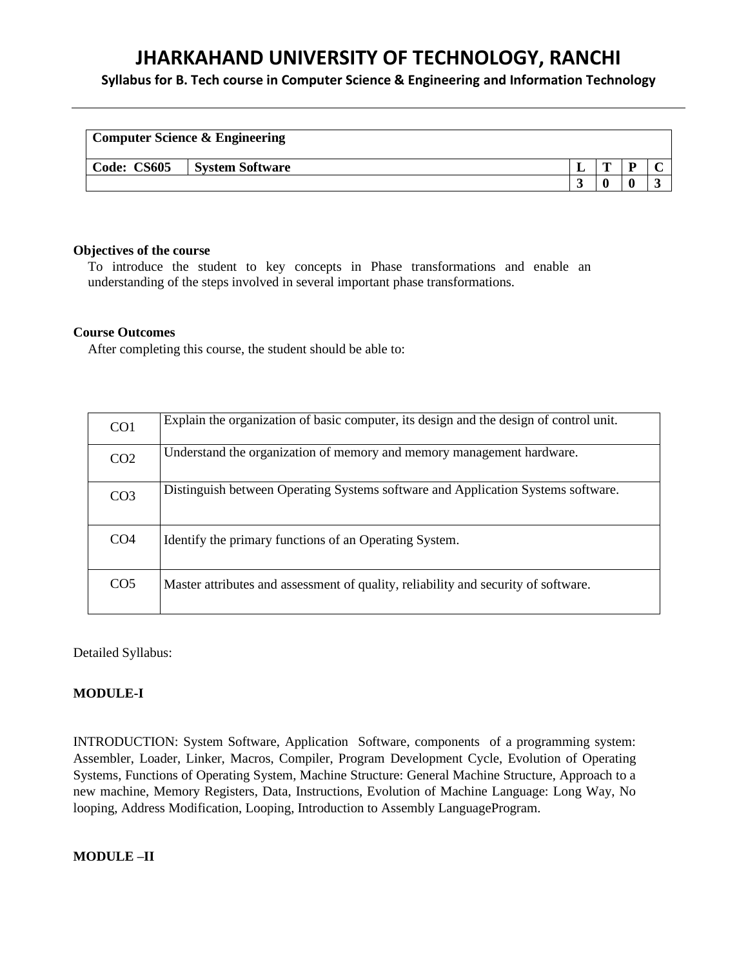**Syllabus for B. Tech course in Computer Science & Engineering and Information Technology**

|             | <b>Computer Science &amp; Engineering</b> |   |   |  |
|-------------|-------------------------------------------|---|---|--|
| Code: CS605 | <b>System Software</b>                    | m | D |  |
|             |                                           |   |   |  |

#### **Objectives of the course**

To introduce the student to key concepts in Phase transformations and enable an understanding of the steps involved in several important phase transformations.

#### **Course Outcomes**

After completing this course, the student should be able to:

| CO <sub>1</sub> | Explain the organization of basic computer, its design and the design of control unit. |
|-----------------|----------------------------------------------------------------------------------------|
| CO <sub>2</sub> | Understand the organization of memory and memory management hardware.                  |
| CO <sub>3</sub> | Distinguish between Operating Systems software and Application Systems software.       |
| CO <sub>4</sub> | Identify the primary functions of an Operating System.                                 |
| CO <sub>5</sub> | Master attributes and assessment of quality, reliability and security of software.     |

Detailed Syllabus:

### **MODULE-I**

INTRODUCTION: System Software, Application Software, components of a programming system: Assembler, Loader, Linker, Macros, Compiler, Program Development Cycle, Evolution of Operating Systems, Functions of Operating System, Machine Structure: General Machine Structure, Approach to a new machine, Memory Registers, Data, Instructions, Evolution of Machine Language: Long Way, No looping, Address Modification, Looping, Introduction to Assembly LanguageProgram.

#### **MODULE –II**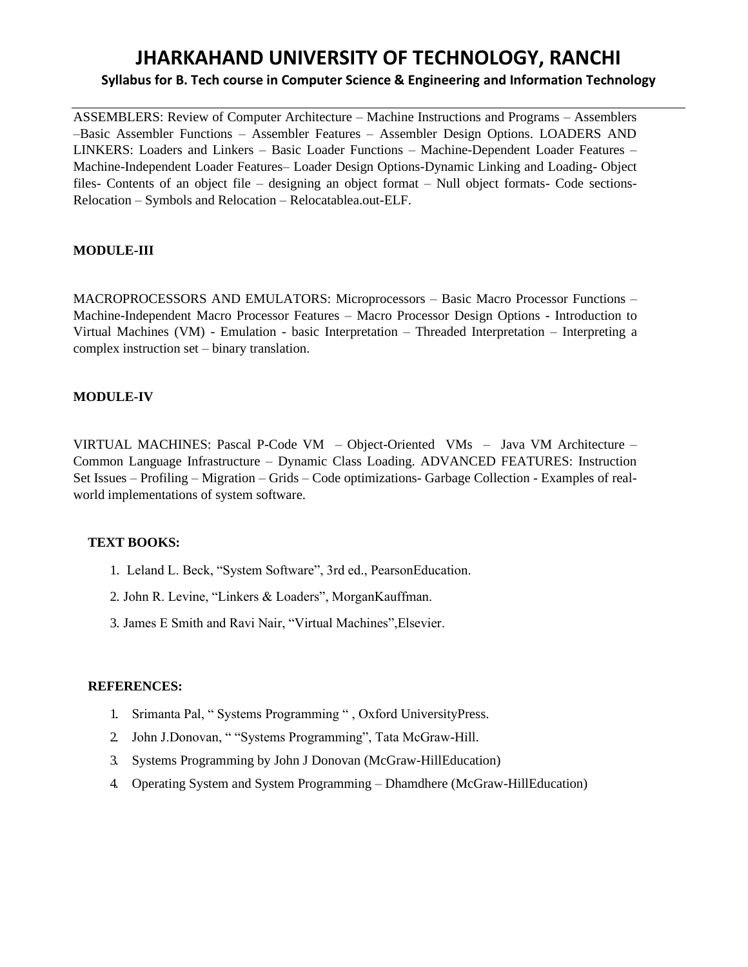# **JHARKAHAND UNIVERSITY OF TECHNOLOGY, RANCHI Syllabus for B. Tech course in Computer Science & Engineering and Information Technology**

ASSEMBLERS: Review of Computer Architecture – Machine Instructions and Programs – Assemblers –Basic Assembler Functions – Assembler Features – Assembler Design Options. LOADERS AND LINKERS: Loaders and Linkers – Basic Loader Functions – Machine-Dependent Loader Features – Machine-Independent Loader Features– Loader Design Options-Dynamic Linking and Loading- Object files- Contents of an object file – designing an object format – Null object formats- Code sections-Relocation – Symbols and Relocation – Relocatablea.out-ELF.

# **MODULE-III**

MACROPROCESSORS AND EMULATORS: Microprocessors – Basic Macro Processor Functions – Machine-Independent Macro Processor Features – Macro Processor Design Options - Introduction to Virtual Machines (VM) - Emulation - basic Interpretation – Threaded Interpretation – Interpreting a complex instruction set – binary translation.

# **MODULE-IV**

VIRTUAL MACHINES: Pascal P-Code VM – Object-Oriented VMs – Java VM Architecture – Common Language Infrastructure – Dynamic Class Loading. ADVANCED FEATURES: Instruction Set Issues – Profiling – Migration – Grids – Code optimizations- Garbage Collection - Examples of realworld implementations of system software.

# **TEXT BOOKS:**

- 1. Leland L. Beck, "System Software", 3rd ed., PearsonEducation.
- 2. John R. Levine, "Linkers & Loaders", MorganKauffman.
- 3. James E Smith and Ravi Nair, "Virtual Machines",Elsevier.

#### **REFERENCES:**

- 1. Srimanta Pal, " Systems Programming " , Oxford UniversityPress.
- 2. John J.Donovan, " "Systems Programming", Tata McGraw-Hill.
- 3. Systems Programming by John J Donovan (McGraw-HillEducation)
- 4. Operating System and System Programming Dhamdhere (McGraw-HillEducation)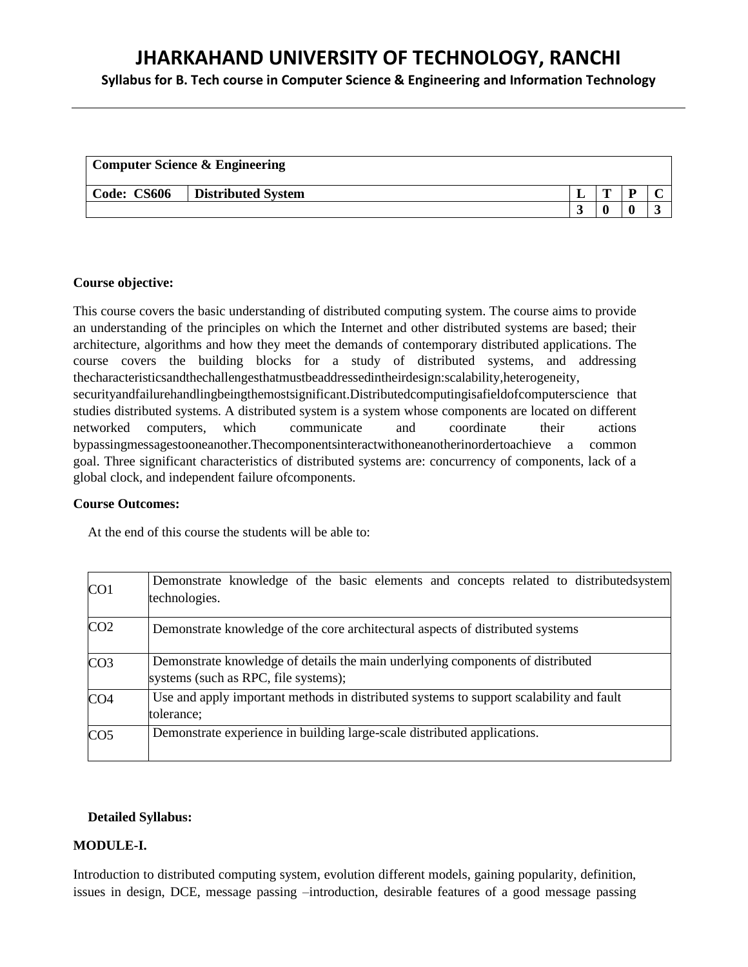**Syllabus for B. Tech course in Computer Science & Engineering and Information Technology**

|             | <b>Computer Science &amp; Engineering</b> |   |  |
|-------------|-------------------------------------------|---|--|
| Code: CS606 | <b>Distributed System</b>                 | m |  |
|             |                                           |   |  |

#### **Course objective:**

This course covers the basic understanding of distributed computing system. The course aims to provide an understanding of the principles on which the Internet and other distributed systems are based; their architecture, algorithms and how they meet the demands of contemporary distributed applications. The course covers the building blocks for a study of distributed systems, and addressing thecharacteristicsandthechallengesthatmustbeaddressedintheirdesign:scalability,heterogeneity, securityandfailurehandlingbeingthemostsignificant.Distributedcomputingisafieldo[fcomputerscience t](https://en.wikipedia.org/wiki/Computer_science)hat studies distributed systems. A distributed system is a system whose components are located on different [networked computers,](https://en.wikipedia.org/wiki/Computer_network) which communicate and coordinate their actions b[ypassingmessagest](https://en.wikipedia.org/wiki/Message_passing)ooneanother.Thecomponentsinteractwithoneanotherinordertoachieve a common goal. Three significant characteristics of distributed systems are: concurrency of components, lack of a

# global clock, and independent failure ofcomponents.

#### **Course Outcomes:**

At the end of this course the students will be able to:

| CO1             | Demonstrate knowledge of the basic elements and concepts related to distributed system<br>technologies.                |
|-----------------|------------------------------------------------------------------------------------------------------------------------|
| CO <sub>2</sub> | Demonstrate knowledge of the core architectural aspects of distributed systems                                         |
| CO <sub>3</sub> | Demonstrate knowledge of details the main underlying components of distributed<br>systems (such as RPC, file systems); |
| CO <sub>4</sub> | Use and apply important methods in distributed systems to support scalability and fault<br>tolerance;                  |
| CO <sub>5</sub> | Demonstrate experience in building large-scale distributed applications.                                               |

# **Detailed Syllabus:**

# **MODULE-I.**

Introduction to distributed computing system, evolution different models, gaining popularity, definition, issues in design, DCE, message passing –introduction, desirable features of a good message passing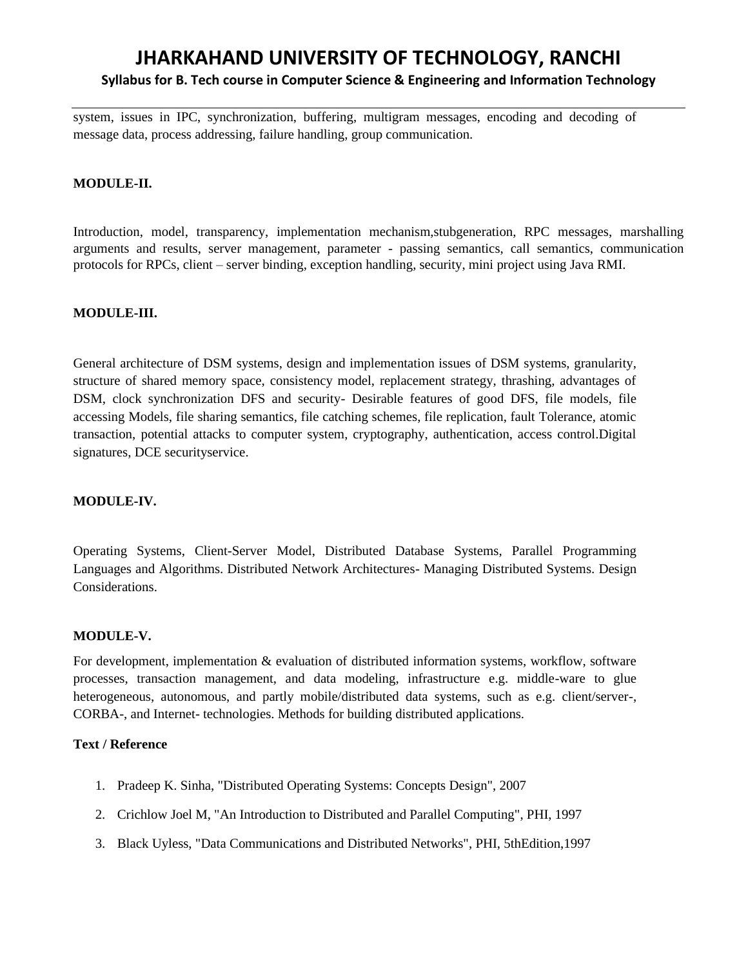# **JHARKAHAND UNIVERSITY OF TECHNOLOGY, RANCHI Syllabus for B. Tech course in Computer Science & Engineering and Information Technology**

system, issues in IPC, synchronization, buffering, multigram messages, encoding and decoding of message data, process addressing, failure handling, group communication.

### **MODULE-II.**

Introduction, model, transparency, implementation mechanism,stubgeneration, RPC messages, marshalling arguments and results, server management, parameter - passing semantics, call semantics, communication protocols for RPCs, client – server binding, exception handling, security, mini project using Java RMI.

#### **MODULE-III.**

General architecture of DSM systems, design and implementation issues of DSM systems, granularity, structure of shared memory space, consistency model, replacement strategy, thrashing, advantages of DSM, clock synchronization DFS and security- Desirable features of good DFS, file models, file accessing Models, file sharing semantics, file catching schemes, file replication, fault Tolerance, atomic transaction, potential attacks to computer system, cryptography, authentication, access control.Digital signatures, DCE securityservice.

# **MODULE-IV.**

Operating Systems, Client-Server Model, Distributed Database Systems, Parallel Programming Languages and Algorithms. Distributed Network Architectures- Managing Distributed Systems. Design Considerations.

#### **MODULE-V.**

For development, implementation & evaluation of distributed information systems, workflow, software processes, transaction management, and data modeling, infrastructure e.g. middle-ware to glue heterogeneous, autonomous, and partly mobile/distributed data systems, such as e.g. client/server-, CORBA-, and Internet- technologies. Methods for building distributed applications.

# **Text / Reference**

- 1. Pradeep K. Sinha, "Distributed Operating Systems: Concepts Design", 2007
- 2. Crichlow Joel M, "An Introduction to Distributed and Parallel Computing", PHI, 1997
- 3. Black Uyless, "Data Communications and Distributed Networks", PHI, 5thEdition,1997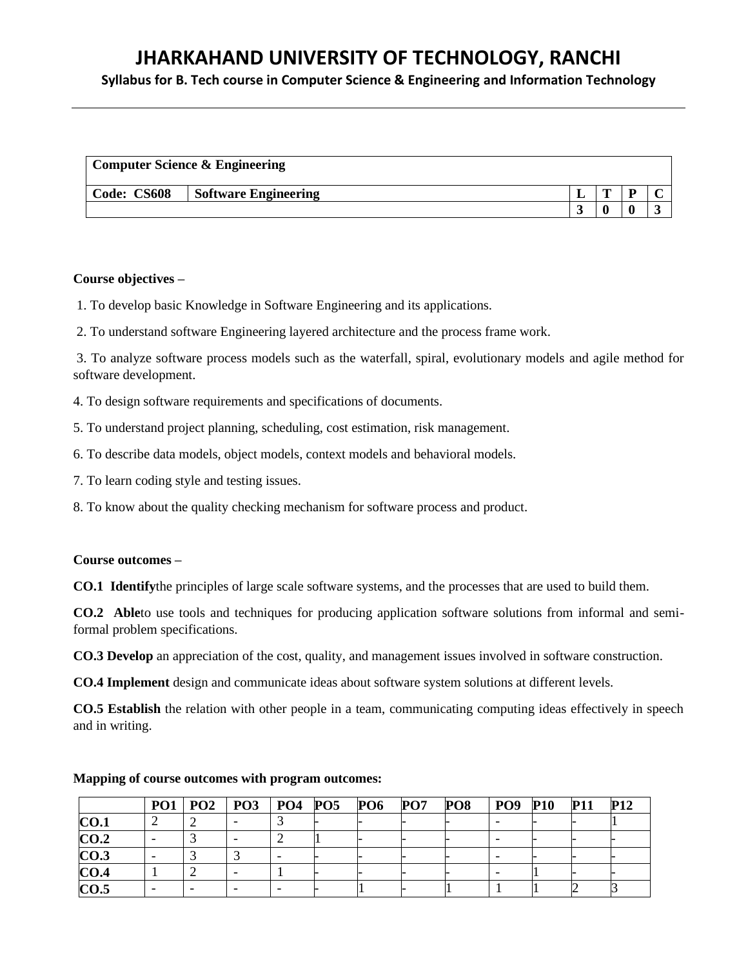**Syllabus for B. Tech course in Computer Science & Engineering and Information Technology**

| <b>Computer Science &amp; Engineering</b> |                             |  |   |  |  |
|-------------------------------------------|-----------------------------|--|---|--|--|
| Code: CS608                               | <b>Software Engineering</b> |  | m |  |  |
|                                           |                             |  |   |  |  |

#### **Course objectives –**

1. To develop basic Knowledge in Software Engineering and its applications.

2. To understand software Engineering layered architecture and the process frame work.

3. To analyze software process models such as the waterfall, spiral, evolutionary models and agile method for software development.

4. To design software requirements and specifications of documents.

5. To understand project planning, scheduling, cost estimation, risk management.

6. To describe data models, object models, context models and behavioral models.

7. To learn coding style and testing issues.

8. To know about the quality checking mechanism for software process and product.

#### **Course outcomes –**

**CO.1 Identify**the principles of large scale software systems, and the processes that are used to build them.

**CO.2 Able**to use tools and techniques for producing application software solutions from informal and semiformal problem specifications.

**CO.3 Develop** an appreciation of the cost, quality, and management issues involved in software construction.

**CO.4 Implement** design and communicate ideas about software system solutions at different levels.

**CO.5 Establish** the relation with other people in a team, communicating computing ideas effectively in speech and in writing.

|      |  | PO1   PO2   PO3   PO4   PO5 |  | <b>PO6</b> | PO7 | PO8 | <b>PO9</b> | <b>P10</b> | <b>P11</b> | <b>P12</b> |
|------|--|-----------------------------|--|------------|-----|-----|------------|------------|------------|------------|
| CO.1 |  |                             |  |            |     |     |            |            |            |            |
| CO.2 |  |                             |  |            |     |     |            |            |            |            |
| CO.3 |  |                             |  |            |     |     |            |            |            |            |
| CO.4 |  |                             |  |            |     |     |            |            |            |            |
| CO.5 |  |                             |  |            |     |     |            |            |            |            |

#### **Mapping of course outcomes with program outcomes:**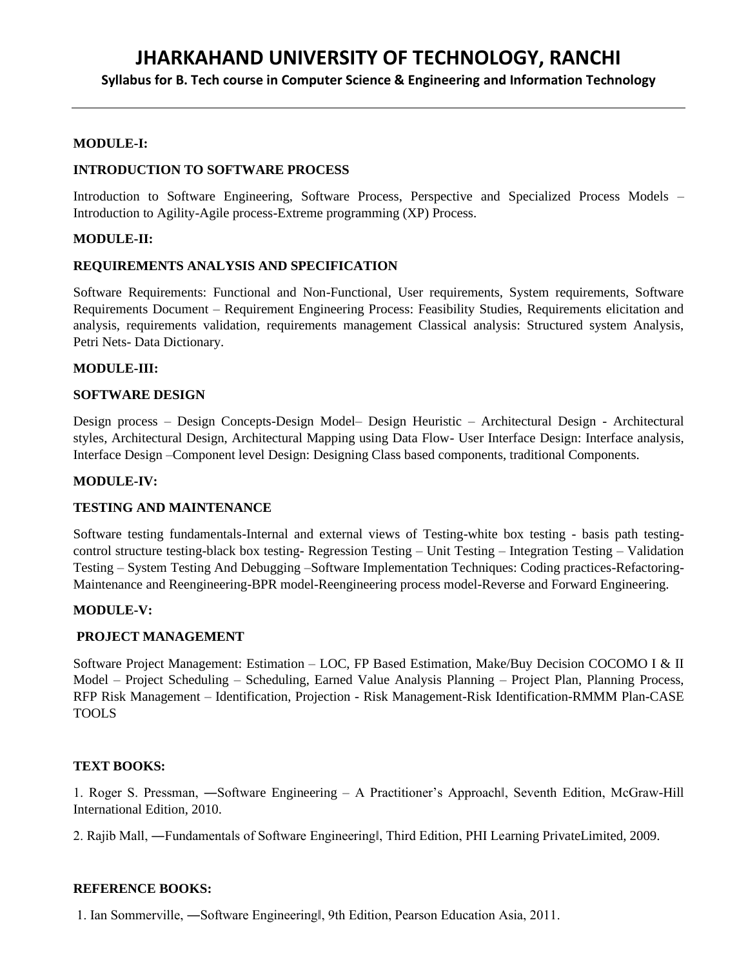# **Syllabus for B. Tech course in Computer Science & Engineering and Information Technology**

#### **MODULE-I:**

#### **INTRODUCTION TO SOFTWARE PROCESS**

Introduction to Software Engineering, Software Process, Perspective and Specialized Process Models – Introduction to Agility-Agile process-Extreme programming (XP) Process.

#### **MODULE-II:**

#### **REQUIREMENTS ANALYSIS AND SPECIFICATION**

Software Requirements: Functional and Non-Functional, User requirements, System requirements, Software Requirements Document – Requirement Engineering Process: Feasibility Studies, Requirements elicitation and analysis, requirements validation, requirements management Classical analysis: Structured system Analysis, Petri Nets- Data Dictionary.

#### **MODULE-III:**

#### **SOFTWARE DESIGN**

Design process – Design Concepts-Design Model– Design Heuristic – Architectural Design - Architectural styles, Architectural Design, Architectural Mapping using Data Flow- User Interface Design: Interface analysis, Interface Design –Component level Design: Designing Class based components, traditional Components.

#### **MODULE-IV:**

#### **TESTING AND MAINTENANCE**

Software testing fundamentals-Internal and external views of Testing-white box testing - basis path testingcontrol structure testing-black box testing- Regression Testing – Unit Testing – Integration Testing – Validation Testing – System Testing And Debugging –Software Implementation Techniques: Coding practices-Refactoring-Maintenance and Reengineering-BPR model-Reengineering process model-Reverse and Forward Engineering.

#### **MODULE-V:**

#### **PROJECT MANAGEMENT**

Software Project Management: Estimation – LOC, FP Based Estimation, Make/Buy Decision COCOMO I & II Model – Project Scheduling – Scheduling, Earned Value Analysis Planning – Project Plan, Planning Process, RFP Risk Management – Identification, Projection - Risk Management-Risk Identification-RMMM Plan-CASE TOOLS

# **TEXT BOOKS:**

1. Roger S. Pressman, ―Software Engineering – A Practitioner's Approach‖, Seventh Edition, McGraw-Hill International Edition, 2010.

2. Rajib Mall, ―Fundamentals of Software Engineering‖, Third Edition, PHI Learning PrivateLimited, 2009.

#### **REFERENCE BOOKS:**

1. Ian Sommerville, ―Software Engineering‖, 9th Edition, Pearson Education Asia, 2011.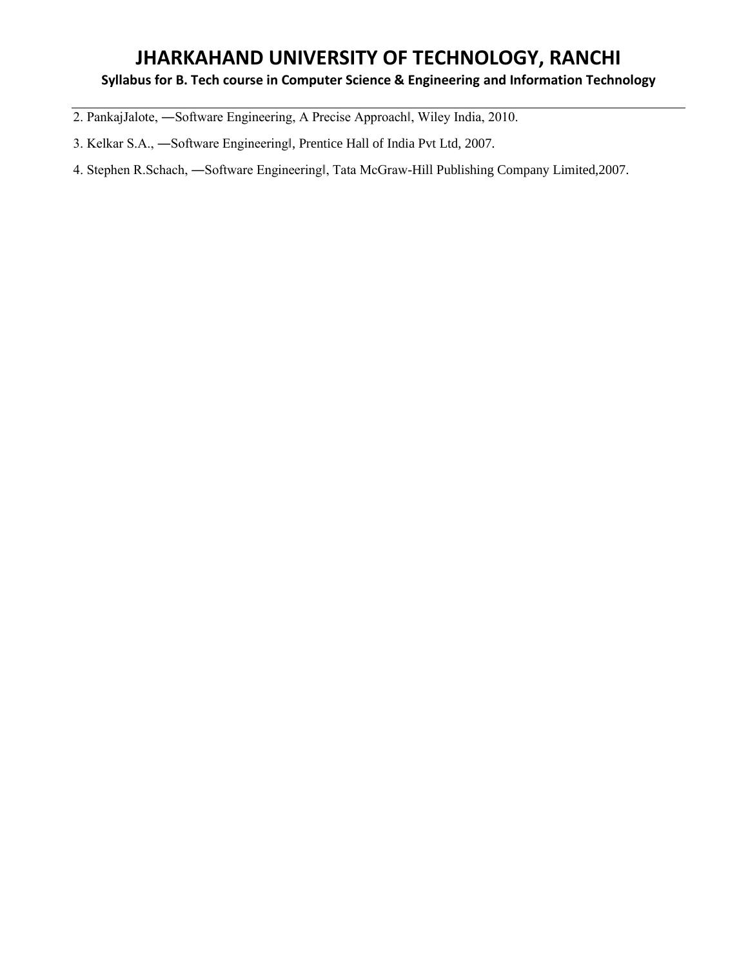# **Syllabus for B. Tech course in Computer Science & Engineering and Information Technology**

- 2. PankajJalote, ―Software Engineering, A Precise Approach‖, Wiley India, 2010.
- 3. Kelkar S.A., ―Software Engineering‖, Prentice Hall of India Pvt Ltd, 2007.
- 4. Stephen R.Schach, ―Software Engineering‖, Tata McGraw-Hill Publishing Company Limited,2007.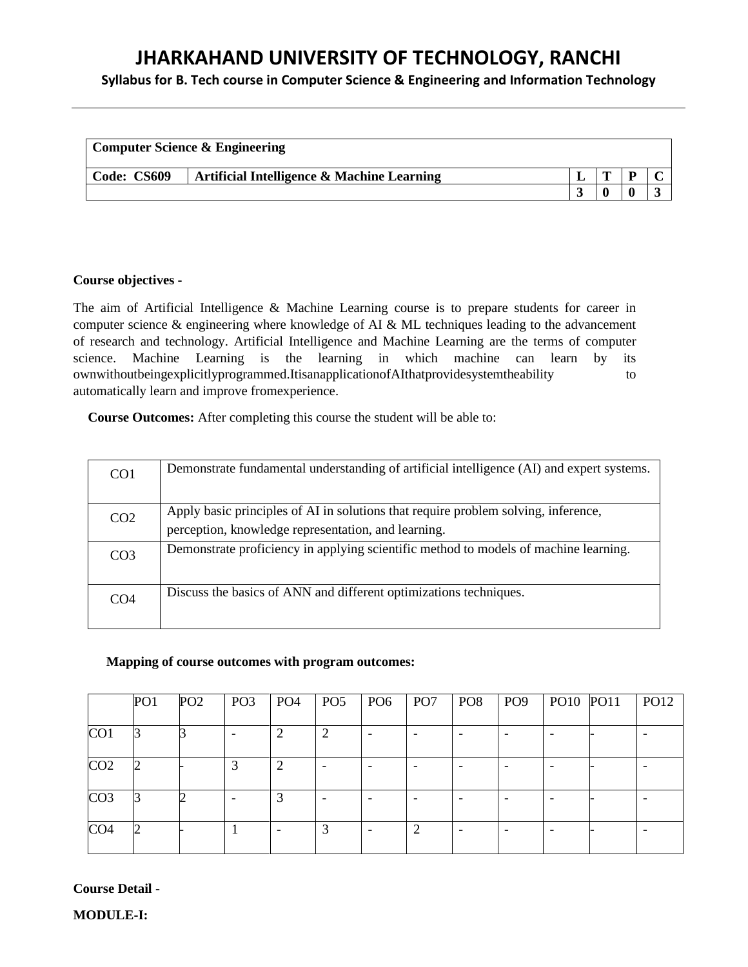# **Syllabus for B. Tech course in Computer Science & Engineering and Information Technology**

|             | <b>Computer Science &amp; Engineering</b>  |  |  |
|-------------|--------------------------------------------|--|--|
| Code: CS609 | Artificial Intelligence & Machine Learning |  |  |
|             |                                            |  |  |

#### **Course objectives -**

The aim of Artificial Intelligence & Machine Learning course is to prepare students for career in computer science & engineering where knowledge of AI & ML techniques leading to the advancement of research and technology. Artificial Intelligence and Machine Learning are the terms of computer science. Machine Learning is the learning in which machine can learn by its ownwithoutbeingexplicitlyprogrammed.ItisanapplicationofAIthatprovidesystemtheability to automatically learn and improve fromexperience.

**Course Outcomes:** After completing this course the student will be able to:

| CO <sub>1</sub> | Demonstrate fundamental understanding of artificial intelligence (AI) and expert systems.                                                 |
|-----------------|-------------------------------------------------------------------------------------------------------------------------------------------|
| CO <sub>2</sub> | Apply basic principles of AI in solutions that require problem solving, inference,<br>perception, knowledge representation, and learning. |
| CO <sub>3</sub> | Demonstrate proficiency in applying scientific method to models of machine learning.                                                      |
| CO <sub>4</sub> | Discuss the basics of ANN and different optimizations techniques.                                                                         |

#### **Mapping of course outcomes with program outcomes:**

|                 | PO <sub>1</sub> | PO <sub>2</sub> | PO <sub>3</sub> | PO <sub>4</sub> | PO <sub>5</sub> | PO <sub>6</sub>          | PO <sub>7</sub> | PO <sub>8</sub> | PO <sub>9</sub>          | PO10 PO11 | <b>PO12</b> |
|-----------------|-----------------|-----------------|-----------------|-----------------|-----------------|--------------------------|-----------------|-----------------|--------------------------|-----------|-------------|
| CO <sub>1</sub> |                 |                 |                 |                 | 2               | $\overline{\phantom{0}}$ |                 |                 | $\overline{\phantom{0}}$ |           |             |
| CO <sub>2</sub> |                 |                 | 3               | 2               |                 | ۰                        |                 |                 | ۰                        |           |             |
| CO <sub>3</sub> |                 |                 |                 | 3               |                 |                          |                 |                 |                          |           |             |
| CO <sub>4</sub> | 2               |                 |                 |                 | 3               |                          | 2               |                 | ٠                        |           |             |

# **Course Detail -**

**MODULE-I:**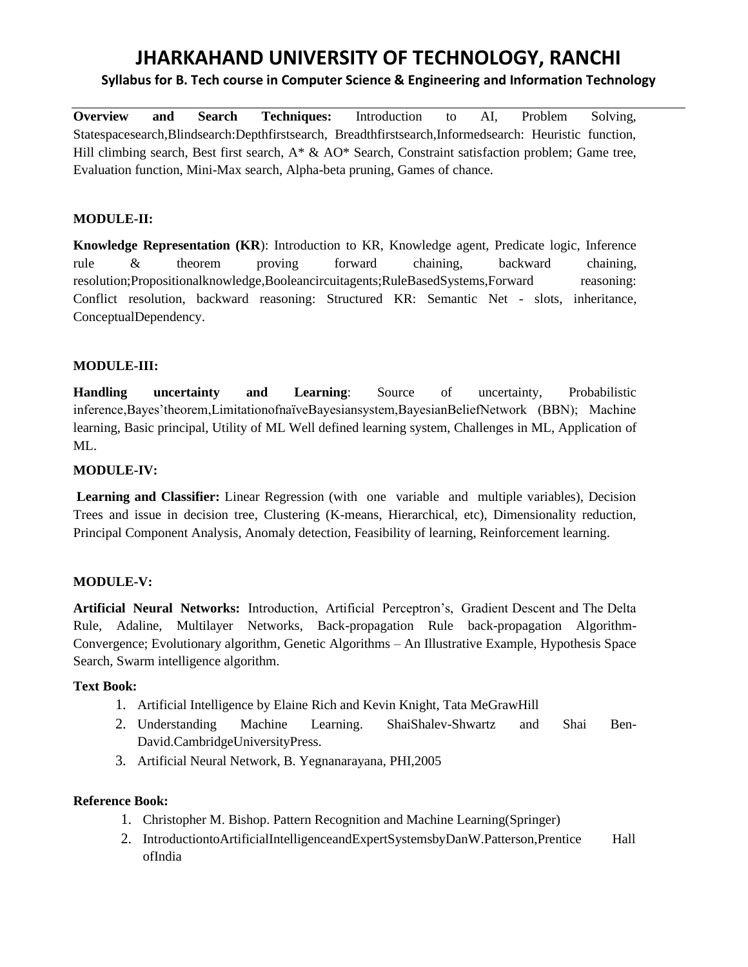# **Syllabus for B. Tech course in Computer Science & Engineering and Information Technology**

**Overview and Search Techniques:** Introduction to AI, Problem Solving, Statespacesearch,Blindsearch:Depthfirstsearch, Breadthfirstsearch,Informedsearch: Heuristic function, Hill climbing search, Best first search, A\* & AO\* Search, Constraint satisfaction problem; Game tree, Evaluation function, Mini-Max search, Alpha-beta pruning, Games of chance.

# **MODULE-II:**

**Knowledge Representation (KR**): Introduction to KR, Knowledge agent, Predicate logic, Inference rule & theorem proving forward chaining, backward chaining, resolution;Propositionalknowledge,Booleancircuitagents;RuleBasedSystems,Forward reasoning: Conflict resolution, backward reasoning: Structured KR: Semantic Net - slots, inheritance, ConceptualDependency.

#### **MODULE-III:**

**Handling uncertainty and Learning**: Source of uncertainty, Probabilistic inference,Bayes'theorem,LimitationofnaïveBayesiansystem,BayesianBeliefNetwork (BBN); Machine learning, Basic principal, Utility of ML Well defined learning system, Challenges in ML, Application of ML.

# **MODULE-IV:**

**Learning and Classifier:** Linear Regression (with one variable and multiple variables), Decision Trees and issue in decision tree, Clustering (K-means, Hierarchical, etc), Dimensionality reduction, Principal Component Analysis, Anomaly detection, Feasibility of learning, Reinforcement learning.

# **MODULE-V:**

**Artificial Neural Networks:** Introduction, Artificial Perceptron's, Gradient Descent and The Delta Rule, Adaline, Multilayer Networks, Back-propagation Rule back-propagation Algorithm-Convergence; Evolutionary algorithm, Genetic Algorithms – An Illustrative Example, Hypothesis Space Search, Swarm intelligence algorithm.

#### **Text Book:**

- 1. Artificial Intelligence by Elaine Rich and Kevin Knight, Tata MeGrawHill
- 2. [Understanding Machine Learning. S](http://www.cs.huji.ac.il/~shais/UnderstandingMachineLearning/)haiShalev-Shwartz and Shai Ben-David.CambridgeUniversityPress.
- 3. Artificial Neural Network, B. Yegnanarayana, PHI,2005

#### **Reference Book:**

- 1. Christopher M. Bishop. Pattern Recognition and Machine Learning(Springer)
- 2. IntroductiontoArtificialIntelligenceandExpertSystemsbyDanW.Patterson,Prentice Hall ofIndia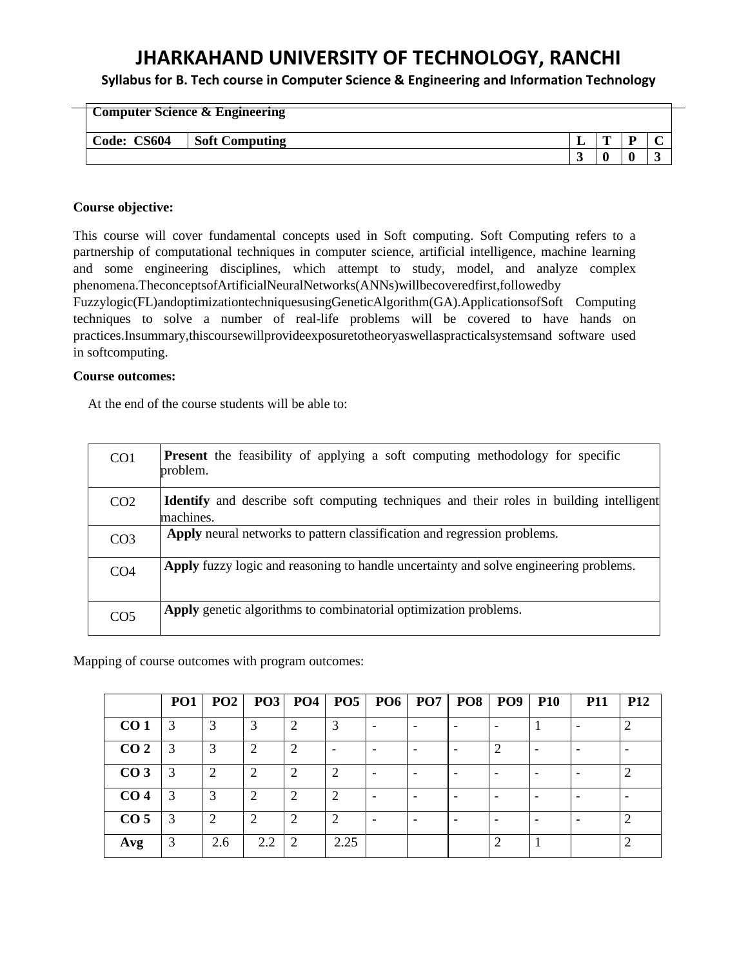**Syllabus for B. Tech course in Computer Science & Engineering and Information Technology**

|             | <b>Computer Science &amp; Engineering</b> |   |   |
|-------------|-------------------------------------------|---|---|
| Code: CS604 | <b>Soft Computing</b>                     | m |   |
|             |                                           |   | ັ |

#### **Course objective:**

This course will cover fundamental concepts used in Soft computing. Soft Computing refers to a partnership of computational techniques in computer science, artificial intelligence, machine learning and some engineering disciplines, which attempt to study, model, and analyze complex phenomena.TheconceptsofArtificialNeuralNetworks(ANNs)willbecoveredfirst,followedby

Fuzzylogic(FL)andoptimizationtechniquesusingGeneticAlgorithm(GA).ApplicationsofSoft Computing techniques to solve a number of real-life problems will be covered to have hands on practices.Insummary,thiscoursewillprovideexposuretotheoryaswellaspracticalsystemsand software used in softcomputing.

# **Course outcomes:**

At the end of the course students will be able to:

| CO <sub>1</sub> | <b>Present</b> the feasibility of applying a soft computing methodology for specific<br>problem.            |
|-----------------|-------------------------------------------------------------------------------------------------------------|
| CO <sub>2</sub> | <b>Identify</b> and describe soft computing techniques and their roles in building intelligent<br>machines. |
| CO <sub>3</sub> | Apply neural networks to pattern classification and regression problems.                                    |
| CO <sub>4</sub> | Apply fuzzy logic and reasoning to handle uncertainty and solve engineering problems.                       |
| CO <sub>5</sub> | Apply genetic algorithms to combinatorial optimization problems.                                            |

Mapping of course outcomes with program outcomes:

|                 | PO <sub>1</sub> | PO2            |     | $PO3$ $PO4$ | <b>PO5</b> | $P06$ PO7 | PO8 | $ $ PO9 | <b>P10</b> | <b>P11</b> | <b>P12</b>     |
|-----------------|-----------------|----------------|-----|-------------|------------|-----------|-----|---------|------------|------------|----------------|
| CO <sub>1</sub> | 3               | 3              | 3   |             | $\bigcirc$ |           |     |         |            |            | $\mathcal{P}$  |
| CO <sub>2</sub> | 3               | 3              | 2   | ി           |            |           |     |         |            |            |                |
| CO <sub>3</sub> |                 | $\overline{2}$ |     |             |            |           |     |         |            |            |                |
| CO <sub>4</sub> | 3               | 3              |     |             |            |           |     |         |            |            |                |
| CO <sub>5</sub> |                 | 2              | ി   |             |            |           |     |         |            |            | $\overline{2}$ |
| Avg             |                 | 2.6            | 2.2 | 2           | 2.25       |           |     |         |            |            | ⌒              |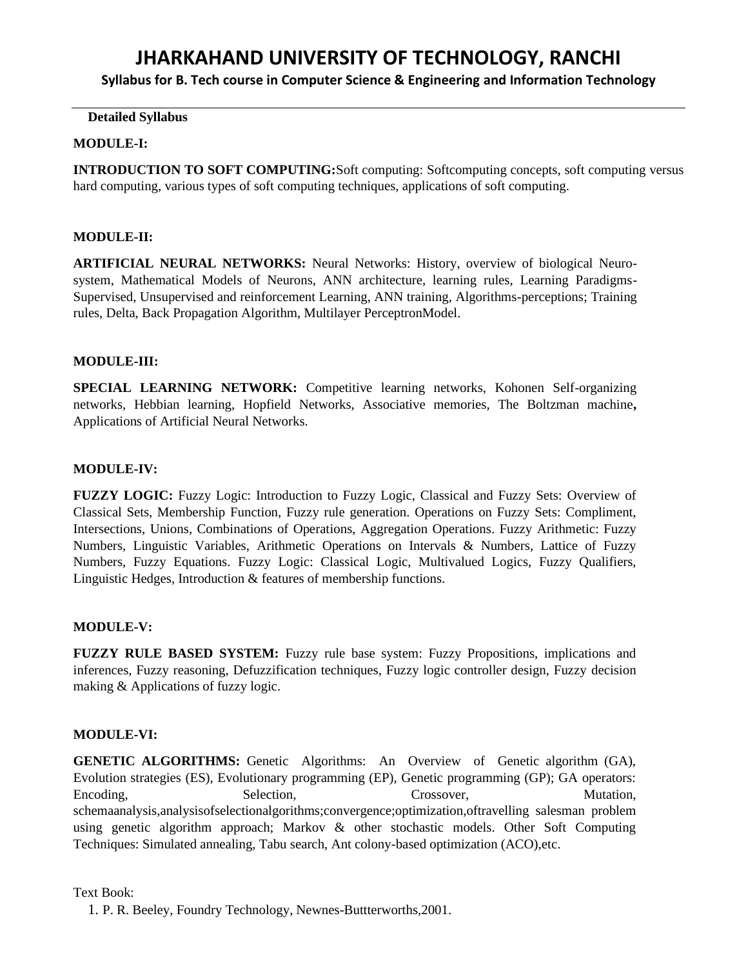**Syllabus for B. Tech course in Computer Science & Engineering and Information Technology**

# **Detailed Syllabus**

### **MODULE-I:**

**INTRODUCTION TO SOFT COMPUTING:**Soft computing: Softcomputing concepts, soft computing versus hard computing, various types of soft computing techniques, applications of soft computing.

#### **MODULE-II:**

**ARTIFICIAL NEURAL NETWORKS:** Neural Networks: History, overview of biological Neurosystem, Mathematical Models of Neurons, ANN architecture, learning rules, Learning Paradigms-Supervised, Unsupervised and reinforcement Learning, ANN training, Algorithms-perceptions; Training rules, Delta, Back Propagation Algorithm, Multilayer PerceptronModel.

#### **MODULE-III:**

**SPECIAL LEARNING NETWORK:** Competitive learning networks, Kohonen Self-organizing networks, Hebbian learning, Hopfield Networks, Associative memories, The Boltzman machine**,**  Applications of Artificial Neural Networks.

#### **MODULE-IV:**

**FUZZY LOGIC:** Fuzzy Logic: Introduction to Fuzzy Logic, Classical and Fuzzy Sets: Overview of Classical Sets, Membership Function, Fuzzy rule generation. Operations on Fuzzy Sets: Compliment, Intersections, Unions, Combinations of Operations, Aggregation Operations. Fuzzy Arithmetic: Fuzzy Numbers, Linguistic Variables, Arithmetic Operations on Intervals & Numbers, Lattice of Fuzzy Numbers, Fuzzy Equations. Fuzzy Logic: Classical Logic, Multivalued Logics, Fuzzy Qualifiers, Linguistic Hedges, Introduction & features of membership functions.

# **MODULE-V:**

**FUZZY RULE BASED SYSTEM:** Fuzzy rule base system: Fuzzy Propositions, implications and inferences, Fuzzy reasoning, Defuzzification techniques, Fuzzy logic controller design, Fuzzy decision making & Applications of fuzzy logic.

#### **MODULE-VI:**

**GENETIC ALGORITHMS:** Genetic Algorithms: An Overview of Genetic algorithm (GA), Evolution strategies (ES), Evolutionary programming (EP), Genetic programming (GP); GA operators: Encoding, Selection, Selection, Crossover, Mutation, schemaanalysis,analysisofselectionalgorithms;convergence;optimization,oftravelling salesman problem using genetic algorithm approach; Markov & other stochastic models. Other Soft Computing Techniques: Simulated annealing, Tabu search, Ant colony-based optimization (ACO),etc.

#### Text Book:

1. P. R. Beeley, Foundry Technology, Newnes-Buttterworths,2001.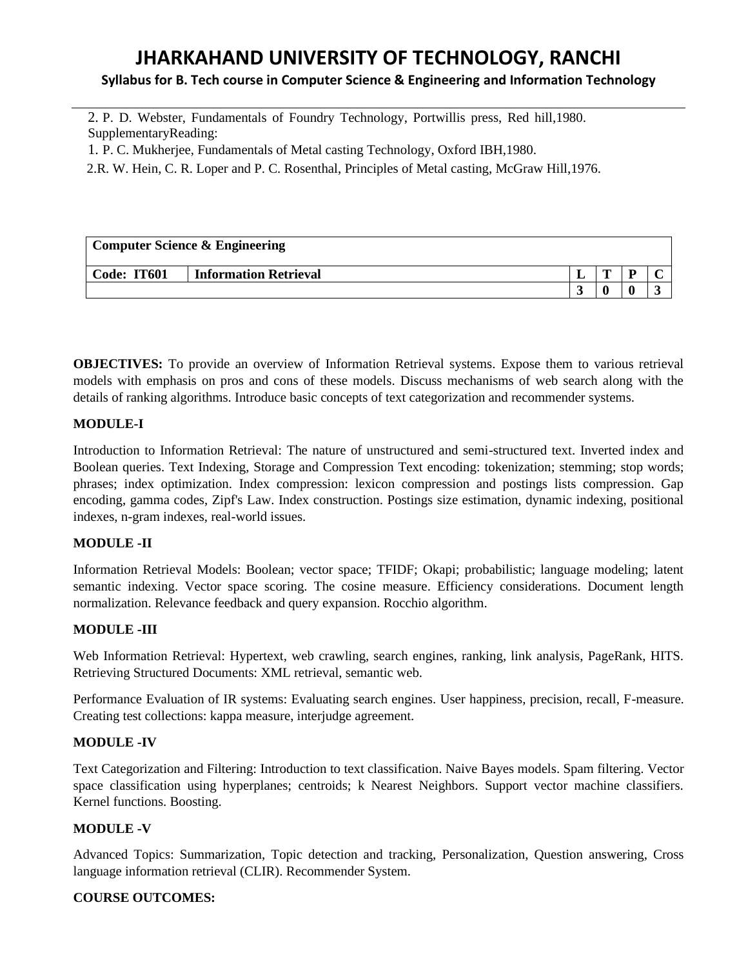# **Syllabus for B. Tech course in Computer Science & Engineering and Information Technology**

2. P. D. Webster, Fundamentals of Foundry Technology, Portwillis press, Red hill,1980. SupplementaryReading:

1. P. C. Mukherjee, Fundamentals of Metal casting Technology, Oxford IBH,1980.

2.R. W. Hein, C. R. Loper and P. C. Rosenthal, Principles of Metal casting, McGraw Hill,1976.

| <b>Computer Science &amp; Engineering</b> |                              |  |   |  |  |  |  |
|-------------------------------------------|------------------------------|--|---|--|--|--|--|
| Code: IT601                               | <b>Information Retrieval</b> |  | m |  |  |  |  |
|                                           |                              |  |   |  |  |  |  |

**OBJECTIVES:** To provide an overview of Information Retrieval systems. Expose them to various retrieval models with emphasis on pros and cons of these models. Discuss mechanisms of web search along with the details of ranking algorithms. Introduce basic concepts of text categorization and recommender systems.

# **MODULE-I**

Introduction to Information Retrieval: The nature of unstructured and semi-structured text. Inverted index and Boolean queries. Text Indexing, Storage and Compression Text encoding: tokenization; stemming; stop words; phrases; index optimization. Index compression: lexicon compression and postings lists compression. Gap encoding, gamma codes, Zipf's Law. Index construction. Postings size estimation, dynamic indexing, positional indexes, n-gram indexes, real-world issues.

# **MODULE -II**

Information Retrieval Models: Boolean; vector space; TFIDF; Okapi; probabilistic; language modeling; latent semantic indexing. Vector space scoring. The cosine measure. Efficiency considerations. Document length normalization. Relevance feedback and query expansion. Rocchio algorithm.

# **MODULE -III**

Web Information Retrieval: Hypertext, web crawling, search engines, ranking, link analysis, PageRank, HITS. Retrieving Structured Documents: XML retrieval, semantic web.

Performance Evaluation of IR systems: Evaluating search engines. User happiness, precision, recall, F-measure. Creating test collections: kappa measure, interjudge agreement.

# **MODULE -IV**

Text Categorization and Filtering: Introduction to text classification. Naive Bayes models. Spam filtering. Vector space classification using hyperplanes; centroids; k Nearest Neighbors. Support vector machine classifiers. Kernel functions. Boosting.

# **MODULE -V**

Advanced Topics: Summarization, Topic detection and tracking, Personalization, Question answering, Cross language information retrieval (CLIR). Recommender System.

# **COURSE OUTCOMES:**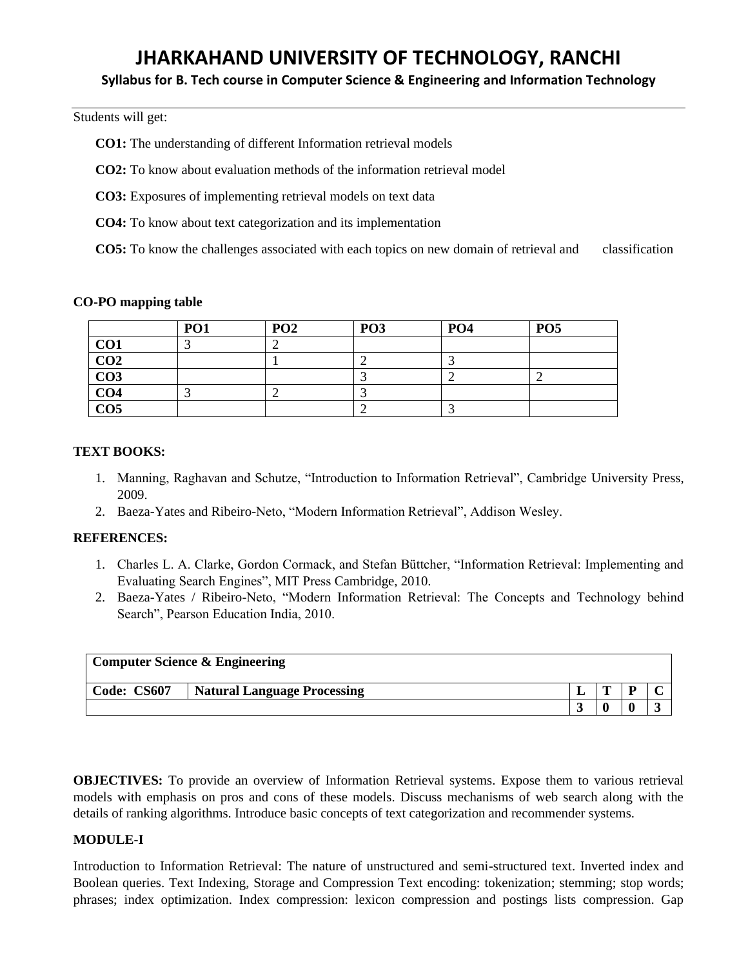# **Syllabus for B. Tech course in Computer Science & Engineering and Information Technology**

Students will get:

**CO1:** The understanding of different Information retrieval models

**CO2:** To know about evaluation methods of the information retrieval model

**CO3:** Exposures of implementing retrieval models on text data

**CO4:** To know about text categorization and its implementation

**CO5:** To know the challenges associated with each topics on new domain of retrieval and classification

#### **CO-PO mapping table**

|                  | PO <sub>1</sub> | PO <sub>2</sub> | PO <sub>3</sub> | PO <sub>4</sub> | <b>PO5</b> |
|------------------|-----------------|-----------------|-----------------|-----------------|------------|
| CO <sub>1</sub>  |                 | ∽               |                 |                 |            |
| $\overline{CO2}$ |                 |                 |                 |                 |            |
| CO <sub>3</sub>  |                 |                 |                 |                 |            |
| CO <sub>4</sub>  |                 |                 |                 |                 |            |
| $\overline{CO5}$ |                 |                 |                 |                 |            |

#### **TEXT BOOKS:**

- 1. Manning, Raghavan and Schutze, "Introduction to Information Retrieval", Cambridge University Press, 2009.
- 2. Baeza-Yates and Ribeiro-Neto, "Modern Information Retrieval", Addison Wesley.

# **REFERENCES:**

- 1. Charles L. A. Clarke, Gordon Cormack, and Stefan Büttcher, "Information Retrieval: Implementing and Evaluating Search Engines", MIT Press Cambridge, 2010.
- 2. Baeza-Yates / Ribeiro-Neto, "Modern Information Retrieval: The Concepts and Technology behind Search", Pearson Education India, 2010.

|             | <b>Computer Science &amp; Engineering</b> |   |  |
|-------------|-------------------------------------------|---|--|
| Code: CS607 | <b>Natural Language Processing</b>        | m |  |
|             |                                           |   |  |

**OBJECTIVES:** To provide an overview of Information Retrieval systems. Expose them to various retrieval models with emphasis on pros and cons of these models. Discuss mechanisms of web search along with the details of ranking algorithms. Introduce basic concepts of text categorization and recommender systems.

# **MODULE-I**

Introduction to Information Retrieval: The nature of unstructured and semi-structured text. Inverted index and Boolean queries. Text Indexing, Storage and Compression Text encoding: tokenization; stemming; stop words; phrases; index optimization. Index compression: lexicon compression and postings lists compression. Gap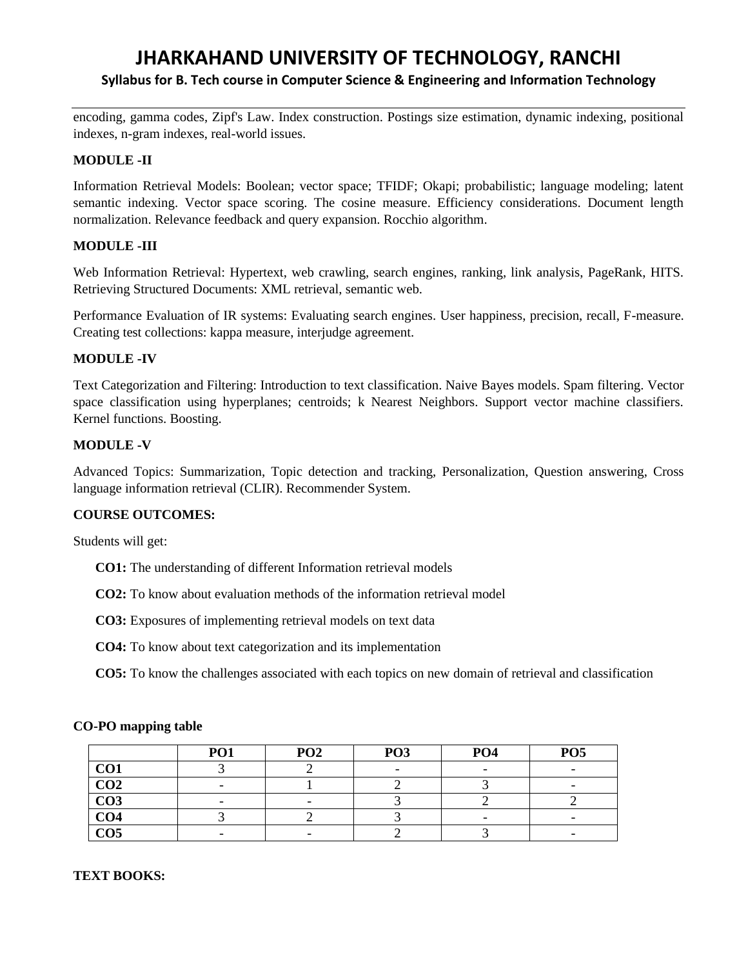# **JHARKAHAND UNIVERSITY OF TECHNOLOGY, RANCHI Syllabus for B. Tech course in Computer Science & Engineering and Information Technology**

encoding, gamma codes, Zipf's Law. Index construction. Postings size estimation, dynamic indexing, positional indexes, n-gram indexes, real-world issues.

# **MODULE -II**

Information Retrieval Models: Boolean; vector space; TFIDF; Okapi; probabilistic; language modeling; latent semantic indexing. Vector space scoring. The cosine measure. Efficiency considerations. Document length normalization. Relevance feedback and query expansion. Rocchio algorithm.

# **MODULE -III**

Web Information Retrieval: Hypertext, web crawling, search engines, ranking, link analysis, PageRank, HITS. Retrieving Structured Documents: XML retrieval, semantic web.

Performance Evaluation of IR systems: Evaluating search engines. User happiness, precision, recall, F-measure. Creating test collections: kappa measure, interjudge agreement.

# **MODULE -IV**

Text Categorization and Filtering: Introduction to text classification. Naive Bayes models. Spam filtering. Vector space classification using hyperplanes; centroids; k Nearest Neighbors. Support vector machine classifiers. Kernel functions. Boosting.

# **MODULE -V**

Advanced Topics: Summarization, Topic detection and tracking, Personalization, Question answering, Cross language information retrieval (CLIR). Recommender System.

# **COURSE OUTCOMES:**

Students will get:

- **CO1:** The understanding of different Information retrieval models
- **CO2:** To know about evaluation methods of the information retrieval model
- **CO3:** Exposures of implementing retrieval models on text data
- **CO4:** To know about text categorization and its implementation
- **CO5:** To know the challenges associated with each topics on new domain of retrieval and classification

|                 | <b>PO1</b> | PO <sub>2</sub> | PO <sub>3</sub> | PO <sub>4</sub> | PO <sub>5</sub>          |
|-----------------|------------|-----------------|-----------------|-----------------|--------------------------|
| CO <sub>1</sub> |            |                 |                 |                 | $\overline{\phantom{0}}$ |
| CO <sub>2</sub> | -          |                 |                 |                 |                          |
| CO <sub>3</sub> |            |                 |                 |                 |                          |
| CO <sub>4</sub> |            |                 |                 |                 | -                        |
| CO <sub>5</sub> |            |                 |                 |                 | -                        |

# **CO-PO mapping table**

# **TEXT BOOKS:**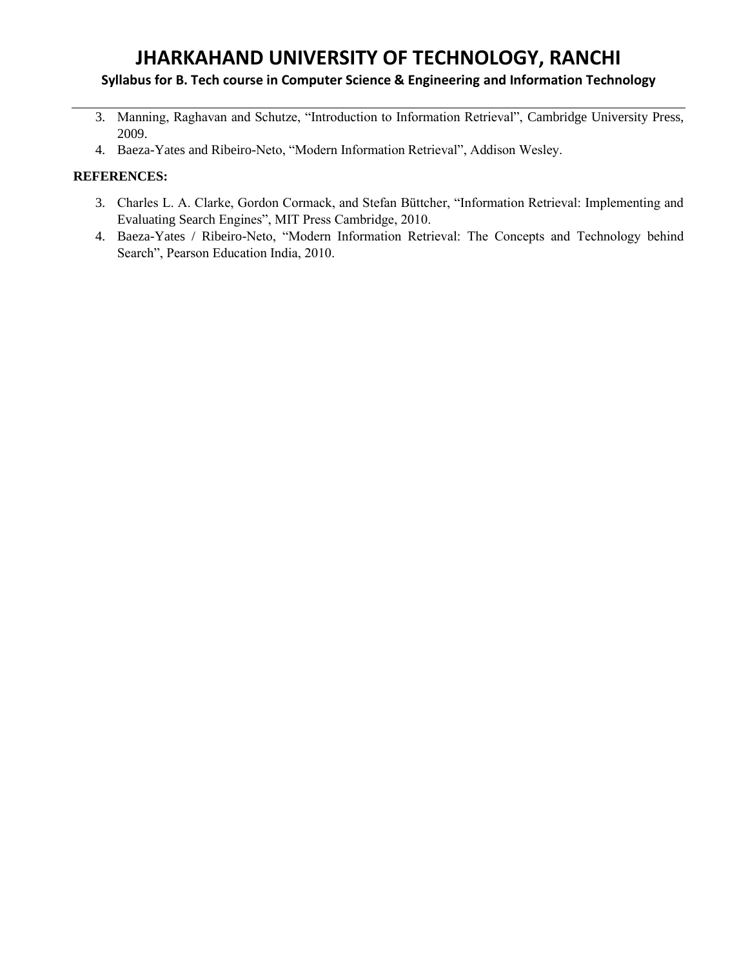# **Syllabus for B. Tech course in Computer Science & Engineering and Information Technology**

- 3. Manning, Raghavan and Schutze, "Introduction to Information Retrieval", Cambridge University Press, 2009.
- 4. Baeza-Yates and Ribeiro-Neto, "Modern Information Retrieval", Addison Wesley.

# **REFERENCES:**

- 3. Charles L. A. Clarke, Gordon Cormack, and Stefan Büttcher, "Information Retrieval: Implementing and Evaluating Search Engines", MIT Press Cambridge, 2010.
- 4. Baeza-Yates / Ribeiro-Neto, "Modern Information Retrieval: The Concepts and Technology behind Search", Pearson Education India, 2010.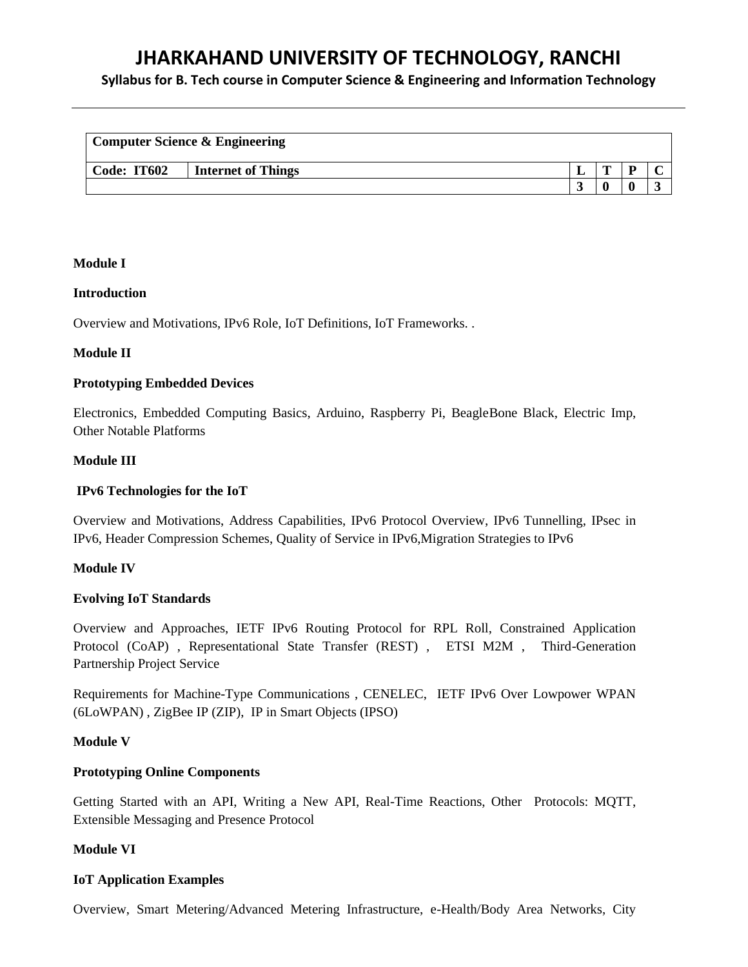**Syllabus for B. Tech course in Computer Science & Engineering and Information Technology**

|             | <b>Computer Science &amp; Engineering</b> |  |  |
|-------------|-------------------------------------------|--|--|
| Code: IT602 | <b>Internet of Things</b>                 |  |  |
|             |                                           |  |  |

#### **Module I**

#### **Introduction**

Overview and Motivations, IPv6 Role, IoT Definitions, IoT Frameworks. .

#### **Module II**

#### **Prototyping Embedded Devices**

Electronics, Embedded Computing Basics, Arduino, Raspberry Pi, BeagleBone Black, Electric Imp, Other Notable Platforms

#### **Module III**

### **IPv6 Technologies for the IoT**

Overview and Motivations, Address Capabilities, IPv6 Protocol Overview, IPv6 Tunnelling, IPsec in IPv6, Header Compression Schemes, Quality of Service in IPv6,Migration Strategies to IPv6

#### **Module IV**

# **Evolving IoT Standards**

Overview and Approaches, IETF IPv6 Routing Protocol for RPL Roll, Constrained Application Protocol (CoAP) , Representational State Transfer (REST) , ETSI M2M , Third-Generation Partnership Project Service

Requirements for Machine-Type Communications , CENELEC, IETF IPv6 Over Lowpower WPAN (6LoWPAN) , ZigBee IP (ZIP), IP in Smart Objects (IPSO)

#### **Module V**

#### **Prototyping Online Components**

Getting Started with an API, Writing a New API, Real-Time Reactions, Other Protocols: MQTT, Extensible Messaging and Presence Protocol

# **Module VI**

# **IoT Application Examples**

Overview, Smart Metering/Advanced Metering Infrastructure, e-Health/Body Area Networks, City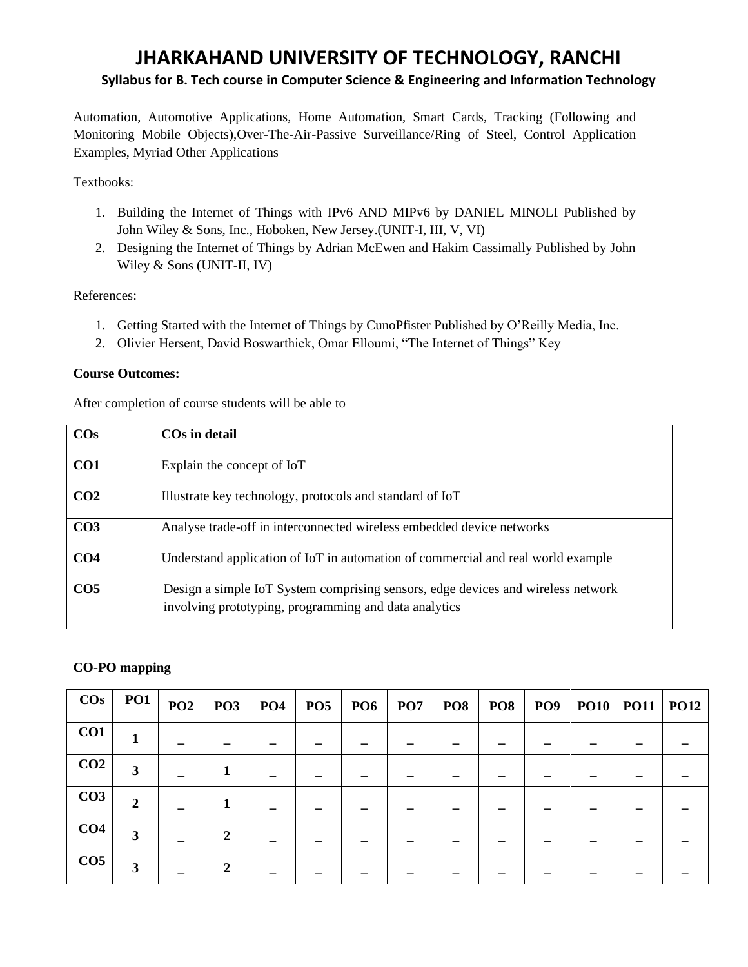# **JHARKAHAND UNIVERSITY OF TECHNOLOGY, RANCHI Syllabus for B. Tech course in Computer Science & Engineering and Information Technology**

Automation, Automotive Applications, Home Automation, Smart Cards, Tracking (Following and Monitoring Mobile Objects),Over-The-Air-Passive Surveillance/Ring of Steel, Control Application Examples, Myriad Other Applications

# Textbooks:

- 1. Building the Internet of Things with IPv6 AND MIPv6 by DANIEL MINOLI Published by John Wiley & Sons, Inc., Hoboken, New Jersey.(UNIT-I, III, V, VI)
- 2. Designing the Internet of Things by Adrian McEwen and Hakim Cassimally Published by John Wiley & Sons (UNIT-II, IV)

# References:

- 1. Getting Started with the Internet of Things by CunoPfister Published by O'Reilly Media, Inc.
- 2. Olivier Hersent, David Boswarthick, Omar Elloumi, "The Internet of Things" Key

# **Course Outcomes:**

After completion of course students will be able to

| $\cos$          | COs in detail                                                                                                                             |
|-----------------|-------------------------------------------------------------------------------------------------------------------------------------------|
| CO1             | Explain the concept of IoT                                                                                                                |
| CO <sub>2</sub> | Illustrate key technology, protocols and standard of IoT                                                                                  |
| CO <sub>3</sub> | Analyse trade-off in interconnected wireless embedded device networks                                                                     |
| CO <sub>4</sub> | Understand application of IoT in automation of commercial and real world example                                                          |
| CO <sub>5</sub> | Design a simple IoT System comprising sensors, edge devices and wireless network<br>involving prototyping, programming and data analytics |

# **CO-PO mapping**

| $\cos$          | <b>PO1</b> | PO <sub>2</sub> | PO3           | $PO4$ PO5 | $PO6$   $PO7$ | <b>PO8</b> | <b>PO8</b> |  | $ $ PO9 $ $ PO10 $ $ PO11 $ $ PO12 |  |
|-----------------|------------|-----------------|---------------|-----------|---------------|------------|------------|--|------------------------------------|--|
| CO1             |            |                 |               |           |               |            |            |  |                                    |  |
| CO <sub>2</sub> | 3          |                 |               |           |               |            |            |  |                                    |  |
| CO <sub>3</sub> | 2          |                 |               |           |               |            |            |  |                                    |  |
| CO <sub>4</sub> | 3          |                 | $\mathbf{2}$  |           |               |            |            |  |                                    |  |
| CO <sub>5</sub> | 3          |                 | $\mathcal{D}$ |           |               |            |            |  |                                    |  |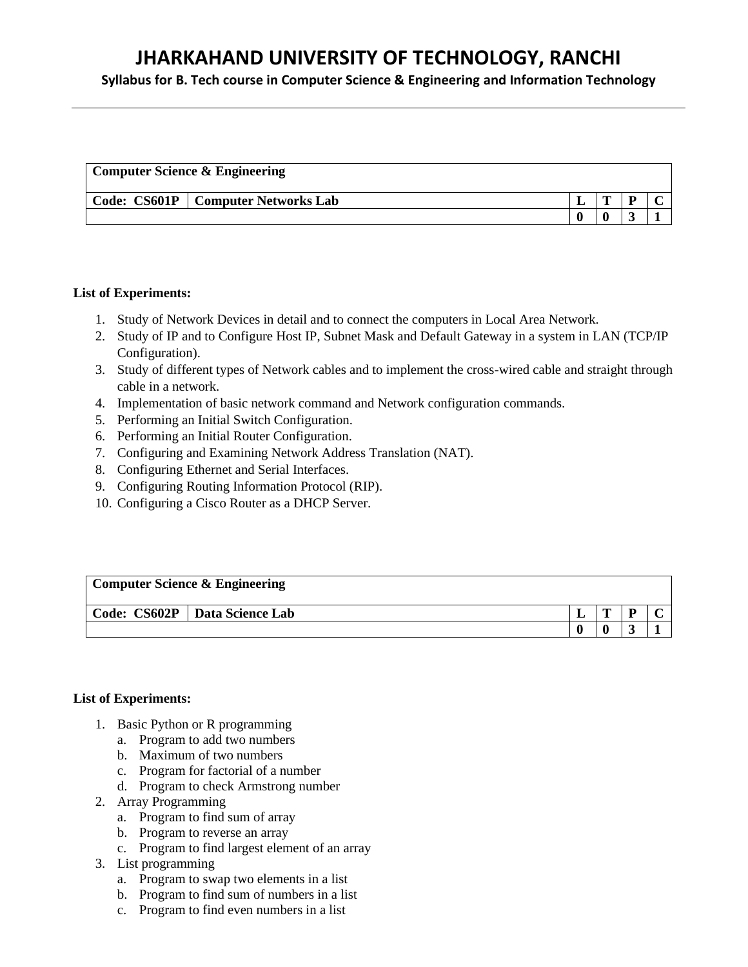**Syllabus for B. Tech course in Computer Science & Engineering and Information Technology**

| <b>Computer Science &amp; Engineering</b> |                       |  |   |  |  |  |  |
|-------------------------------------------|-----------------------|--|---|--|--|--|--|
| Code: CS601P                              | Computer Networks Lab |  | m |  |  |  |  |
|                                           |                       |  |   |  |  |  |  |

#### **List of Experiments:**

- 1. Study of Network Devices in detail and to connect the computers in Local Area Network.
- 2. Study of IP and to Configure Host IP, Subnet Mask and Default Gateway in a system in LAN (TCP/IP Configuration).
- 3. Study of different types of Network cables and to implement the cross-wired cable and straight through cable in a network.
- 4. Implementation of basic network command and Network configuration commands.
- 5. Performing an Initial Switch Configuration.
- 6. Performing an Initial Router Configuration.
- 7. Configuring and Examining Network Address Translation (NAT).
- 8. Configuring Ethernet and Serial Interfaces.
- 9. Configuring Routing Information Protocol (RIP).
- 10. Configuring a Cisco Router as a DHCP Server.

# **Computer Science & Engineering**

**Code: CS602P Data Science Lab L T P C**  $0 \t 0 \t 3 \t 1$ 

# **List of Experiments:**

- 1. Basic Python or R programming
	- a. Program to add two numbers
	- b. Maximum of two numbers
	- c. Program for factorial of a number
	- d. Program to check Armstrong number
- 2. Array Programming
	- a. Program to find sum of array
	- b. Program to reverse an array
	- c. Program to find largest element of an array
- 3. List programming
	- a. Program to swap two elements in a list
	- b. Program to find sum of numbers in a list
	- c. Program to find even numbers in a list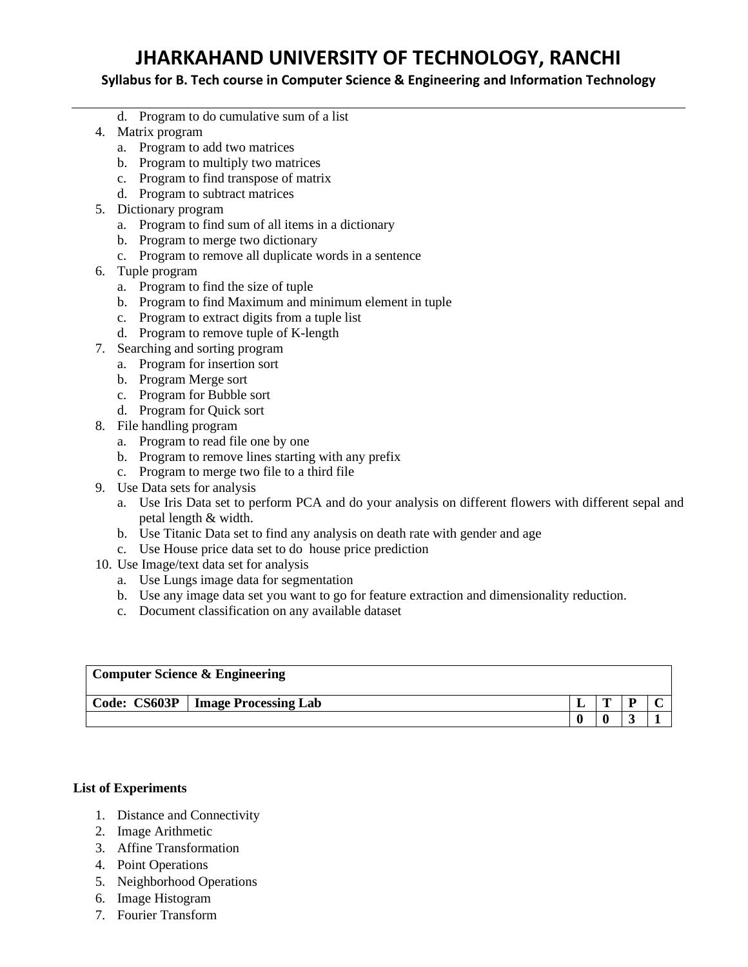**Syllabus for B. Tech course in Computer Science & Engineering and Information Technology**

- d. Program to do cumulative sum of a list
- 4. Matrix program
	- a. Program to add two matrices
	- b. Program to multiply two matrices
	- c. Program to find transpose of matrix
	- d. Program to subtract matrices
- 5. Dictionary program
	- a. Program to find sum of all items in a dictionary
	- b. Program to merge two dictionary
	- c. Program to remove all duplicate words in a sentence
- 6. Tuple program
	- a. Program to find the size of tuple
	- b. Program to find Maximum and minimum element in tuple
	- c. Program to extract digits from a tuple list
	- d. Program to remove tuple of K-length
- 7. Searching and sorting program
	- a. Program for insertion sort
	- b. Program Merge sort
	- c. Program for Bubble sort
	- d. Program for Quick sort
- 8. File handling program
	- a. Program to read file one by one
	- b. Program to remove lines starting with any prefix
	- c. Program to merge two file to a third file
- 9. Use Data sets for analysis
	- a. Use Iris Data set to perform PCA and do your analysis on different flowers with different sepal and petal length & width.
	- b. Use Titanic Data set to find any analysis on death rate with gender and age
	- c. Use House price data set to do house price prediction
- 10. Use Image/text data set for analysis
	- a. Use Lungs image data for segmentation
	- b. Use any image data set you want to go for feature extraction and dimensionality reduction.
	- c. Document classification on any available dataset

| <b>Computer Science &amp; Engineering</b> |                                     |  |              |   |  |  |  |
|-------------------------------------------|-------------------------------------|--|--------------|---|--|--|--|
|                                           | Code: CS603P   Image Processing Lab |  | $\mathbf{r}$ | D |  |  |  |
|                                           |                                     |  |              |   |  |  |  |

# **List of Experiments**

- 1. Distance and Connectivity
- 2. Image Arithmetic
- 3. Affine Transformation
- 4. Point Operations
- 5. Neighborhood Operations
- 6. Image Histogram
- 7. Fourier Transform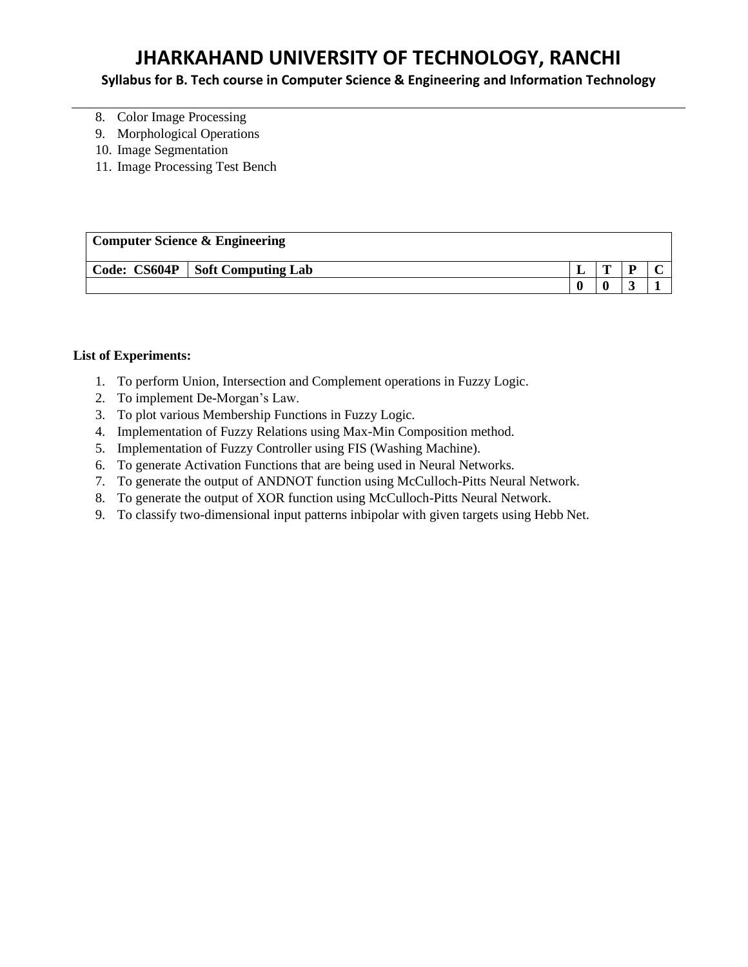# **Syllabus for B. Tech course in Computer Science & Engineering and Information Technology**

- 8. Color Image Processing
- 9. Morphological Operations
- 10. Image Segmentation
- 11. Image Processing Test Bench

# **Computer Science & Engineering Code: CS604P Soft Computing Lab L T P C**  $0 \t 0 \t 3 \t 1$

# **List of Experiments:**

- 1. To perform Union, Intersection and Complement operations in Fuzzy Logic.
- 2. To implement De-Morgan's Law.
- 3. To plot various Membership Functions in Fuzzy Logic.
- 4. Implementation of Fuzzy Relations using Max-Min Composition method.
- 5. Implementation of Fuzzy Controller using FIS (Washing Machine).
- 6. To generate Activation Functions that are being used in Neural Networks.
- 7. To generate the output of ANDNOT function using McCulloch-Pitts Neural Network.
- 8. To generate the output of XOR function using McCulloch-Pitts Neural Network.
- 9. To classify two-dimensional input patterns inbipolar with given targets using Hebb Net.